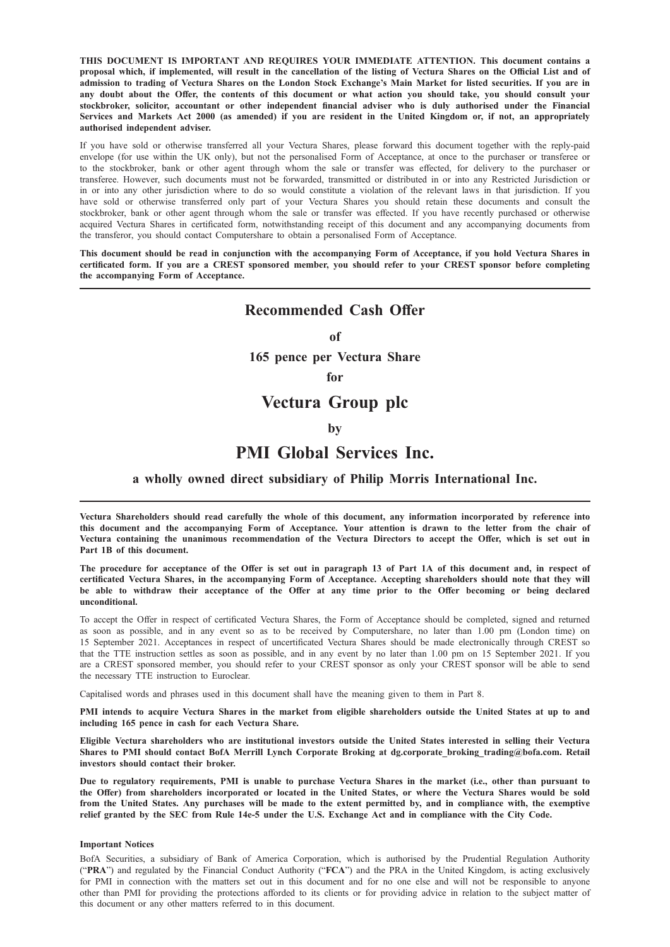THIS DOCUMENT IS IMPORTANT AND REQUIRES YOUR IMMEDIATE ATTENTION. This document contains a proposal which, if implemented, will result in the cancellation of the listing of Vectura Shares on the Official List and of admission to trading of Vectura Shares on the London Stock Exchange's Main Market for listed securities. If you are in any doubt about the Offer, the contents of this document or what action you should take, you should consult your stockbroker, solicitor, accountant or other independent financial adviser who is duly authorised under the Financial Services and Markets Act 2000 (as amended) if you are resident in the United Kingdom or, if not, an appropriately authorised independent adviser.

If you have sold or otherwise transferred all your Vectura Shares, please forward this document together with the reply-paid envelope (for use within the UK only), but not the personalised Form of Acceptance, at once to the purchaser or transferee or to the stockbroker, bank or other agent through whom the sale or transfer was effected, for delivery to the purchaser or transferee. However, such documents must not be forwarded, transmitted or distributed in or into any Restricted Jurisdiction or in or into any other jurisdiction where to do so would constitute a violation of the relevant laws in that jurisdiction. If you have sold or otherwise transferred only part of your Vectura Shares you should retain these documents and consult the stockbroker, bank or other agent through whom the sale or transfer was effected. If you have recently purchased or otherwise acquired Vectura Shares in certificated form, notwithstanding receipt of this document and any accompanying documents from the transferor, you should contact Computershare to obtain a personalised Form of Acceptance.

This document should be read in conjunction with the accompanying Form of Acceptance, if you hold Vectura Shares in certificated form. If you are a CREST sponsored member, you should refer to your CREST sponsor before completing the accompanying Form of Acceptance.

## Recommended Cash Offer

#### of

165 pence per Vectura Share

#### for

# Vectura Group plc

## by

# PMI Global Services Inc.

## a wholly owned direct subsidiary of Philip Morris International Inc.

Vectura Shareholders should read carefully the whole of this document, any information incorporated by reference into this document and the accompanying Form of Acceptance. Your attention is drawn to the letter from the chair of Vectura containing the unanimous recommendation of the Vectura Directors to accept the Offer, which is set out in Part 1B of this document.

The procedure for acceptance of the Offer is set out in paragraph 13 of Part 1A of this document and, in respect of certificated Vectura Shares, in the accompanying Form of Acceptance. Accepting shareholders should note that they will be able to withdraw their acceptance of the Offer at any time prior to the Offer becoming or being declared unconditional.

To accept the Offer in respect of certificated Vectura Shares, the Form of Acceptance should be completed, signed and returned as soon as possible, and in any event so as to be received by Computershare, no later than 1.00 pm (London time) on 15 September 2021. Acceptances in respect of uncertificated Vectura Shares should be made electronically through CREST so that the TTE instruction settles as soon as possible, and in any event by no later than 1.00 pm on 15 September 2021. If you are a CREST sponsored member, you should refer to your CREST sponsor as only your CREST sponsor will be able to send the necessary TTE instruction to Euroclear.

Capitalised words and phrases used in this document shall have the meaning given to them in Part 8.

PMI intends to acquire Vectura Shares in the market from eligible shareholders outside the United States at up to and including 165 pence in cash for each Vectura Share.

Eligible Vectura shareholders who are institutional investors outside the United States interested in selling their Vectura Shares to PMI should contact BofA Merrill Lynch Corporate Broking at dg.corporate\_broking\_trading@bofa.com. Retail investors should contact their broker.

Due to regulatory requirements, PMI is unable to purchase Vectura Shares in the market (i.e., other than pursuant to the Offer) from shareholders incorporated or located in the United States, or where the Vectura Shares would be sold from the United States. Any purchases will be made to the extent permitted by, and in compliance with, the exemptive relief granted by the SEC from Rule 14e-5 under the U.S. Exchange Act and in compliance with the City Code.

### Important Notices

BofA Securities, a subsidiary of Bank of America Corporation, which is authorised by the Prudential Regulation Authority ("PRA") and regulated by the Financial Conduct Authority ("FCA") and the PRA in the United Kingdom, is acting exclusively for PMI in connection with the matters set out in this document and for no one else and will not be responsible to anyone other than PMI for providing the protections afforded to its clients or for providing advice in relation to the subject matter of this document or any other matters referred to in this document.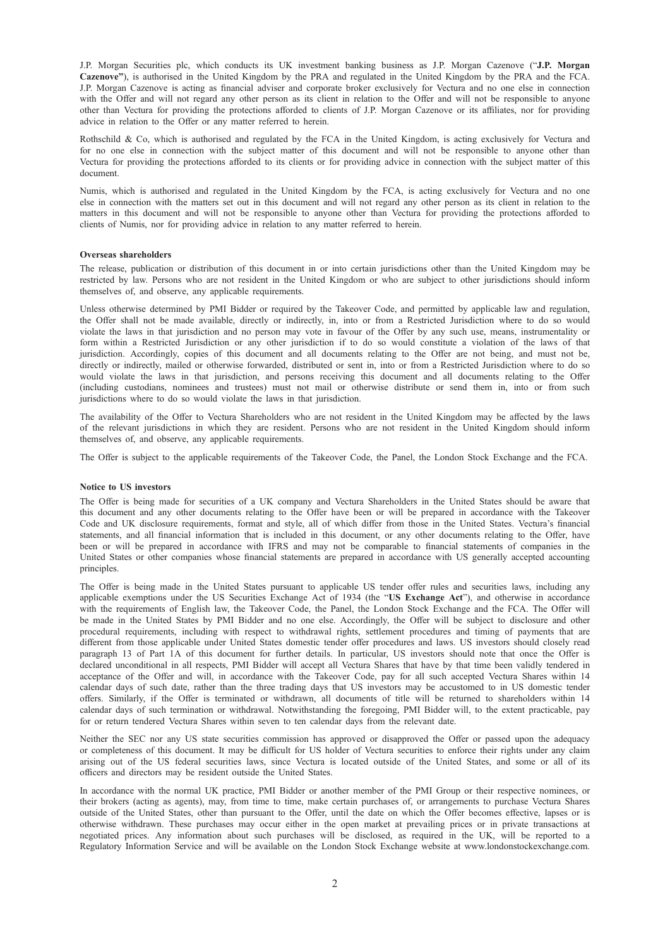J.P. Morgan Securities plc, which conducts its UK investment banking business as J.P. Morgan Cazenove ("J.P. Morgan Cazenove"), is authorised in the United Kingdom by the PRA and regulated in the United Kingdom by the PRA and the FCA. J.P. Morgan Cazenove is acting as financial adviser and corporate broker exclusively for Vectura and no one else in connection with the Offer and will not regard any other person as its client in relation to the Offer and will not be responsible to anyone other than Vectura for providing the protections afforded to clients of J.P. Morgan Cazenove or its affiliates, nor for providing advice in relation to the Offer or any matter referred to herein.

Rothschild & Co, which is authorised and regulated by the FCA in the United Kingdom, is acting exclusively for Vectura and for no one else in connection with the subject matter of this document and will not be responsible to anyone other than Vectura for providing the protections afforded to its clients or for providing advice in connection with the subject matter of this document.

Numis, which is authorised and regulated in the United Kingdom by the FCA, is acting exclusively for Vectura and no one else in connection with the matters set out in this document and will not regard any other person as its client in relation to the matters in this document and will not be responsible to anyone other than Vectura for providing the protections afforded to clients of Numis, nor for providing advice in relation to any matter referred to herein.

#### Overseas shareholders

The release, publication or distribution of this document in or into certain jurisdictions other than the United Kingdom may be restricted by law. Persons who are not resident in the United Kingdom or who are subject to other jurisdictions should inform themselves of, and observe, any applicable requirements.

Unless otherwise determined by PMI Bidder or required by the Takeover Code, and permitted by applicable law and regulation, the Offer shall not be made available, directly or indirectly, in, into or from a Restricted Jurisdiction where to do so would violate the laws in that jurisdiction and no person may vote in favour of the Offer by any such use, means, instrumentality or form within a Restricted Jurisdiction or any other jurisdiction if to do so would constitute a violation of the laws of that jurisdiction. Accordingly, copies of this document and all documents relating to the Offer are not being, and must not be, directly or indirectly, mailed or otherwise forwarded, distributed or sent in, into or from a Restricted Jurisdiction where to do so would violate the laws in that jurisdiction, and persons receiving this document and all documents relating to the Offer (including custodians, nominees and trustees) must not mail or otherwise distribute or send them in, into or from such jurisdictions where to do so would violate the laws in that jurisdiction.

The availability of the Offer to Vectura Shareholders who are not resident in the United Kingdom may be affected by the laws of the relevant jurisdictions in which they are resident. Persons who are not resident in the United Kingdom should inform themselves of, and observe, any applicable requirements.

The Offer is subject to the applicable requirements of the Takeover Code, the Panel, the London Stock Exchange and the FCA.

#### Notice to US investors

The Offer is being made for securities of a UK company and Vectura Shareholders in the United States should be aware that this document and any other documents relating to the Offer have been or will be prepared in accordance with the Takeover Code and UK disclosure requirements, format and style, all of which differ from those in the United States. Vectura's financial statements, and all financial information that is included in this document, or any other documents relating to the Offer, have been or will be prepared in accordance with IFRS and may not be comparable to financial statements of companies in the United States or other companies whose financial statements are prepared in accordance with US generally accepted accounting principles.

The Offer is being made in the United States pursuant to applicable US tender offer rules and securities laws, including any applicable exemptions under the US Securities Exchange Act of 1934 (the "US Exchange Act"), and otherwise in accordance with the requirements of English law, the Takeover Code, the Panel, the London Stock Exchange and the FCA. The Offer will be made in the United States by PMI Bidder and no one else. Accordingly, the Offer will be subject to disclosure and other procedural requirements, including with respect to withdrawal rights, settlement procedures and timing of payments that are different from those applicable under United States domestic tender offer procedures and laws. US investors should closely read paragraph 13 of Part 1A of this document for further details. In particular, US investors should note that once the Offer is declared unconditional in all respects, PMI Bidder will accept all Vectura Shares that have by that time been validly tendered in acceptance of the Offer and will, in accordance with the Takeover Code, pay for all such accepted Vectura Shares within 14 calendar days of such date, rather than the three trading days that US investors may be accustomed to in US domestic tender offers. Similarly, if the Offer is terminated or withdrawn, all documents of title will be returned to shareholders within 14 calendar days of such termination or withdrawal. Notwithstanding the foregoing, PMI Bidder will, to the extent practicable, pay for or return tendered Vectura Shares within seven to ten calendar days from the relevant date.

Neither the SEC nor any US state securities commission has approved or disapproved the Offer or passed upon the adequacy or completeness of this document. It may be difficult for US holder of Vectura securities to enforce their rights under any claim arising out of the US federal securities laws, since Vectura is located outside of the United States, and some or all of its officers and directors may be resident outside the United States.

In accordance with the normal UK practice, PMI Bidder or another member of the PMI Group or their respective nominees, or their brokers (acting as agents), may, from time to time, make certain purchases of, or arrangements to purchase Vectura Shares outside of the United States, other than pursuant to the Offer, until the date on which the Offer becomes effective, lapses or is otherwise withdrawn. These purchases may occur either in the open market at prevailing prices or in private transactions at negotiated prices. Any information about such purchases will be disclosed, as required in the UK, will be reported to a Regulatory Information Service and will be available on the London Stock Exchange website at www.londonstockexchange.com.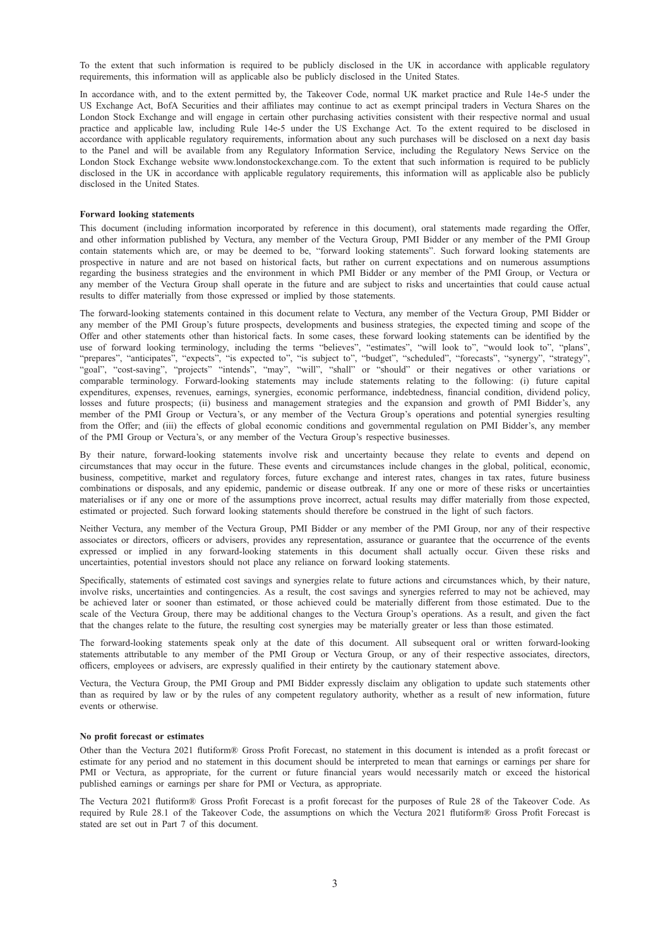To the extent that such information is required to be publicly disclosed in the UK in accordance with applicable regulatory requirements, this information will as applicable also be publicly disclosed in the United States.

In accordance with, and to the extent permitted by, the Takeover Code, normal UK market practice and Rule 14e-5 under the US Exchange Act, BofA Securities and their affiliates may continue to act as exempt principal traders in Vectura Shares on the London Stock Exchange and will engage in certain other purchasing activities consistent with their respective normal and usual practice and applicable law, including Rule 14e-5 under the US Exchange Act. To the extent required to be disclosed in accordance with applicable regulatory requirements, information about any such purchases will be disclosed on a next day basis to the Panel and will be available from any Regulatory Information Service, including the Regulatory News Service on the London Stock Exchange website www.londonstockexchange.com. To the extent that such information is required to be publicly disclosed in the UK in accordance with applicable regulatory requirements, this information will as applicable also be publicly disclosed in the United States.

#### Forward looking statements

This document (including information incorporated by reference in this document), oral statements made regarding the Offer, and other information published by Vectura, any member of the Vectura Group, PMI Bidder or any member of the PMI Group contain statements which are, or may be deemed to be, "forward looking statements". Such forward looking statements are prospective in nature and are not based on historical facts, but rather on current expectations and on numerous assumptions regarding the business strategies and the environment in which PMI Bidder or any member of the PMI Group, or Vectura or any member of the Vectura Group shall operate in the future and are subject to risks and uncertainties that could cause actual results to differ materially from those expressed or implied by those statements.

The forward-looking statements contained in this document relate to Vectura, any member of the Vectura Group, PMI Bidder or any member of the PMI Group's future prospects, developments and business strategies, the expected timing and scope of the Offer and other statements other than historical facts. In some cases, these forward looking statements can be identified by the use of forward looking terminology, including the terms "believes", "estimates", "will look to", "would look to", "plans", "prepares", "anticipates", "expects", "is expected to", "is subject to", "budget", "scheduled", "forecasts", "synergy", "strategy", "goal", "cost-saving", "projects" "intends", "may", "will", "shall" or "should" or their negatives or other variations or comparable terminology. Forward-looking statements may include statements relating to the following: (i) future capital expenditures, expenses, revenues, earnings, synergies, economic performance, indebtedness, financial condition, dividend policy, losses and future prospects; (ii) business and management strategies and the expansion and growth of PMI Bidder's, any member of the PMI Group or Vectura's, or any member of the Vectura Group's operations and potential synergies resulting from the Offer; and (iii) the effects of global economic conditions and governmental regulation on PMI Bidder's, any member of the PMI Group or Vectura's, or any member of the Vectura Group's respective businesses.

By their nature, forward-looking statements involve risk and uncertainty because they relate to events and depend on circumstances that may occur in the future. These events and circumstances include changes in the global, political, economic, business, competitive, market and regulatory forces, future exchange and interest rates, changes in tax rates, future business combinations or disposals, and any epidemic, pandemic or disease outbreak. If any one or more of these risks or uncertainties materialises or if any one or more of the assumptions prove incorrect, actual results may differ materially from those expected, estimated or projected. Such forward looking statements should therefore be construed in the light of such factors.

Neither Vectura, any member of the Vectura Group, PMI Bidder or any member of the PMI Group, nor any of their respective associates or directors, officers or advisers, provides any representation, assurance or guarantee that the occurrence of the events expressed or implied in any forward-looking statements in this document shall actually occur. Given these risks and uncertainties, potential investors should not place any reliance on forward looking statements.

Specifically, statements of estimated cost savings and synergies relate to future actions and circumstances which, by their nature, involve risks, uncertainties and contingencies. As a result, the cost savings and synergies referred to may not be achieved, may be achieved later or sooner than estimated, or those achieved could be materially different from those estimated. Due to the scale of the Vectura Group, there may be additional changes to the Vectura Group's operations. As a result, and given the fact that the changes relate to the future, the resulting cost synergies may be materially greater or less than those estimated.

The forward-looking statements speak only at the date of this document. All subsequent oral or written forward-looking statements attributable to any member of the PMI Group or Vectura Group, or any of their respective associates, directors, officers, employees or advisers, are expressly qualified in their entirety by the cautionary statement above.

Vectura, the Vectura Group, the PMI Group and PMI Bidder expressly disclaim any obligation to update such statements other than as required by law or by the rules of any competent regulatory authority, whether as a result of new information, future events or otherwise.

#### No profit forecast or estimates

Other than the Vectura 2021 flutiform® Gross Profit Forecast, no statement in this document is intended as a profit forecast or estimate for any period and no statement in this document should be interpreted to mean that earnings or earnings per share for PMI or Vectura, as appropriate, for the current or future financial years would necessarily match or exceed the historical published earnings or earnings per share for PMI or Vectura, as appropriate.

The Vectura 2021 flutiform® Gross Profit Forecast is a profit forecast for the purposes of Rule 28 of the Takeover Code. As required by Rule 28.1 of the Takeover Code, the assumptions on which the Vectura 2021 flutiform® Gross Profit Forecast is stated are set out in Part 7 of this document.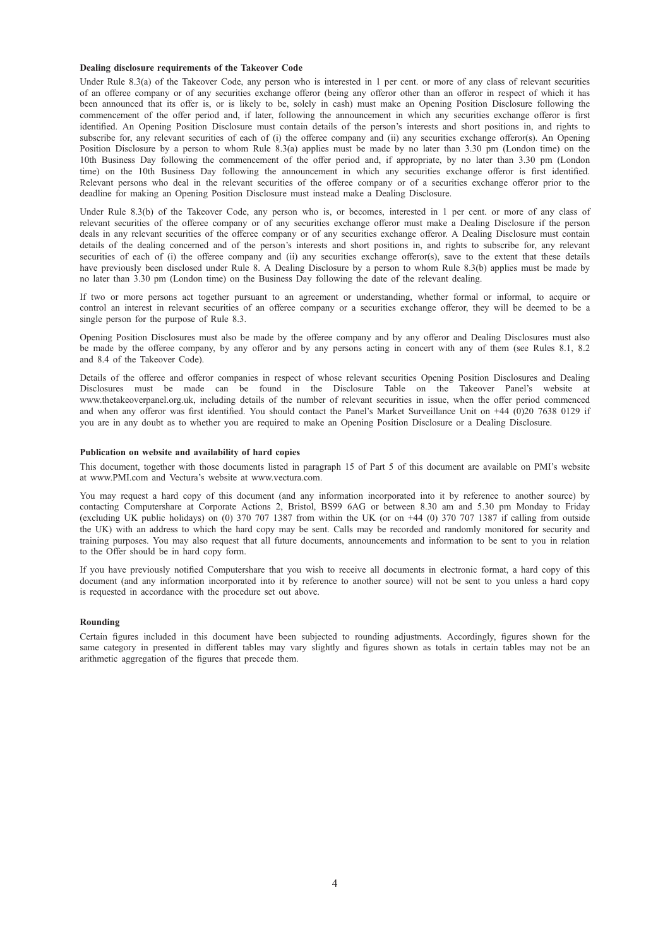#### Dealing disclosure requirements of the Takeover Code

Under Rule 8.3(a) of the Takeover Code, any person who is interested in 1 per cent. or more of any class of relevant securities of an offeree company or of any securities exchange offeror (being any offeror other than an offeror in respect of which it has been announced that its offer is, or is likely to be, solely in cash) must make an Opening Position Disclosure following the commencement of the offer period and, if later, following the announcement in which any securities exchange offeror is first identified. An Opening Position Disclosure must contain details of the person's interests and short positions in, and rights to subscribe for, any relevant securities of each of (i) the offeree company and (ii) any securities exchange offeror(s). An Opening Position Disclosure by a person to whom Rule 8.3(a) applies must be made by no later than 3.30 pm (London time) on the 10th Business Day following the commencement of the offer period and, if appropriate, by no later than 3.30 pm (London time) on the 10th Business Day following the announcement in which any securities exchange offeror is first identified. Relevant persons who deal in the relevant securities of the offeree company or of a securities exchange offeror prior to the deadline for making an Opening Position Disclosure must instead make a Dealing Disclosure.

Under Rule 8.3(b) of the Takeover Code, any person who is, or becomes, interested in 1 per cent. or more of any class of relevant securities of the offeree company or of any securities exchange offeror must make a Dealing Disclosure if the person deals in any relevant securities of the offeree company or of any securities exchange offeror. A Dealing Disclosure must contain details of the dealing concerned and of the person's interests and short positions in, and rights to subscribe for, any relevant securities of each of (i) the offeree company and (ii) any securities exchange offeror(s), save to the extent that these details have previously been disclosed under Rule 8. A Dealing Disclosure by a person to whom Rule 8.3(b) applies must be made by no later than 3.30 pm (London time) on the Business Day following the date of the relevant dealing.

If two or more persons act together pursuant to an agreement or understanding, whether formal or informal, to acquire or control an interest in relevant securities of an offeree company or a securities exchange offeror, they will be deemed to be a single person for the purpose of Rule 8.3.

Opening Position Disclosures must also be made by the offeree company and by any offeror and Dealing Disclosures must also be made by the offeree company, by any offeror and by any persons acting in concert with any of them (see Rules 8.1, 8.2 and 8.4 of the Takeover Code).

Details of the offeree and offeror companies in respect of whose relevant securities Opening Position Disclosures and Dealing Disclosures must be made can be found in the Disclosure Table on the Takeover Panel's website at www.thetakeoverpanel.org.uk, including details of the number of relevant securities in issue, when the offer period commenced and when any offeror was first identified. You should contact the Panel's Market Surveillance Unit on +44 (0)20 7638 0129 if you are in any doubt as to whether you are required to make an Opening Position Disclosure or a Dealing Disclosure.

#### Publication on website and availability of hard copies

This document, together with those documents listed in paragraph 15 of Part 5 of this document are available on PMI's website at www.PMI.com and Vectura's website at www.vectura.com.

You may request a hard copy of this document (and any information incorporated into it by reference to another source) by contacting Computershare at Corporate Actions 2, Bristol, BS99 6AG or between 8.30 am and 5.30 pm Monday to Friday (excluding UK public holidays) on (0) 370 707 1387 from within the UK (or on  $+44$  (0) 370 707 1387 if calling from outside the UK) with an address to which the hard copy may be sent. Calls may be recorded and randomly monitored for security and training purposes. You may also request that all future documents, announcements and information to be sent to you in relation to the Offer should be in hard copy form.

If you have previously notified Computershare that you wish to receive all documents in electronic format, a hard copy of this document (and any information incorporated into it by reference to another source) will not be sent to you unless a hard copy is requested in accordance with the procedure set out above.

#### Rounding

Certain figures included in this document have been subjected to rounding adjustments. Accordingly, figures shown for the same category in presented in different tables may vary slightly and figures shown as totals in certain tables may not be an arithmetic aggregation of the figures that precede them.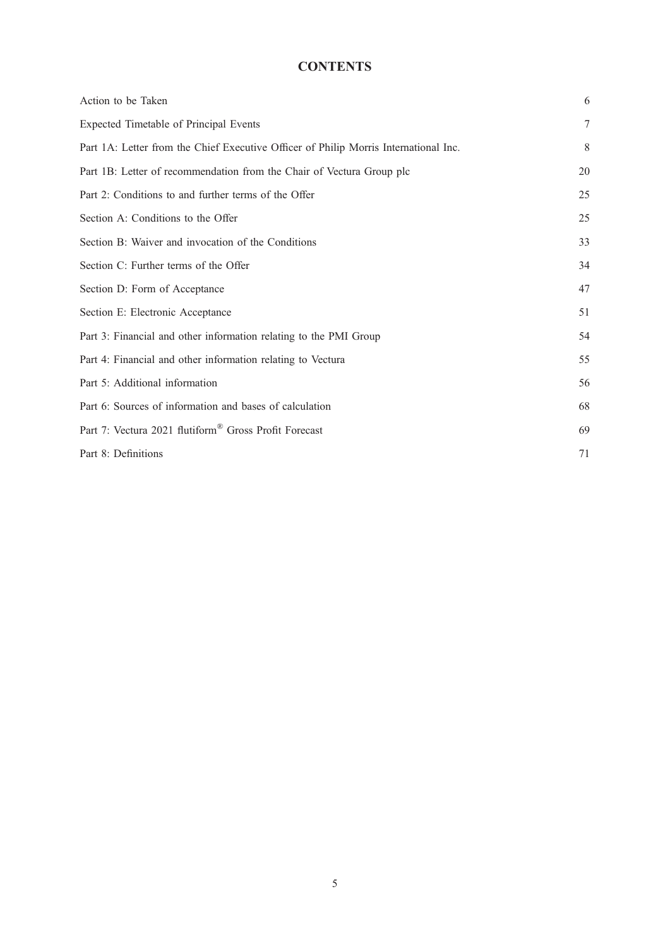# **CONTENTS**

| Action to be Taken                                                                   | 6      |
|--------------------------------------------------------------------------------------|--------|
| <b>Expected Timetable of Principal Events</b>                                        | $\tau$ |
| Part 1A: Letter from the Chief Executive Officer of Philip Morris International Inc. | 8      |
| Part 1B: Letter of recommendation from the Chair of Vectura Group plc                | 20     |
| Part 2: Conditions to and further terms of the Offer                                 | 25     |
| Section A: Conditions to the Offer                                                   | 25     |
| Section B: Waiver and invocation of the Conditions                                   | 33     |
| Section C: Further terms of the Offer                                                | 34     |
| Section D: Form of Acceptance                                                        | 47     |
| Section E: Electronic Acceptance                                                     | 51     |
| Part 3: Financial and other information relating to the PMI Group                    | 54     |
| Part 4: Financial and other information relating to Vectura                          | 55     |
| Part 5: Additional information                                                       | 56     |
| Part 6: Sources of information and bases of calculation                              | 68     |
| Part 7: Vectura 2021 flutiform <sup>®</sup> Gross Profit Forecast                    | 69     |
| Part 8: Definitions                                                                  | 71     |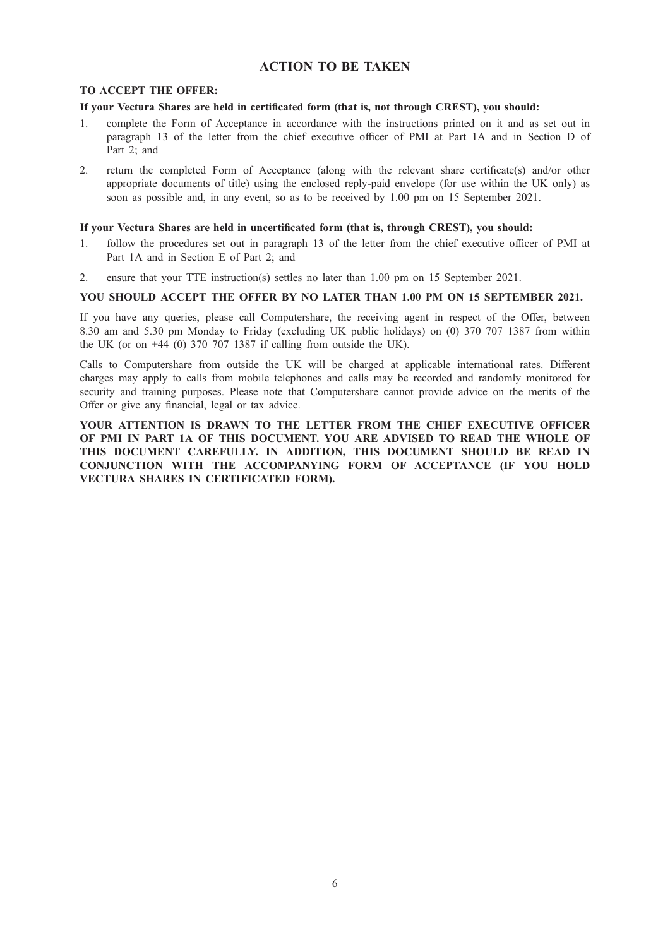## ACTION TO BE TAKEN

### TO ACCEPT THE OFFER:

## If your Vectura Shares are held in certificated form (that is, not through CREST), you should:

- 1. complete the Form of Acceptance in accordance with the instructions printed on it and as set out in paragraph 13 of the letter from the chief executive officer of PMI at Part 1A and in Section D of Part 2; and
- 2. return the completed Form of Acceptance (along with the relevant share certificate(s) and/or other appropriate documents of title) using the enclosed reply-paid envelope (for use within the UK only) as soon as possible and, in any event, so as to be received by 1.00 pm on 15 September 2021.

#### If your Vectura Shares are held in uncertificated form (that is, through CREST), you should:

- 1. follow the procedures set out in paragraph 13 of the letter from the chief executive officer of PMI at Part 1A and in Section E of Part 2; and
- 2. ensure that your TTE instruction(s) settles no later than 1.00 pm on 15 September 2021.

#### YOU SHOULD ACCEPT THE OFFER BY NO LATER THAN 1.00 PM ON 15 SEPTEMBER 2021.

If you have any queries, please call Computershare, the receiving agent in respect of the Offer, between 8.30 am and 5.30 pm Monday to Friday (excluding UK public holidays) on (0) 370 707 1387 from within the UK (or on  $+44$  (0) 370 707 1387 if calling from outside the UK).

Calls to Computershare from outside the UK will be charged at applicable international rates. Different charges may apply to calls from mobile telephones and calls may be recorded and randomly monitored for security and training purposes. Please note that Computershare cannot provide advice on the merits of the Offer or give any financial, legal or tax advice.

YOUR ATTENTION IS DRAWN TO THE LETTER FROM THE CHIEF EXECUTIVE OFFICER OF PMI IN PART 1A OF THIS DOCUMENT. YOU ARE ADVISED TO READ THE WHOLE OF THIS DOCUMENT CAREFULLY. IN ADDITION, THIS DOCUMENT SHOULD BE READ IN CONJUNCTION WITH THE ACCOMPANYING FORM OF ACCEPTANCE (IF YOU HOLD VECTURA SHARES IN CERTIFICATED FORM).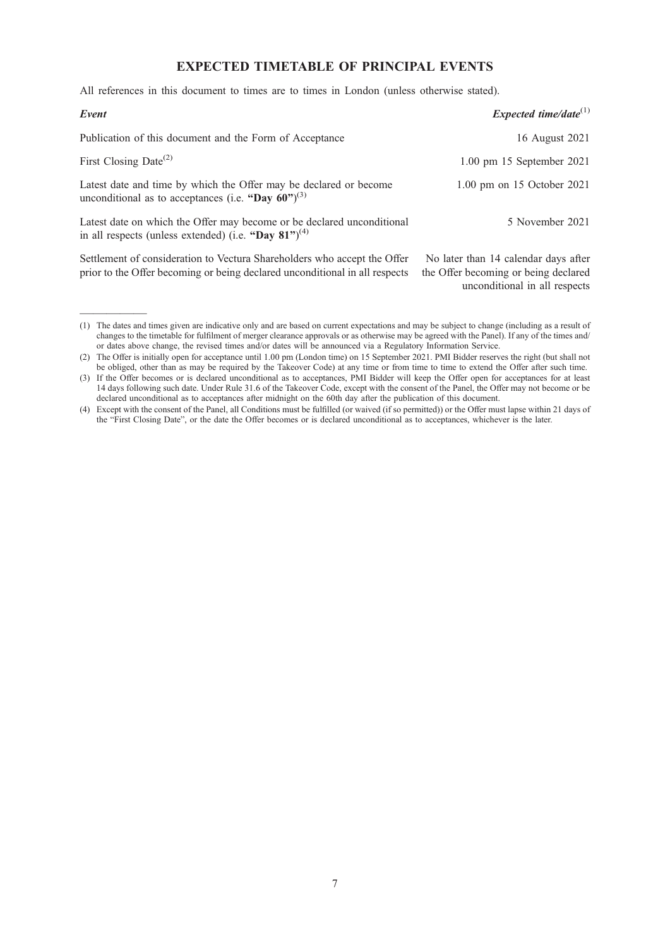## EXPECTED TIMETABLE OF PRINCIPAL EVENTS

All references in this document to times are to times in London (unless otherwise stated).

| Event                                                                                                                                         | Expected time/date $^{(1)}$          |
|-----------------------------------------------------------------------------------------------------------------------------------------------|--------------------------------------|
| Publication of this document and the Form of Acceptance                                                                                       | 16 August 2021                       |
| First Closing Date <sup>(2)</sup>                                                                                                             | $1.00 \text{ pm } 15$ September 2021 |
| Latest date and time by which the Offer may be declared or become<br>unconditional as to acceptances (i.e. "Day $60"$ ) <sup>(3)</sup>        | 1.00 pm on 15 October 2021           |
| Latest date on which the Offer may become or be declared unconditional<br>in all respects (unless extended) (i.e. "Day $81"$ ) <sup>(4)</sup> | 5 November 2021                      |

Settlement of consideration to Vectura Shareholders who accept the Offer prior to the Offer becoming or being declared unconditional in all respects

—————

No later than 14 calendar days after the Offer becoming or being declared unconditional in all respects

<sup>(1)</sup> The dates and times given are indicative only and are based on current expectations and may be subject to change (including as a result of changes to the timetable for fulfilment of merger clearance approvals or as otherwise may be agreed with the Panel). If any of the times and/ or dates above change, the revised times and/or dates will be announced via a Regulatory Information Service.

<sup>(2)</sup> The Offer is initially open for acceptance until 1.00 pm (London time) on 15 September 2021. PMI Bidder reserves the right (but shall not be obliged, other than as may be required by the Takeover Code) at any time or from time to time to extend the Offer after such time.

<sup>(3)</sup> If the Offer becomes or is declared unconditional as to acceptances, PMI Bidder will keep the Offer open for acceptances for at least 14 days following such date. Under Rule 31.6 of the Takeover Code, except with the consent of the Panel, the Offer may not become or be declared unconditional as to acceptances after midnight on the 60th day after the publication of this document.

<sup>(4)</sup> Except with the consent of the Panel, all Conditions must be fulfilled (or waived (if so permitted)) or the Offer must lapse within 21 days of the "First Closing Date", or the date the Offer becomes or is declared unconditional as to acceptances, whichever is the later.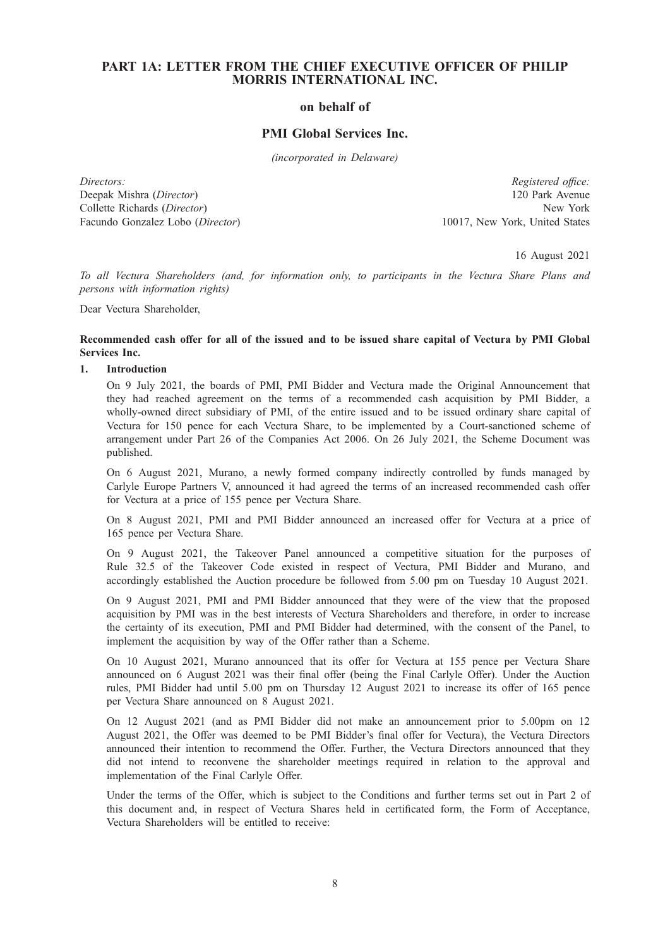## PART 1A: LETTER FROM THE CHIEF EXECUTIVE OFFICER OF PHILIP MORRIS INTERNATIONAL INC.

## on behalf of

### PMI Global Services Inc.

(incorporated in Delaware)

Directors: Registered office: Deepak Mishra (Director) 120 Park Avenue Collette Richards (Director) New York Facundo Gonzalez Lobo (Director) 10017, New York, United States

16 August 2021

To all Vectura Shareholders (and, for information only, to participants in the Vectura Share Plans and persons with information rights)

Dear Vectura Shareholder,

#### Recommended cash offer for all of the issued and to be issued share capital of Vectura by PMI Global Services Inc.

#### 1. Introduction

On 9 July 2021, the boards of PMI, PMI Bidder and Vectura made the Original Announcement that they had reached agreement on the terms of a recommended cash acquisition by PMI Bidder, a wholly-owned direct subsidiary of PMI, of the entire issued and to be issued ordinary share capital of Vectura for 150 pence for each Vectura Share, to be implemented by a Court-sanctioned scheme of arrangement under Part 26 of the Companies Act 2006. On 26 July 2021, the Scheme Document was published.

On 6 August 2021, Murano, a newly formed company indirectly controlled by funds managed by Carlyle Europe Partners V, announced it had agreed the terms of an increased recommended cash offer for Vectura at a price of 155 pence per Vectura Share.

On 8 August 2021, PMI and PMI Bidder announced an increased offer for Vectura at a price of 165 pence per Vectura Share.

On 9 August 2021, the Takeover Panel announced a competitive situation for the purposes of Rule 32.5 of the Takeover Code existed in respect of Vectura, PMI Bidder and Murano, and accordingly established the Auction procedure be followed from 5.00 pm on Tuesday 10 August 2021.

On 9 August 2021, PMI and PMI Bidder announced that they were of the view that the proposed acquisition by PMI was in the best interests of Vectura Shareholders and therefore, in order to increase the certainty of its execution, PMI and PMI Bidder had determined, with the consent of the Panel, to implement the acquisition by way of the Offer rather than a Scheme.

On 10 August 2021, Murano announced that its offer for Vectura at 155 pence per Vectura Share announced on 6 August 2021 was their final offer (being the Final Carlyle Offer). Under the Auction rules, PMI Bidder had until 5.00 pm on Thursday 12 August 2021 to increase its offer of 165 pence per Vectura Share announced on 8 August 2021.

On 12 August 2021 (and as PMI Bidder did not make an announcement prior to 5.00pm on 12 August 2021, the Offer was deemed to be PMI Bidder's final offer for Vectura), the Vectura Directors announced their intention to recommend the Offer. Further, the Vectura Directors announced that they did not intend to reconvene the shareholder meetings required in relation to the approval and implementation of the Final Carlyle Offer.

Under the terms of the Offer, which is subject to the Conditions and further terms set out in Part 2 of this document and, in respect of Vectura Shares held in certificated form, the Form of Acceptance, Vectura Shareholders will be entitled to receive: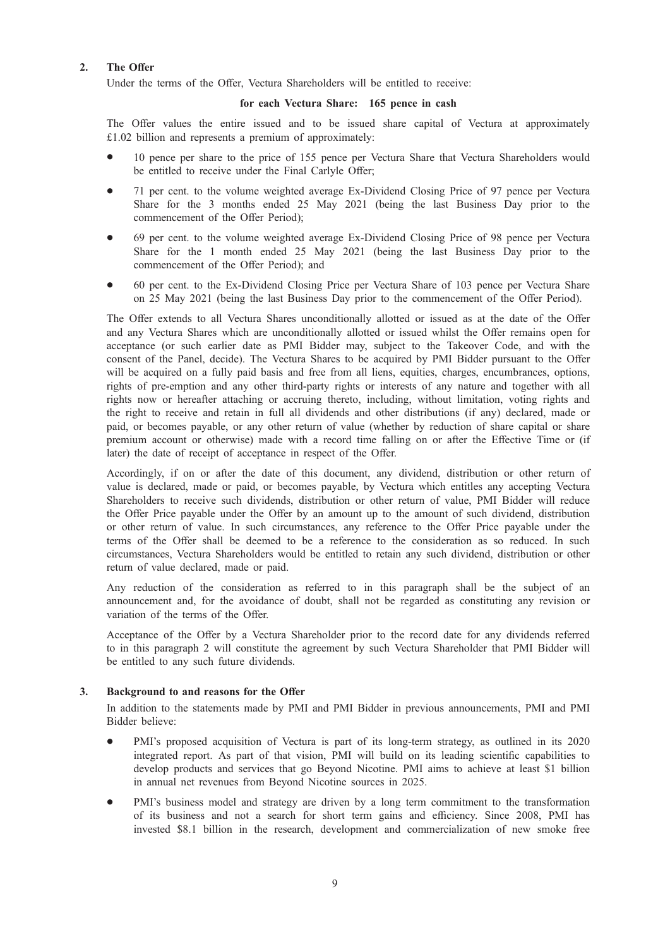## 2. The Offer

Under the terms of the Offer, Vectura Shareholders will be entitled to receive:

#### for each Vectura Share: 165 pence in cash

The Offer values the entire issued and to be issued share capital of Vectura at approximately £1.02 billion and represents a premium of approximately:

- 10 pence per share to the price of 155 pence per Vectura Share that Vectura Shareholders would be entitled to receive under the Final Carlyle Offer;
- \* 71 per cent. to the volume weighted average Ex-Dividend Closing Price of 97 pence per Vectura Share for the 3 months ended 25 May 2021 (being the last Business Day prior to the commencement of the Offer Period);
- \* 69 per cent. to the volume weighted average Ex-Dividend Closing Price of 98 pence per Vectura Share for the 1 month ended 25 May 2021 (being the last Business Day prior to the commencement of the Offer Period); and
- 60 per cent. to the Ex-Dividend Closing Price per Vectura Share of 103 pence per Vectura Share on 25 May 2021 (being the last Business Day prior to the commencement of the Offer Period).

The Offer extends to all Vectura Shares unconditionally allotted or issued as at the date of the Offer and any Vectura Shares which are unconditionally allotted or issued whilst the Offer remains open for acceptance (or such earlier date as PMI Bidder may, subject to the Takeover Code, and with the consent of the Panel, decide). The Vectura Shares to be acquired by PMI Bidder pursuant to the Offer will be acquired on a fully paid basis and free from all liens, equities, charges, encumbrances, options, rights of pre-emption and any other third-party rights or interests of any nature and together with all rights now or hereafter attaching or accruing thereto, including, without limitation, voting rights and the right to receive and retain in full all dividends and other distributions (if any) declared, made or paid, or becomes payable, or any other return of value (whether by reduction of share capital or share premium account or otherwise) made with a record time falling on or after the Effective Time or (if later) the date of receipt of acceptance in respect of the Offer.

Accordingly, if on or after the date of this document, any dividend, distribution or other return of value is declared, made or paid, or becomes payable, by Vectura which entitles any accepting Vectura Shareholders to receive such dividends, distribution or other return of value, PMI Bidder will reduce the Offer Price payable under the Offer by an amount up to the amount of such dividend, distribution or other return of value. In such circumstances, any reference to the Offer Price payable under the terms of the Offer shall be deemed to be a reference to the consideration as so reduced. In such circumstances, Vectura Shareholders would be entitled to retain any such dividend, distribution or other return of value declared, made or paid.

Any reduction of the consideration as referred to in this paragraph shall be the subject of an announcement and, for the avoidance of doubt, shall not be regarded as constituting any revision or variation of the terms of the Offer.

Acceptance of the Offer by a Vectura Shareholder prior to the record date for any dividends referred to in this paragraph 2 will constitute the agreement by such Vectura Shareholder that PMI Bidder will be entitled to any such future dividends.

#### 3. Background to and reasons for the Offer

In addition to the statements made by PMI and PMI Bidder in previous announcements, PMI and PMI Bidder believe:

- PMI's proposed acquisition of Vectura is part of its long-term strategy, as outlined in its 2020 integrated report. As part of that vision, PMI will build on its leading scientific capabilities to develop products and services that go Beyond Nicotine. PMI aims to achieve at least \$1 billion in annual net revenues from Beyond Nicotine sources in 2025.
- PMI's business model and strategy are driven by a long term commitment to the transformation of its business and not a search for short term gains and efficiency. Since 2008, PMI has invested \$8.1 billion in the research, development and commercialization of new smoke free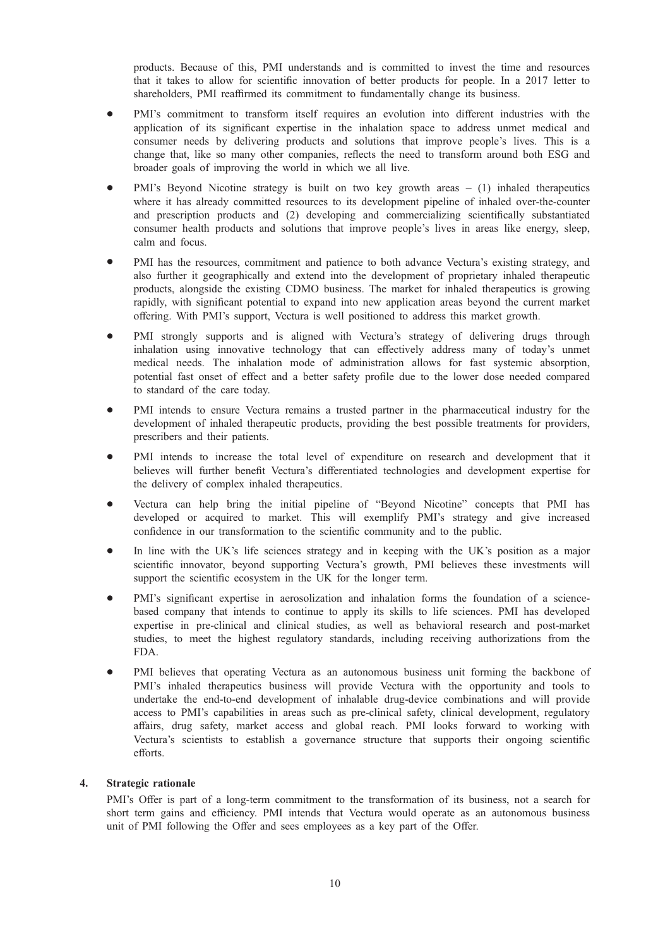products. Because of this, PMI understands and is committed to invest the time and resources that it takes to allow for scientific innovation of better products for people. In a 2017 letter to shareholders, PMI reaffirmed its commitment to fundamentally change its business.

- PMI's commitment to transform itself requires an evolution into different industries with the application of its significant expertise in the inhalation space to address unmet medical and consumer needs by delivering products and solutions that improve people's lives. This is a change that, like so many other companies, reflects the need to transform around both ESG and broader goals of improving the world in which we all live.
- PMI's Beyond Nicotine strategy is built on two key growth areas (1) inhaled therapeutics where it has already committed resources to its development pipeline of inhaled over-the-counter and prescription products and (2) developing and commercializing scientifically substantiated consumer health products and solutions that improve people's lives in areas like energy, sleep, calm and focus.
- PMI has the resources, commitment and patience to both advance Vectura's existing strategy, and also further it geographically and extend into the development of proprietary inhaled therapeutic products, alongside the existing CDMO business. The market for inhaled therapeutics is growing rapidly, with significant potential to expand into new application areas beyond the current market offering. With PMI's support, Vectura is well positioned to address this market growth.
- PMI strongly supports and is aligned with Vectura's strategy of delivering drugs through inhalation using innovative technology that can effectively address many of today's unmet medical needs. The inhalation mode of administration allows for fast systemic absorption, potential fast onset of effect and a better safety profile due to the lower dose needed compared to standard of the care today.
- PMI intends to ensure Vectura remains a trusted partner in the pharmaceutical industry for the development of inhaled therapeutic products, providing the best possible treatments for providers, prescribers and their patients.
- \* PMI intends to increase the total level of expenditure on research and development that it believes will further benefit Vectura's differentiated technologies and development expertise for the delivery of complex inhaled therapeutics.
- Vectura can help bring the initial pipeline of "Beyond Nicotine" concepts that PMI has developed or acquired to market. This will exemplify PMI's strategy and give increased confidence in our transformation to the scientific community and to the public.
- In line with the UK's life sciences strategy and in keeping with the UK's position as a major scientific innovator, beyond supporting Vectura's growth, PMI believes these investments will support the scientific ecosystem in the UK for the longer term.
- PMI's significant expertise in aerosolization and inhalation forms the foundation of a sciencebased company that intends to continue to apply its skills to life sciences. PMI has developed expertise in pre-clinical and clinical studies, as well as behavioral research and post-market studies, to meet the highest regulatory standards, including receiving authorizations from the FDA.
- PMI believes that operating Vectura as an autonomous business unit forming the backbone of PMI's inhaled therapeutics business will provide Vectura with the opportunity and tools to undertake the end-to-end development of inhalable drug-device combinations and will provide access to PMI's capabilities in areas such as pre-clinical safety, clinical development, regulatory affairs, drug safety, market access and global reach. PMI looks forward to working with Vectura's scientists to establish a governance structure that supports their ongoing scientific efforts.

## 4. Strategic rationale

PMI's Offer is part of a long-term commitment to the transformation of its business, not a search for short term gains and efficiency. PMI intends that Vectura would operate as an autonomous business unit of PMI following the Offer and sees employees as a key part of the Offer.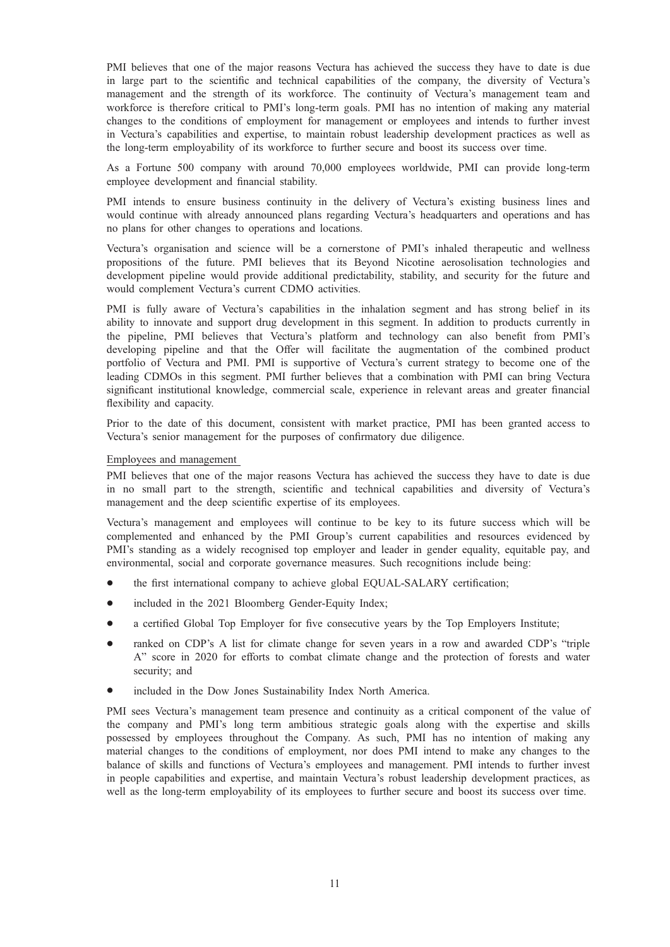PMI believes that one of the major reasons Vectura has achieved the success they have to date is due in large part to the scientific and technical capabilities of the company, the diversity of Vectura's management and the strength of its workforce. The continuity of Vectura's management team and workforce is therefore critical to PMI's long-term goals. PMI has no intention of making any material changes to the conditions of employment for management or employees and intends to further invest in Vectura's capabilities and expertise, to maintain robust leadership development practices as well as the long-term employability of its workforce to further secure and boost its success over time.

As a Fortune 500 company with around 70,000 employees worldwide, PMI can provide long-term employee development and financial stability.

PMI intends to ensure business continuity in the delivery of Vectura's existing business lines and would continue with already announced plans regarding Vectura's headquarters and operations and has no plans for other changes to operations and locations.

Vectura's organisation and science will be a cornerstone of PMI's inhaled therapeutic and wellness propositions of the future. PMI believes that its Beyond Nicotine aerosolisation technologies and development pipeline would provide additional predictability, stability, and security for the future and would complement Vectura's current CDMO activities.

PMI is fully aware of Vectura's capabilities in the inhalation segment and has strong belief in its ability to innovate and support drug development in this segment. In addition to products currently in the pipeline, PMI believes that Vectura's platform and technology can also benefit from PMI's developing pipeline and that the Offer will facilitate the augmentation of the combined product portfolio of Vectura and PMI. PMI is supportive of Vectura's current strategy to become one of the leading CDMOs in this segment. PMI further believes that a combination with PMI can bring Vectura significant institutional knowledge, commercial scale, experience in relevant areas and greater financial flexibility and capacity.

Prior to the date of this document, consistent with market practice, PMI has been granted access to Vectura's senior management for the purposes of confirmatory due diligence.

#### Employees and management

PMI believes that one of the major reasons Vectura has achieved the success they have to date is due in no small part to the strength, scientific and technical capabilities and diversity of Vectura's management and the deep scientific expertise of its employees.

Vectura's management and employees will continue to be key to its future success which will be complemented and enhanced by the PMI Group's current capabilities and resources evidenced by PMI's standing as a widely recognised top employer and leader in gender equality, equitable pay, and environmental, social and corporate governance measures. Such recognitions include being:

- the first international company to achieve global EQUAL-SALARY certification;
- included in the 2021 Bloomberg Gender-Equity Index;
- a certified Global Top Employer for five consecutive years by the Top Employers Institute;
- ranked on CDP's A list for climate change for seven years in a row and awarded CDP's "triple" A" score in 2020 for efforts to combat climate change and the protection of forests and water security; and
- included in the Dow Jones Sustainability Index North America.

PMI sees Vectura's management team presence and continuity as a critical component of the value of the company and PMI's long term ambitious strategic goals along with the expertise and skills possessed by employees throughout the Company. As such, PMI has no intention of making any material changes to the conditions of employment, nor does PMI intend to make any changes to the balance of skills and functions of Vectura's employees and management. PMI intends to further invest in people capabilities and expertise, and maintain Vectura's robust leadership development practices, as well as the long-term employability of its employees to further secure and boost its success over time.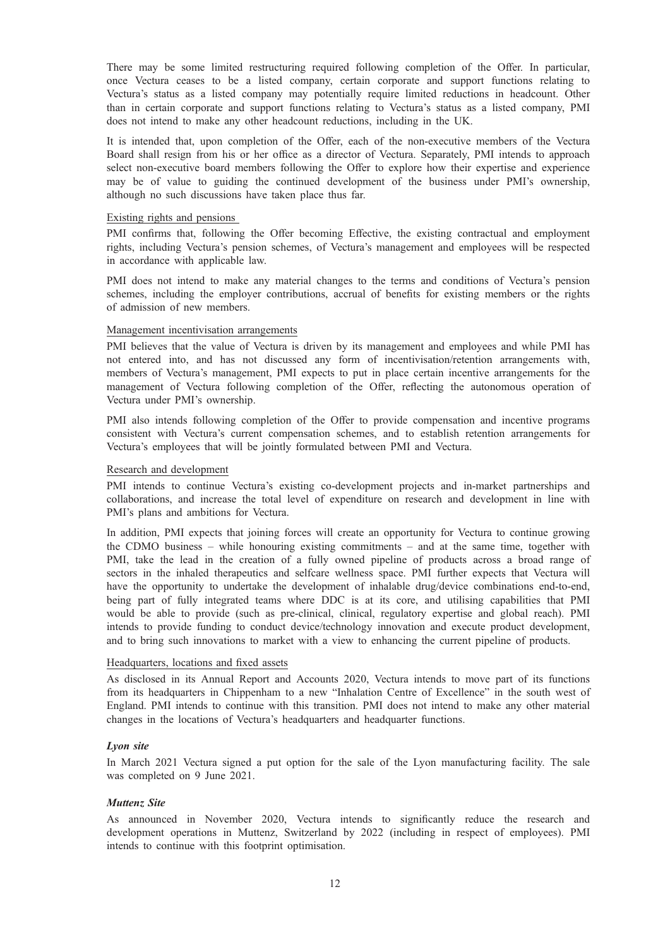There may be some limited restructuring required following completion of the Offer. In particular, once Vectura ceases to be a listed company, certain corporate and support functions relating to Vectura's status as a listed company may potentially require limited reductions in headcount. Other than in certain corporate and support functions relating to Vectura's status as a listed company, PMI does not intend to make any other headcount reductions, including in the UK.

It is intended that, upon completion of the Offer, each of the non-executive members of the Vectura Board shall resign from his or her office as a director of Vectura. Separately, PMI intends to approach select non-executive board members following the Offer to explore how their expertise and experience may be of value to guiding the continued development of the business under PMI's ownership, although no such discussions have taken place thus far.

#### Existing rights and pensions

PMI confirms that, following the Offer becoming Effective, the existing contractual and employment rights, including Vectura's pension schemes, of Vectura's management and employees will be respected in accordance with applicable law.

PMI does not intend to make any material changes to the terms and conditions of Vectura's pension schemes, including the employer contributions, accrual of benefits for existing members or the rights of admission of new members.

#### Management incentivisation arrangements

PMI believes that the value of Vectura is driven by its management and employees and while PMI has not entered into, and has not discussed any form of incentivisation/retention arrangements with, members of Vectura's management, PMI expects to put in place certain incentive arrangements for the management of Vectura following completion of the Offer, reflecting the autonomous operation of Vectura under PMI's ownership.

PMI also intends following completion of the Offer to provide compensation and incentive programs consistent with Vectura's current compensation schemes, and to establish retention arrangements for Vectura's employees that will be jointly formulated between PMI and Vectura.

#### Research and development

PMI intends to continue Vectura's existing co-development projects and in-market partnerships and collaborations, and increase the total level of expenditure on research and development in line with PMI's plans and ambitions for Vectura.

In addition, PMI expects that joining forces will create an opportunity for Vectura to continue growing the CDMO business – while honouring existing commitments – and at the same time, together with PMI, take the lead in the creation of a fully owned pipeline of products across a broad range of sectors in the inhaled therapeutics and selfcare wellness space. PMI further expects that Vectura will have the opportunity to undertake the development of inhalable drug/device combinations end-to-end, being part of fully integrated teams where DDC is at its core, and utilising capabilities that PMI would be able to provide (such as pre-clinical, clinical, regulatory expertise and global reach). PMI intends to provide funding to conduct device/technology innovation and execute product development, and to bring such innovations to market with a view to enhancing the current pipeline of products.

#### Headquarters, locations and fixed assets

As disclosed in its Annual Report and Accounts 2020, Vectura intends to move part of its functions from its headquarters in Chippenham to a new "Inhalation Centre of Excellence" in the south west of England. PMI intends to continue with this transition. PMI does not intend to make any other material changes in the locations of Vectura's headquarters and headquarter functions.

#### Lyon site

In March 2021 Vectura signed a put option for the sale of the Lyon manufacturing facility. The sale was completed on 9 June 2021.

#### Muttenz Site

As announced in November 2020, Vectura intends to significantly reduce the research and development operations in Muttenz, Switzerland by 2022 (including in respect of employees). PMI intends to continue with this footprint optimisation.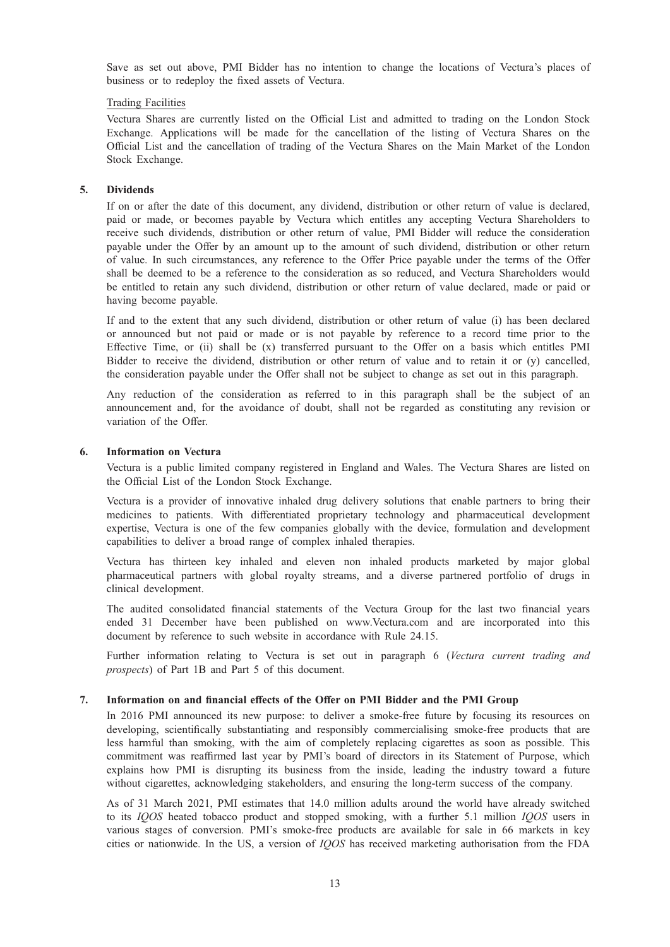Save as set out above, PMI Bidder has no intention to change the locations of Vectura's places of business or to redeploy the fixed assets of Vectura.

## Trading Facilities

Vectura Shares are currently listed on the Official List and admitted to trading on the London Stock Exchange. Applications will be made for the cancellation of the listing of Vectura Shares on the Official List and the cancellation of trading of the Vectura Shares on the Main Market of the London Stock Exchange.

## 5. Dividends

If on or after the date of this document, any dividend, distribution or other return of value is declared, paid or made, or becomes payable by Vectura which entitles any accepting Vectura Shareholders to receive such dividends, distribution or other return of value, PMI Bidder will reduce the consideration payable under the Offer by an amount up to the amount of such dividend, distribution or other return of value. In such circumstances, any reference to the Offer Price payable under the terms of the Offer shall be deemed to be a reference to the consideration as so reduced, and Vectura Shareholders would be entitled to retain any such dividend, distribution or other return of value declared, made or paid or having become payable.

If and to the extent that any such dividend, distribution or other return of value (i) has been declared or announced but not paid or made or is not payable by reference to a record time prior to the Effective Time, or (ii) shall be (x) transferred pursuant to the Offer on a basis which entitles PMI Bidder to receive the dividend, distribution or other return of value and to retain it or (y) cancelled, the consideration payable under the Offer shall not be subject to change as set out in this paragraph.

Any reduction of the consideration as referred to in this paragraph shall be the subject of an announcement and, for the avoidance of doubt, shall not be regarded as constituting any revision or variation of the Offer.

#### 6. Information on Vectura

Vectura is a public limited company registered in England and Wales. The Vectura Shares are listed on the Official List of the London Stock Exchange.

Vectura is a provider of innovative inhaled drug delivery solutions that enable partners to bring their medicines to patients. With differentiated proprietary technology and pharmaceutical development expertise, Vectura is one of the few companies globally with the device, formulation and development capabilities to deliver a broad range of complex inhaled therapies.

Vectura has thirteen key inhaled and eleven non inhaled products marketed by major global pharmaceutical partners with global royalty streams, and a diverse partnered portfolio of drugs in clinical development.

The audited consolidated financial statements of the Vectura Group for the last two financial years ended 31 December have been published on www.Vectura.com and are incorporated into this document by reference to such website in accordance with Rule 24.15.

Further information relating to Vectura is set out in paragraph 6 (Vectura current trading and prospects) of Part 1B and Part 5 of this document.

#### 7. Information on and financial effects of the Offer on PMI Bidder and the PMI Group

In 2016 PMI announced its new purpose: to deliver a smoke-free future by focusing its resources on developing, scientifically substantiating and responsibly commercialising smoke-free products that are less harmful than smoking, with the aim of completely replacing cigarettes as soon as possible. This commitment was reaffirmed last year by PMI's board of directors in its Statement of Purpose, which explains how PMI is disrupting its business from the inside, leading the industry toward a future without cigarettes, acknowledging stakeholders, and ensuring the long-term success of the company.

As of 31 March 2021, PMI estimates that 14.0 million adults around the world have already switched to its IQOS heated tobacco product and stopped smoking, with a further 5.1 million IQOS users in various stages of conversion. PMI's smoke-free products are available for sale in 66 markets in key cities or nationwide. In the US, a version of IQOS has received marketing authorisation from the FDA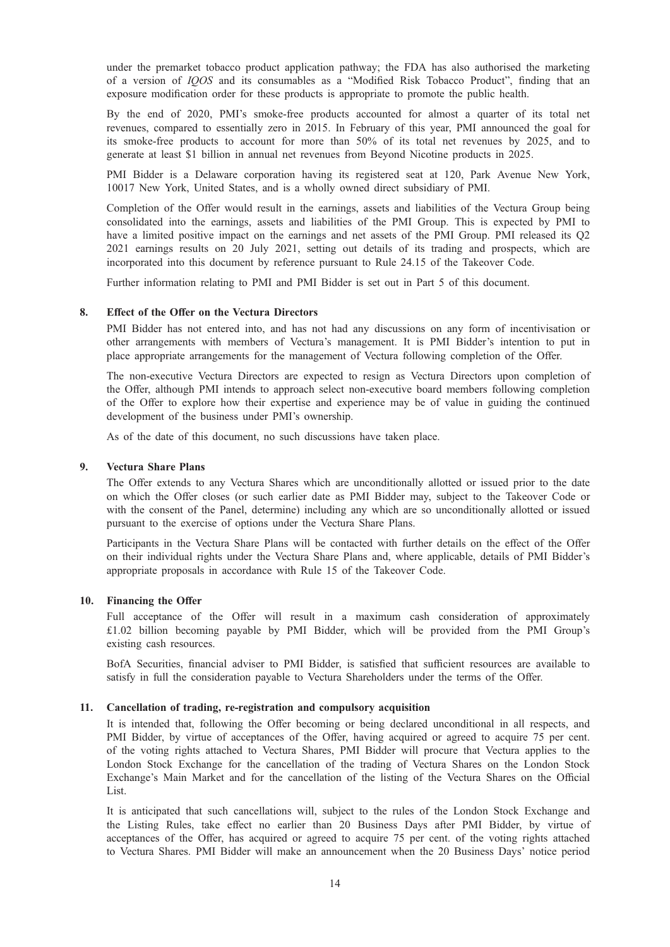under the premarket tobacco product application pathway; the FDA has also authorised the marketing of a version of IQOS and its consumables as a "Modified Risk Tobacco Product", finding that an exposure modification order for these products is appropriate to promote the public health.

By the end of 2020, PMI's smoke-free products accounted for almost a quarter of its total net revenues, compared to essentially zero in 2015. In February of this year, PMI announced the goal for its smoke-free products to account for more than 50% of its total net revenues by 2025, and to generate at least \$1 billion in annual net revenues from Beyond Nicotine products in 2025.

PMI Bidder is a Delaware corporation having its registered seat at 120, Park Avenue New York, 10017 New York, United States, and is a wholly owned direct subsidiary of PMI.

Completion of the Offer would result in the earnings, assets and liabilities of the Vectura Group being consolidated into the earnings, assets and liabilities of the PMI Group. This is expected by PMI to have a limited positive impact on the earnings and net assets of the PMI Group. PMI released its Q2 2021 earnings results on 20 July 2021, setting out details of its trading and prospects, which are incorporated into this document by reference pursuant to Rule 24.15 of the Takeover Code.

Further information relating to PMI and PMI Bidder is set out in Part 5 of this document.

#### 8. Effect of the Offer on the Vectura Directors

PMI Bidder has not entered into, and has not had any discussions on any form of incentivisation or other arrangements with members of Vectura's management. It is PMI Bidder's intention to put in place appropriate arrangements for the management of Vectura following completion of the Offer.

The non-executive Vectura Directors are expected to resign as Vectura Directors upon completion of the Offer, although PMI intends to approach select non-executive board members following completion of the Offer to explore how their expertise and experience may be of value in guiding the continued development of the business under PMI's ownership.

As of the date of this document, no such discussions have taken place.

#### 9. Vectura Share Plans

The Offer extends to any Vectura Shares which are unconditionally allotted or issued prior to the date on which the Offer closes (or such earlier date as PMI Bidder may, subject to the Takeover Code or with the consent of the Panel, determine) including any which are so unconditionally allotted or issued pursuant to the exercise of options under the Vectura Share Plans.

Participants in the Vectura Share Plans will be contacted with further details on the effect of the Offer on their individual rights under the Vectura Share Plans and, where applicable, details of PMI Bidder's appropriate proposals in accordance with Rule 15 of the Takeover Code.

#### 10. Financing the Offer

Full acceptance of the Offer will result in a maximum cash consideration of approximately £1.02 billion becoming payable by PMI Bidder, which will be provided from the PMI Group's existing cash resources.

BofA Securities, financial adviser to PMI Bidder, is satisfied that sufficient resources are available to satisfy in full the consideration payable to Vectura Shareholders under the terms of the Offer.

### 11. Cancellation of trading, re-registration and compulsory acquisition

It is intended that, following the Offer becoming or being declared unconditional in all respects, and PMI Bidder, by virtue of acceptances of the Offer, having acquired or agreed to acquire 75 per cent. of the voting rights attached to Vectura Shares, PMI Bidder will procure that Vectura applies to the London Stock Exchange for the cancellation of the trading of Vectura Shares on the London Stock Exchange's Main Market and for the cancellation of the listing of the Vectura Shares on the Official List.

It is anticipated that such cancellations will, subject to the rules of the London Stock Exchange and the Listing Rules, take effect no earlier than 20 Business Days after PMI Bidder, by virtue of acceptances of the Offer, has acquired or agreed to acquire 75 per cent. of the voting rights attached to Vectura Shares. PMI Bidder will make an announcement when the 20 Business Days' notice period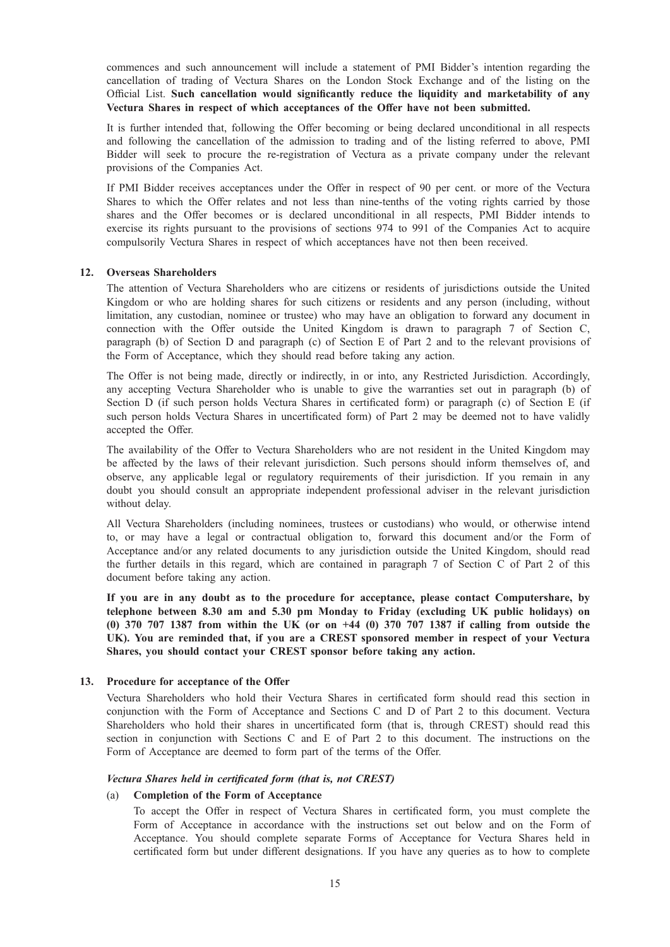commences and such announcement will include a statement of PMI Bidder's intention regarding the cancellation of trading of Vectura Shares on the London Stock Exchange and of the listing on the Official List. Such cancellation would significantly reduce the liquidity and marketability of any Vectura Shares in respect of which acceptances of the Offer have not been submitted.

It is further intended that, following the Offer becoming or being declared unconditional in all respects and following the cancellation of the admission to trading and of the listing referred to above, PMI Bidder will seek to procure the re-registration of Vectura as a private company under the relevant provisions of the Companies Act.

If PMI Bidder receives acceptances under the Offer in respect of 90 per cent. or more of the Vectura Shares to which the Offer relates and not less than nine-tenths of the voting rights carried by those shares and the Offer becomes or is declared unconditional in all respects, PMI Bidder intends to exercise its rights pursuant to the provisions of sections 974 to 991 of the Companies Act to acquire compulsorily Vectura Shares in respect of which acceptances have not then been received.

#### 12. Overseas Shareholders

The attention of Vectura Shareholders who are citizens or residents of jurisdictions outside the United Kingdom or who are holding shares for such citizens or residents and any person (including, without limitation, any custodian, nominee or trustee) who may have an obligation to forward any document in connection with the Offer outside the United Kingdom is drawn to paragraph 7 of Section C, paragraph (b) of Section D and paragraph (c) of Section E of Part 2 and to the relevant provisions of the Form of Acceptance, which they should read before taking any action.

The Offer is not being made, directly or indirectly, in or into, any Restricted Jurisdiction. Accordingly, any accepting Vectura Shareholder who is unable to give the warranties set out in paragraph (b) of Section D (if such person holds Vectura Shares in certificated form) or paragraph (c) of Section E (if such person holds Vectura Shares in uncertificated form) of Part 2 may be deemed not to have validly accepted the Offer.

The availability of the Offer to Vectura Shareholders who are not resident in the United Kingdom may be affected by the laws of their relevant jurisdiction. Such persons should inform themselves of, and observe, any applicable legal or regulatory requirements of their jurisdiction. If you remain in any doubt you should consult an appropriate independent professional adviser in the relevant jurisdiction without delay.

All Vectura Shareholders (including nominees, trustees or custodians) who would, or otherwise intend to, or may have a legal or contractual obligation to, forward this document and/or the Form of Acceptance and/or any related documents to any jurisdiction outside the United Kingdom, should read the further details in this regard, which are contained in paragraph 7 of Section C of Part 2 of this document before taking any action.

If you are in any doubt as to the procedure for acceptance, please contact Computershare, by telephone between 8.30 am and 5.30 pm Monday to Friday (excluding UK public holidays) on (0) 370 707 1387 from within the UK (or on +44 (0) 370 707 1387 if calling from outside the UK). You are reminded that, if you are a CREST sponsored member in respect of your Vectura Shares, you should contact your CREST sponsor before taking any action.

### 13. Procedure for acceptance of the Offer

Vectura Shareholders who hold their Vectura Shares in certificated form should read this section in conjunction with the Form of Acceptance and Sections C and D of Part 2 to this document. Vectura Shareholders who hold their shares in uncertificated form (that is, through CREST) should read this section in conjunction with Sections C and E of Part 2 to this document. The instructions on the Form of Acceptance are deemed to form part of the terms of the Offer.

#### Vectura Shares held in certificated form (that is, not CREST)

### (a) Completion of the Form of Acceptance

To accept the Offer in respect of Vectura Shares in certificated form, you must complete the Form of Acceptance in accordance with the instructions set out below and on the Form of Acceptance. You should complete separate Forms of Acceptance for Vectura Shares held in certificated form but under different designations. If you have any queries as to how to complete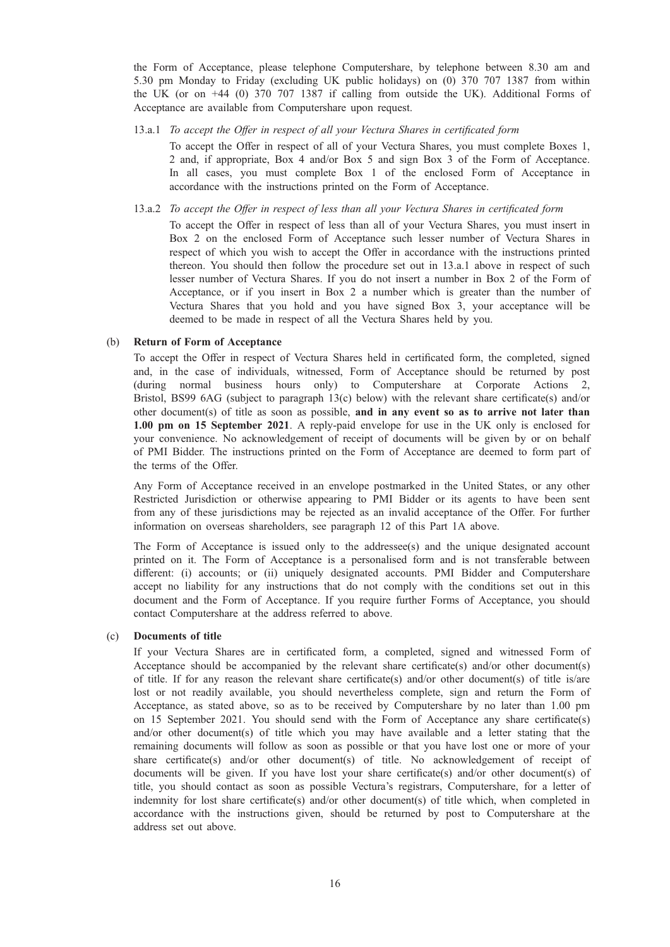the Form of Acceptance, please telephone Computershare, by telephone between 8.30 am and 5.30 pm Monday to Friday (excluding UK public holidays) on (0) 370 707 1387 from within the UK (or on +44 (0) 370 707 1387 if calling from outside the UK). Additional Forms of Acceptance are available from Computershare upon request.

13.a.1 To accept the Offer in respect of all your Vectura Shares in certificated form

To accept the Offer in respect of all of your Vectura Shares, you must complete Boxes 1, 2 and, if appropriate, Box 4 and/or Box 5 and sign Box 3 of the Form of Acceptance. In all cases, you must complete Box 1 of the enclosed Form of Acceptance in accordance with the instructions printed on the Form of Acceptance.

13.a.2 To accept the Offer in respect of less than all your Vectura Shares in certificated form

To accept the Offer in respect of less than all of your Vectura Shares, you must insert in Box 2 on the enclosed Form of Acceptance such lesser number of Vectura Shares in respect of which you wish to accept the Offer in accordance with the instructions printed thereon. You should then follow the procedure set out in 13.a.1 above in respect of such lesser number of Vectura Shares. If you do not insert a number in Box 2 of the Form of Acceptance, or if you insert in Box 2 a number which is greater than the number of Vectura Shares that you hold and you have signed Box 3, your acceptance will be deemed to be made in respect of all the Vectura Shares held by you.

#### (b) Return of Form of Acceptance

To accept the Offer in respect of Vectura Shares held in certificated form, the completed, signed and, in the case of individuals, witnessed, Form of Acceptance should be returned by post (during normal business hours only) to Computershare at Corporate Actions 2, Bristol, BS99 6AG (subject to paragraph 13(c) below) with the relevant share certificate(s) and/or other document(s) of title as soon as possible, and in any event so as to arrive not later than 1.00 pm on 15 September 2021. A reply-paid envelope for use in the UK only is enclosed for your convenience. No acknowledgement of receipt of documents will be given by or on behalf of PMI Bidder. The instructions printed on the Form of Acceptance are deemed to form part of the terms of the Offer.

Any Form of Acceptance received in an envelope postmarked in the United States, or any other Restricted Jurisdiction or otherwise appearing to PMI Bidder or its agents to have been sent from any of these jurisdictions may be rejected as an invalid acceptance of the Offer. For further information on overseas shareholders, see paragraph 12 of this Part 1A above.

The Form of Acceptance is issued only to the addressee(s) and the unique designated account printed on it. The Form of Acceptance is a personalised form and is not transferable between different: (i) accounts; or (ii) uniquely designated accounts. PMI Bidder and Computershare accept no liability for any instructions that do not comply with the conditions set out in this document and the Form of Acceptance. If you require further Forms of Acceptance, you should contact Computershare at the address referred to above.

### (c) Documents of title

If your Vectura Shares are in certificated form, a completed, signed and witnessed Form of Acceptance should be accompanied by the relevant share certificate(s) and/or other document(s) of title. If for any reason the relevant share certificate(s) and/or other document(s) of title is/are lost or not readily available, you should nevertheless complete, sign and return the Form of Acceptance, as stated above, so as to be received by Computershare by no later than 1.00 pm on 15 September 2021. You should send with the Form of Acceptance any share certificate(s) and/or other document(s) of title which you may have available and a letter stating that the remaining documents will follow as soon as possible or that you have lost one or more of your share certificate(s) and/or other document(s) of title. No acknowledgement of receipt of documents will be given. If you have lost your share certificate(s) and/or other document(s) of title, you should contact as soon as possible Vectura's registrars, Computershare, for a letter of indemnity for lost share certificate(s) and/or other document(s) of title which, when completed in accordance with the instructions given, should be returned by post to Computershare at the address set out above.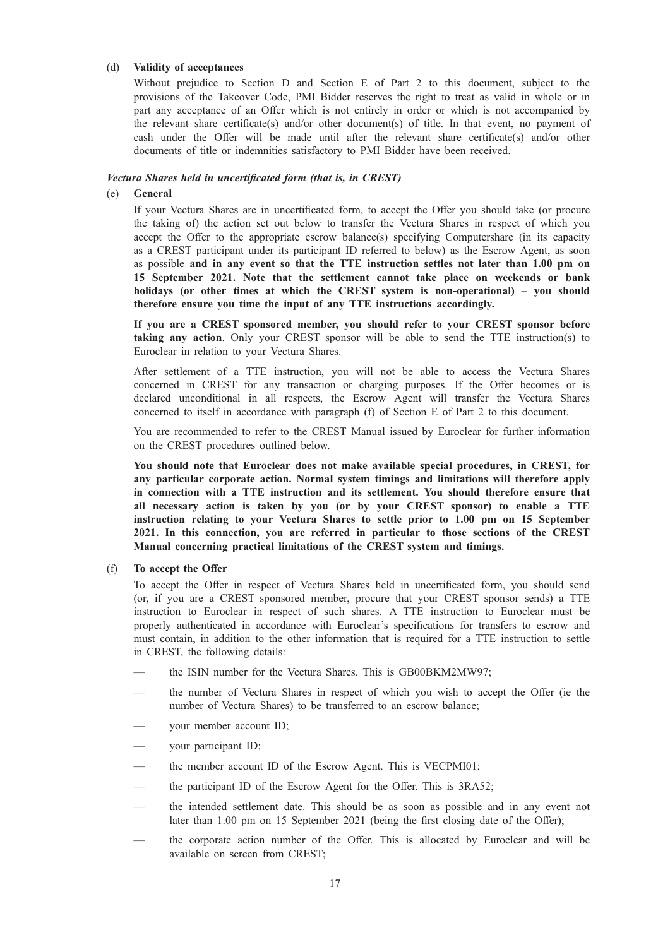#### (d) Validity of acceptances

Without prejudice to Section D and Section E of Part 2 to this document, subject to the provisions of the Takeover Code, PMI Bidder reserves the right to treat as valid in whole or in part any acceptance of an Offer which is not entirely in order or which is not accompanied by the relevant share certificate(s) and/or other document(s) of title. In that event, no payment of cash under the Offer will be made until after the relevant share certificate(s) and/or other documents of title or indemnities satisfactory to PMI Bidder have been received.

### Vectura Shares held in uncertificated form (that is, in CREST)

### (e) General

If your Vectura Shares are in uncertificated form, to accept the Offer you should take (or procure the taking of) the action set out below to transfer the Vectura Shares in respect of which you accept the Offer to the appropriate escrow balance(s) specifying Computershare (in its capacity as a CREST participant under its participant ID referred to below) as the Escrow Agent, as soon as possible and in any event so that the TTE instruction settles not later than 1.00 pm on 15 September 2021. Note that the settlement cannot take place on weekends or bank holidays (or other times at which the CREST system is non-operational) – you should therefore ensure you time the input of any TTE instructions accordingly.

If you are a CREST sponsored member, you should refer to your CREST sponsor before taking any action. Only your CREST sponsor will be able to send the TTE instruction(s) to Euroclear in relation to your Vectura Shares.

After settlement of a TTE instruction, you will not be able to access the Vectura Shares concerned in CREST for any transaction or charging purposes. If the Offer becomes or is declared unconditional in all respects, the Escrow Agent will transfer the Vectura Shares concerned to itself in accordance with paragraph (f) of Section E of Part 2 to this document.

You are recommended to refer to the CREST Manual issued by Euroclear for further information on the CREST procedures outlined below.

You should note that Euroclear does not make available special procedures, in CREST, for any particular corporate action. Normal system timings and limitations will therefore apply in connection with a TTE instruction and its settlement. You should therefore ensure that all necessary action is taken by you (or by your CREST sponsor) to enable a TTE instruction relating to your Vectura Shares to settle prior to 1.00 pm on 15 September 2021. In this connection, you are referred in particular to those sections of the CREST Manual concerning practical limitations of the CREST system and timings.

### (f) To accept the Offer

To accept the Offer in respect of Vectura Shares held in uncertificated form, you should send (or, if you are a CREST sponsored member, procure that your CREST sponsor sends) a TTE instruction to Euroclear in respect of such shares. A TTE instruction to Euroclear must be properly authenticated in accordance with Euroclear's specifications for transfers to escrow and must contain, in addition to the other information that is required for a TTE instruction to settle in CREST, the following details:

- the ISIN number for the Vectura Shares. This is GB00BKM2MW97;
- the number of Vectura Shares in respect of which you wish to accept the Offer (ie the number of Vectura Shares) to be transferred to an escrow balance;
- your member account ID;
- your participant ID;
- the member account ID of the Escrow Agent. This is VECPMI01;
- the participant ID of the Escrow Agent for the Offer. This is 3RA52;
- the intended settlement date. This should be as soon as possible and in any event not later than 1.00 pm on 15 September 2021 (being the first closing date of the Offer);
- the corporate action number of the Offer. This is allocated by Euroclear and will be available on screen from CREST;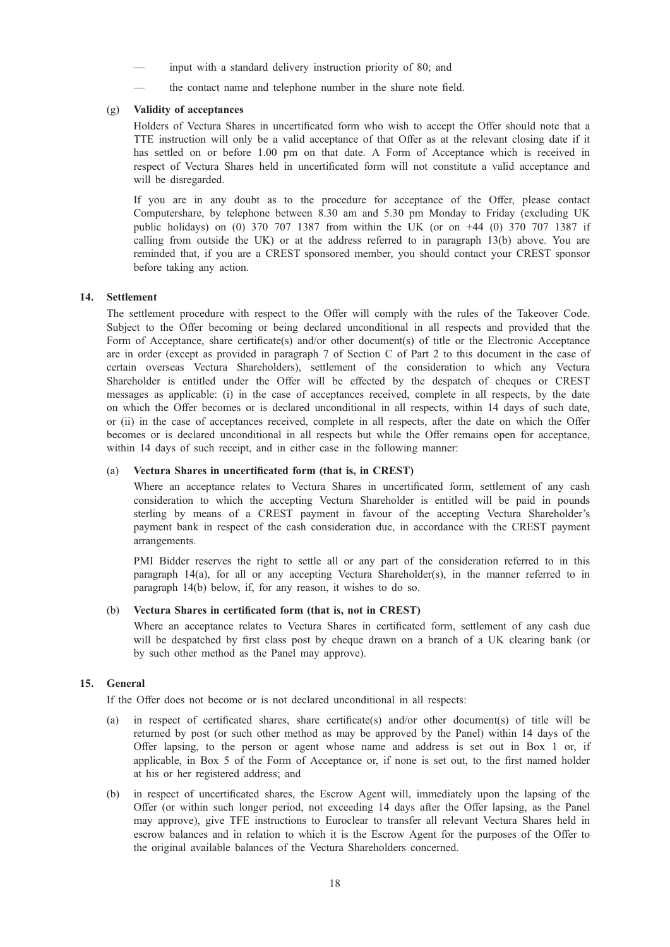- input with a standard delivery instruction priority of 80; and
- the contact name and telephone number in the share note field.

#### (g) Validity of acceptances

Holders of Vectura Shares in uncertificated form who wish to accept the Offer should note that a TTE instruction will only be a valid acceptance of that Offer as at the relevant closing date if it has settled on or before 1.00 pm on that date. A Form of Acceptance which is received in respect of Vectura Shares held in uncertificated form will not constitute a valid acceptance and will be disregarded.

If you are in any doubt as to the procedure for acceptance of the Offer, please contact Computershare, by telephone between 8.30 am and 5.30 pm Monday to Friday (excluding UK public holidays) on (0) 370 707 1387 from within the UK (or on +44 (0) 370 707 1387 if calling from outside the UK) or at the address referred to in paragraph 13(b) above. You are reminded that, if you are a CREST sponsored member, you should contact your CREST sponsor before taking any action.

#### 14. Settlement

The settlement procedure with respect to the Offer will comply with the rules of the Takeover Code. Subject to the Offer becoming or being declared unconditional in all respects and provided that the Form of Acceptance, share certificate(s) and/or other document(s) of title or the Electronic Acceptance are in order (except as provided in paragraph 7 of Section C of Part 2 to this document in the case of certain overseas Vectura Shareholders), settlement of the consideration to which any Vectura Shareholder is entitled under the Offer will be effected by the despatch of cheques or CREST messages as applicable: (i) in the case of acceptances received, complete in all respects, by the date on which the Offer becomes or is declared unconditional in all respects, within 14 days of such date, or (ii) in the case of acceptances received, complete in all respects, after the date on which the Offer becomes or is declared unconditional in all respects but while the Offer remains open for acceptance, within 14 days of such receipt, and in either case in the following manner:

#### (a) Vectura Shares in uncertificated form (that is, in CREST)

Where an acceptance relates to Vectura Shares in uncertificated form, settlement of any cash consideration to which the accepting Vectura Shareholder is entitled will be paid in pounds sterling by means of a CREST payment in favour of the accepting Vectura Shareholder's payment bank in respect of the cash consideration due, in accordance with the CREST payment arrangements.

PMI Bidder reserves the right to settle all or any part of the consideration referred to in this paragraph 14(a), for all or any accepting Vectura Shareholder(s), in the manner referred to in paragraph 14(b) below, if, for any reason, it wishes to do so.

## (b) Vectura Shares in certificated form (that is, not in CREST)

Where an acceptance relates to Vectura Shares in certificated form, settlement of any cash due will be despatched by first class post by cheque drawn on a branch of a UK clearing bank (or by such other method as the Panel may approve).

## 15. General

If the Offer does not become or is not declared unconditional in all respects:

- (a) in respect of certificated shares, share certificate(s) and/or other document(s) of title will be returned by post (or such other method as may be approved by the Panel) within 14 days of the Offer lapsing, to the person or agent whose name and address is set out in Box 1 or, if applicable, in Box 5 of the Form of Acceptance or, if none is set out, to the first named holder at his or her registered address; and
- (b) in respect of uncertificated shares, the Escrow Agent will, immediately upon the lapsing of the Offer (or within such longer period, not exceeding 14 days after the Offer lapsing, as the Panel may approve), give TFE instructions to Euroclear to transfer all relevant Vectura Shares held in escrow balances and in relation to which it is the Escrow Agent for the purposes of the Offer to the original available balances of the Vectura Shareholders concerned.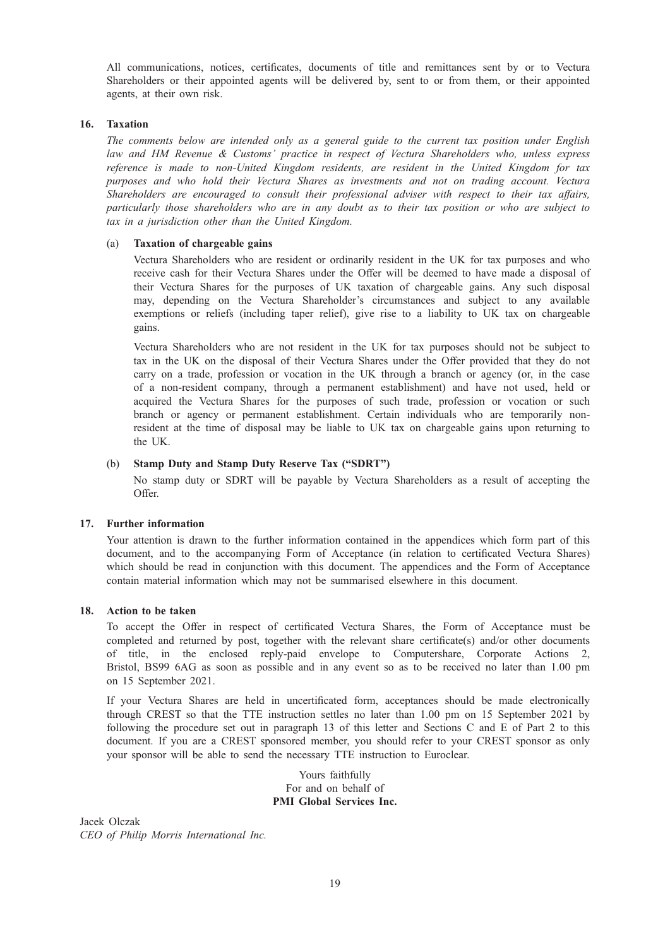All communications, notices, certificates, documents of title and remittances sent by or to Vectura Shareholders or their appointed agents will be delivered by, sent to or from them, or their appointed agents, at their own risk.

### 16. Taxation

The comments below are intended only as a general guide to the current tax position under English law and HM Revenue & Customs' practice in respect of Vectura Shareholders who, unless express reference is made to non-United Kingdom residents, are resident in the United Kingdom for tax purposes and who hold their Vectura Shares as investments and not on trading account. Vectura Shareholders are encouraged to consult their professional adviser with respect to their tax affairs, particularly those shareholders who are in any doubt as to their tax position or who are subject to tax in a jurisdiction other than the United Kingdom.

#### (a) Taxation of chargeable gains

Vectura Shareholders who are resident or ordinarily resident in the UK for tax purposes and who receive cash for their Vectura Shares under the Offer will be deemed to have made a disposal of their Vectura Shares for the purposes of UK taxation of chargeable gains. Any such disposal may, depending on the Vectura Shareholder's circumstances and subject to any available exemptions or reliefs (including taper relief), give rise to a liability to UK tax on chargeable gains.

Vectura Shareholders who are not resident in the UK for tax purposes should not be subject to tax in the UK on the disposal of their Vectura Shares under the Offer provided that they do not carry on a trade, profession or vocation in the UK through a branch or agency (or, in the case of a non-resident company, through a permanent establishment) and have not used, held or acquired the Vectura Shares for the purposes of such trade, profession or vocation or such branch or agency or permanent establishment. Certain individuals who are temporarily nonresident at the time of disposal may be liable to UK tax on chargeable gains upon returning to the UK.

#### (b) Stamp Duty and Stamp Duty Reserve Tax ("SDRT")

No stamp duty or SDRT will be payable by Vectura Shareholders as a result of accepting the Offer.

#### 17. Further information

Your attention is drawn to the further information contained in the appendices which form part of this document, and to the accompanying Form of Acceptance (in relation to certificated Vectura Shares) which should be read in conjunction with this document. The appendices and the Form of Acceptance contain material information which may not be summarised elsewhere in this document.

### 18. Action to be taken

To accept the Offer in respect of certificated Vectura Shares, the Form of Acceptance must be completed and returned by post, together with the relevant share certificate(s) and/or other documents of title, in the enclosed reply-paid envelope to Computershare, Corporate Actions 2, Bristol, BS99 6AG as soon as possible and in any event so as to be received no later than 1.00 pm on 15 September 2021.

If your Vectura Shares are held in uncertificated form, acceptances should be made electronically through CREST so that the TTE instruction settles no later than 1.00 pm on 15 September 2021 by following the procedure set out in paragraph 13 of this letter and Sections C and E of Part 2 to this document. If you are a CREST sponsored member, you should refer to your CREST sponsor as only your sponsor will be able to send the necessary TTE instruction to Euroclear.

> Yours faithfully For and on behalf of PMI Global Services Inc.

Jacek Olczak CEO of Philip Morris International Inc.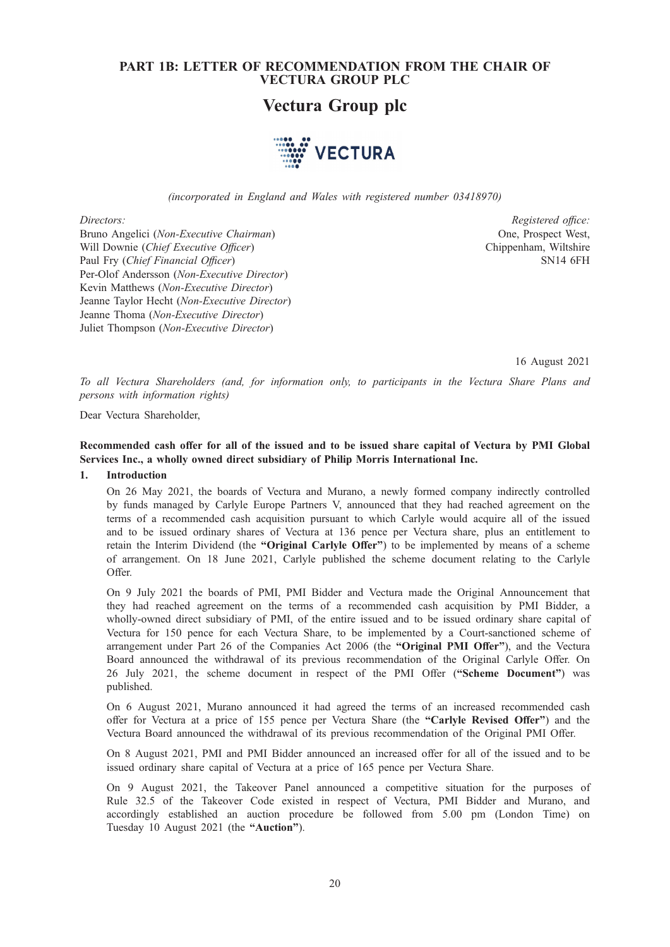## PART 1B: LETTER OF RECOMMENDATION FROM THE CHAIR OF VECTURA GROUP PLC

# Vectura Group plc



(incorporated in England and Wales with registered number 03418970)

Bruno Angelici (Non-Executive Chairman) One, Prospect West, Will Downie (*Chief Executive Officer*) Chippenham, Wiltshire Paul Fry (Chief Financial Officer) SN14 6FH Per-Olof Andersson (Non-Executive Director) Kevin Matthews (Non-Executive Director) Jeanne Taylor Hecht (Non-Executive Director) Jeanne Thoma (Non-Executive Director) Juliet Thompson (Non-Executive Director)

Directors: Registered office:

16 August 2021

To all Vectura Shareholders (and, for information only, to participants in the Vectura Share Plans and persons with information rights)

Dear Vectura Shareholder,

Recommended cash offer for all of the issued and to be issued share capital of Vectura by PMI Global Services Inc., a wholly owned direct subsidiary of Philip Morris International Inc.

### 1. Introduction

On 26 May 2021, the boards of Vectura and Murano, a newly formed company indirectly controlled by funds managed by Carlyle Europe Partners V, announced that they had reached agreement on the terms of a recommended cash acquisition pursuant to which Carlyle would acquire all of the issued and to be issued ordinary shares of Vectura at 136 pence per Vectura share, plus an entitlement to retain the Interim Dividend (the "Original Carlyle Offer") to be implemented by means of a scheme of arrangement. On 18 June 2021, Carlyle published the scheme document relating to the Carlyle Offer.

On 9 July 2021 the boards of PMI, PMI Bidder and Vectura made the Original Announcement that they had reached agreement on the terms of a recommended cash acquisition by PMI Bidder, a wholly-owned direct subsidiary of PMI, of the entire issued and to be issued ordinary share capital of Vectura for 150 pence for each Vectura Share, to be implemented by a Court-sanctioned scheme of arrangement under Part 26 of the Companies Act 2006 (the "Original PMI Offer"), and the Vectura Board announced the withdrawal of its previous recommendation of the Original Carlyle Offer. On 26 July 2021, the scheme document in respect of the PMI Offer ("Scheme Document") was published.

On 6 August 2021, Murano announced it had agreed the terms of an increased recommended cash offer for Vectura at a price of 155 pence per Vectura Share (the "Carlyle Revised Offer") and the Vectura Board announced the withdrawal of its previous recommendation of the Original PMI Offer.

On 8 August 2021, PMI and PMI Bidder announced an increased offer for all of the issued and to be issued ordinary share capital of Vectura at a price of 165 pence per Vectura Share.

On 9 August 2021, the Takeover Panel announced a competitive situation for the purposes of Rule 32.5 of the Takeover Code existed in respect of Vectura, PMI Bidder and Murano, and accordingly established an auction procedure be followed from 5.00 pm (London Time) on Tuesday 10 August 2021 (the "Auction").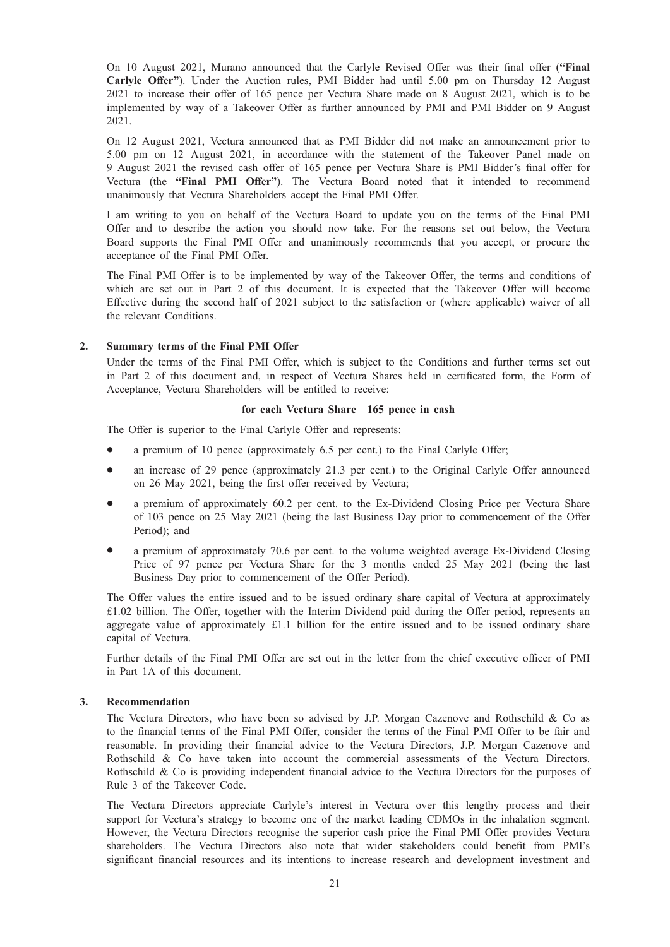On 10 August 2021, Murano announced that the Carlyle Revised Offer was their final offer ("Final Carlyle Offer"). Under the Auction rules, PMI Bidder had until 5.00 pm on Thursday 12 August 2021 to increase their offer of 165 pence per Vectura Share made on 8 August 2021, which is to be implemented by way of a Takeover Offer as further announced by PMI and PMI Bidder on 9 August 2021.

On 12 August 2021, Vectura announced that as PMI Bidder did not make an announcement prior to 5.00 pm on 12 August 2021, in accordance with the statement of the Takeover Panel made on 9 August 2021 the revised cash offer of 165 pence per Vectura Share is PMI Bidder's final offer for Vectura (the "Final PMI Offer"). The Vectura Board noted that it intended to recommend unanimously that Vectura Shareholders accept the Final PMI Offer.

I am writing to you on behalf of the Vectura Board to update you on the terms of the Final PMI Offer and to describe the action you should now take. For the reasons set out below, the Vectura Board supports the Final PMI Offer and unanimously recommends that you accept, or procure the acceptance of the Final PMI Offer.

The Final PMI Offer is to be implemented by way of the Takeover Offer, the terms and conditions of which are set out in Part 2 of this document. It is expected that the Takeover Offer will become Effective during the second half of 2021 subject to the satisfaction or (where applicable) waiver of all the relevant Conditions.

#### 2. Summary terms of the Final PMI Offer

Under the terms of the Final PMI Offer, which is subject to the Conditions and further terms set out in Part 2 of this document and, in respect of Vectura Shares held in certificated form, the Form of Acceptance, Vectura Shareholders will be entitled to receive:

#### for each Vectura Share 165 pence in cash

The Offer is superior to the Final Carlyle Offer and represents:

- a premium of 10 pence (approximately 6.5 per cent.) to the Final Carlyle Offer;
- an increase of 29 pence (approximately 21.3 per cent.) to the Original Carlyle Offer announced on 26 May 2021, being the first offer received by Vectura;
- a premium of approximately 60.2 per cent. to the Ex-Dividend Closing Price per Vectura Share of 103 pence on 25 May 2021 (being the last Business Day prior to commencement of the Offer Period); and
- a premium of approximately 70.6 per cent. to the volume weighted average Ex-Dividend Closing Price of 97 pence per Vectura Share for the 3 months ended 25 May 2021 (being the last Business Day prior to commencement of the Offer Period).

The Offer values the entire issued and to be issued ordinary share capital of Vectura at approximately £1.02 billion. The Offer, together with the Interim Dividend paid during the Offer period, represents an aggregate value of approximately  $£1.1$  billion for the entire issued and to be issued ordinary share capital of Vectura.

Further details of the Final PMI Offer are set out in the letter from the chief executive officer of PMI in Part 1A of this document.

#### 3. Recommendation

The Vectura Directors, who have been so advised by J.P. Morgan Cazenove and Rothschild & Co as to the financial terms of the Final PMI Offer, consider the terms of the Final PMI Offer to be fair and reasonable. In providing their financial advice to the Vectura Directors, J.P. Morgan Cazenove and Rothschild & Co have taken into account the commercial assessments of the Vectura Directors. Rothschild & Co is providing independent financial advice to the Vectura Directors for the purposes of Rule 3 of the Takeover Code.

The Vectura Directors appreciate Carlyle's interest in Vectura over this lengthy process and their support for Vectura's strategy to become one of the market leading CDMOs in the inhalation segment. However, the Vectura Directors recognise the superior cash price the Final PMI Offer provides Vectura shareholders. The Vectura Directors also note that wider stakeholders could benefit from PMI's significant financial resources and its intentions to increase research and development investment and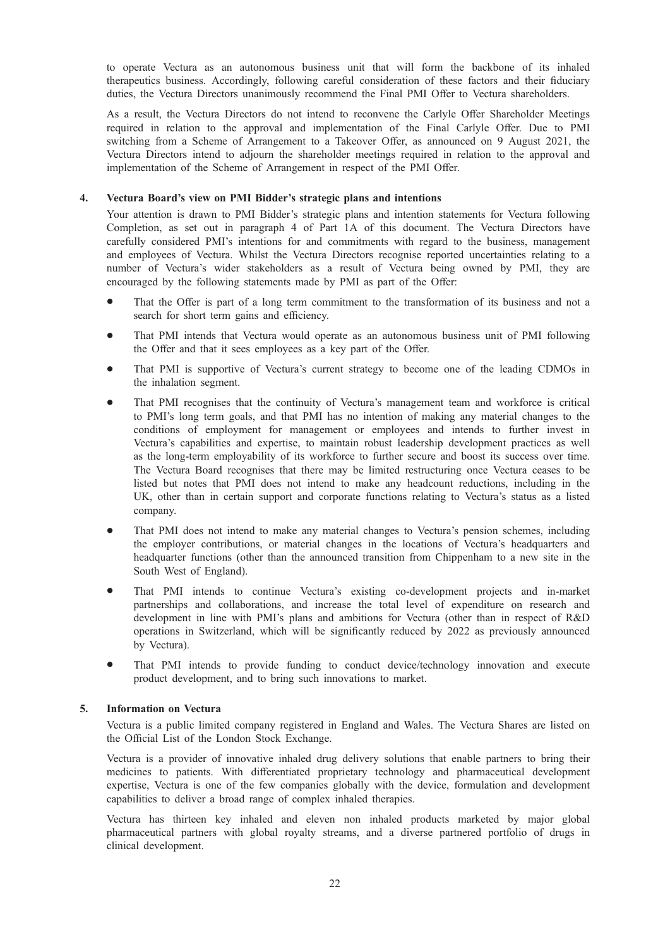to operate Vectura as an autonomous business unit that will form the backbone of its inhaled therapeutics business. Accordingly, following careful consideration of these factors and their fiduciary duties, the Vectura Directors unanimously recommend the Final PMI Offer to Vectura shareholders.

As a result, the Vectura Directors do not intend to reconvene the Carlyle Offer Shareholder Meetings required in relation to the approval and implementation of the Final Carlyle Offer. Due to PMI switching from a Scheme of Arrangement to a Takeover Offer, as announced on 9 August 2021, the Vectura Directors intend to adjourn the shareholder meetings required in relation to the approval and implementation of the Scheme of Arrangement in respect of the PMI Offer.

### 4. Vectura Board's view on PMI Bidder's strategic plans and intentions

Your attention is drawn to PMI Bidder's strategic plans and intention statements for Vectura following Completion, as set out in paragraph 4 of Part 1A of this document. The Vectura Directors have carefully considered PMI's intentions for and commitments with regard to the business, management and employees of Vectura. Whilst the Vectura Directors recognise reported uncertainties relating to a number of Vectura's wider stakeholders as a result of Vectura being owned by PMI, they are encouraged by the following statements made by PMI as part of the Offer:

- That the Offer is part of a long term commitment to the transformation of its business and not a search for short term gains and efficiency.
- That PMI intends that Vectura would operate as an autonomous business unit of PMI following the Offer and that it sees employees as a key part of the Offer.
- That PMI is supportive of Vectura's current strategy to become one of the leading CDMOs in the inhalation segment.
- That PMI recognises that the continuity of Vectura's management team and workforce is critical to PMI's long term goals, and that PMI has no intention of making any material changes to the conditions of employment for management or employees and intends to further invest in Vectura's capabilities and expertise, to maintain robust leadership development practices as well as the long-term employability of its workforce to further secure and boost its success over time. The Vectura Board recognises that there may be limited restructuring once Vectura ceases to be listed but notes that PMI does not intend to make any headcount reductions, including in the UK, other than in certain support and corporate functions relating to Vectura's status as a listed company.
- That PMI does not intend to make any material changes to Vectura's pension schemes, including the employer contributions, or material changes in the locations of Vectura's headquarters and headquarter functions (other than the announced transition from Chippenham to a new site in the South West of England).
- That PMI intends to continue Vectura's existing co-development projects and in-market partnerships and collaborations, and increase the total level of expenditure on research and development in line with PMI's plans and ambitions for Vectura (other than in respect of R&D operations in Switzerland, which will be significantly reduced by 2022 as previously announced by Vectura).
- That PMI intends to provide funding to conduct device/technology innovation and execute product development, and to bring such innovations to market.

### 5. Information on Vectura

Vectura is a public limited company registered in England and Wales. The Vectura Shares are listed on the Official List of the London Stock Exchange.

Vectura is a provider of innovative inhaled drug delivery solutions that enable partners to bring their medicines to patients. With differentiated proprietary technology and pharmaceutical development expertise, Vectura is one of the few companies globally with the device, formulation and development capabilities to deliver a broad range of complex inhaled therapies.

Vectura has thirteen key inhaled and eleven non inhaled products marketed by major global pharmaceutical partners with global royalty streams, and a diverse partnered portfolio of drugs in clinical development.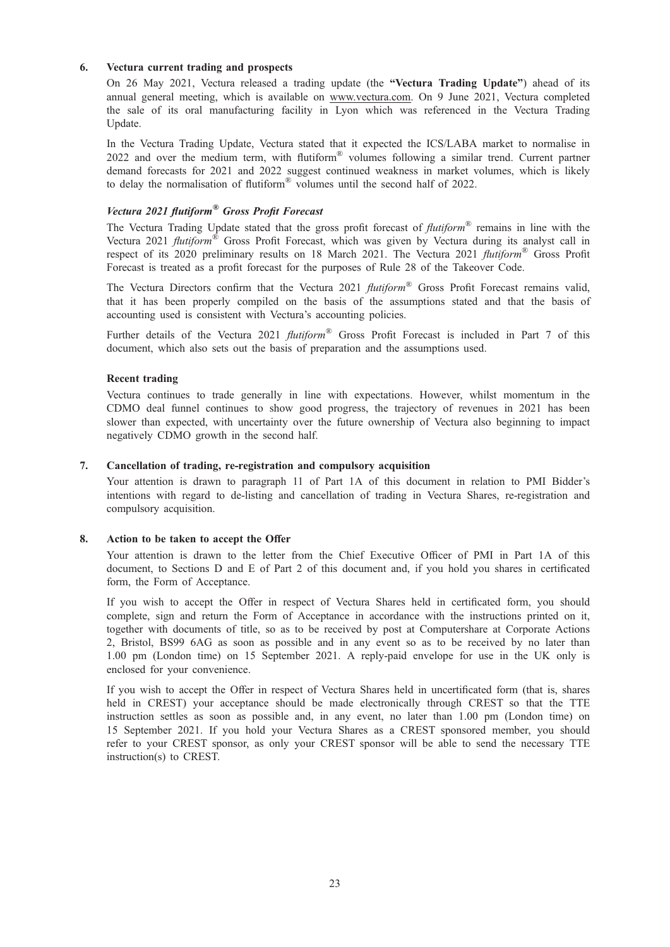### 6. Vectura current trading and prospects

On 26 May 2021, Vectura released a trading update (the "Vectura Trading Update") ahead of its annual general meeting, which is available on www.vectura.com. On 9 June 2021, Vectura completed the sale of its oral manufacturing facility in Lyon which was referenced in the Vectura Trading Update.

In the Vectura Trading Update, Vectura stated that it expected the ICS/LABA market to normalise in 2022 and over the medium term, with flutiform® volumes following a similar trend. Current partner demand forecasts for 2021 and 2022 suggest continued weakness in market volumes, which is likely to delay the normalisation of flutiform® volumes until the second half of 2022.

## Vectura 2021 flutiform® Gross Profit Forecast

The Vectura Trading Update stated that the gross profit forecast of  $\text{futiform}^{\circledR}$  remains in line with the Vectura 2021 *flutiform<sup>®</sup>* Gross Profit Forecast, which was given by Vectura during its analyst call in respect of its 2020 preliminary results on 18 March 2021. The Vectura 2021 *flutiform*<sup>®</sup> Gross Profit Forecast is treated as a profit forecast for the purposes of Rule 28 of the Takeover Code.

The Vectura Directors confirm that the Vectura 2021  $flutiform^{\circledR}$  Gross Profit Forecast remains valid, that it has been properly compiled on the basis of the assumptions stated and that the basis of accounting used is consistent with Vectura's accounting policies.

Further details of the Vectura 2021 *flutiform*<sup>®</sup> Gross Profit Forecast is included in Part 7 of this document, which also sets out the basis of preparation and the assumptions used.

### Recent trading

Vectura continues to trade generally in line with expectations. However, whilst momentum in the CDMO deal funnel continues to show good progress, the trajectory of revenues in 2021 has been slower than expected, with uncertainty over the future ownership of Vectura also beginning to impact negatively CDMO growth in the second half.

#### 7. Cancellation of trading, re-registration and compulsory acquisition

Your attention is drawn to paragraph 11 of Part 1A of this document in relation to PMI Bidder's intentions with regard to de-listing and cancellation of trading in Vectura Shares, re-registration and compulsory acquisition.

#### 8. Action to be taken to accept the Offer

Your attention is drawn to the letter from the Chief Executive Officer of PMI in Part 1A of this document, to Sections D and E of Part 2 of this document and, if you hold you shares in certificated form, the Form of Acceptance.

If you wish to accept the Offer in respect of Vectura Shares held in certificated form, you should complete, sign and return the Form of Acceptance in accordance with the instructions printed on it, together with documents of title, so as to be received by post at Computershare at Corporate Actions 2, Bristol, BS99 6AG as soon as possible and in any event so as to be received by no later than 1.00 pm (London time) on 15 September 2021. A reply-paid envelope for use in the UK only is enclosed for your convenience.

If you wish to accept the Offer in respect of Vectura Shares held in uncertificated form (that is, shares held in CREST) your acceptance should be made electronically through CREST so that the TTE instruction settles as soon as possible and, in any event, no later than 1.00 pm (London time) on 15 September 2021. If you hold your Vectura Shares as a CREST sponsored member, you should refer to your CREST sponsor, as only your CREST sponsor will be able to send the necessary TTE instruction(s) to CREST.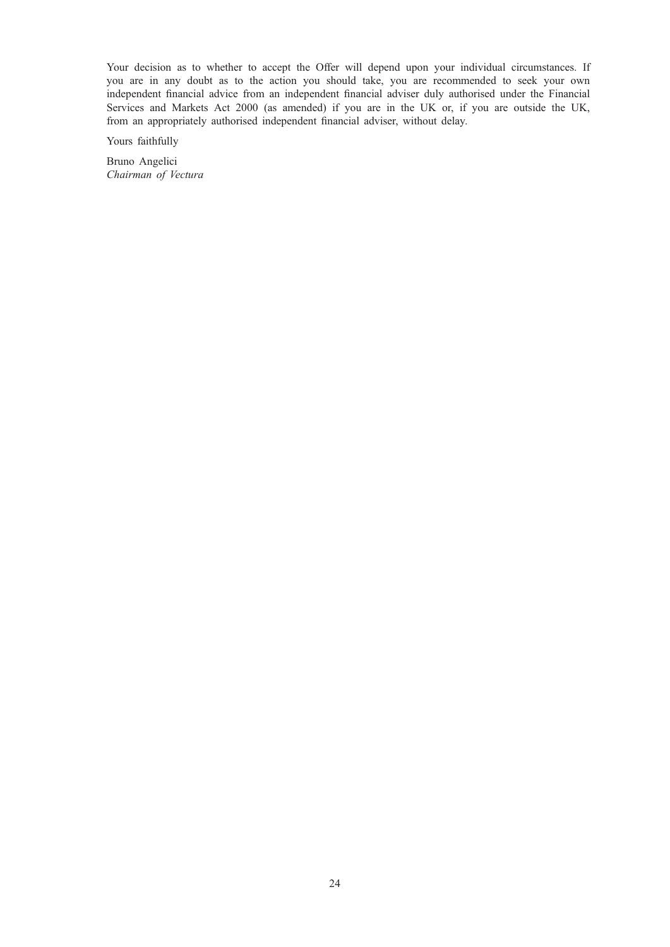Your decision as to whether to accept the Offer will depend upon your individual circumstances. If you are in any doubt as to the action you should take, you are recommended to seek your own independent financial advice from an independent financial adviser duly authorised under the Financial Services and Markets Act 2000 (as amended) if you are in the UK or, if you are outside the UK, from an appropriately authorised independent financial adviser, without delay.

Yours faithfully

Bruno Angelici Chairman of Vectura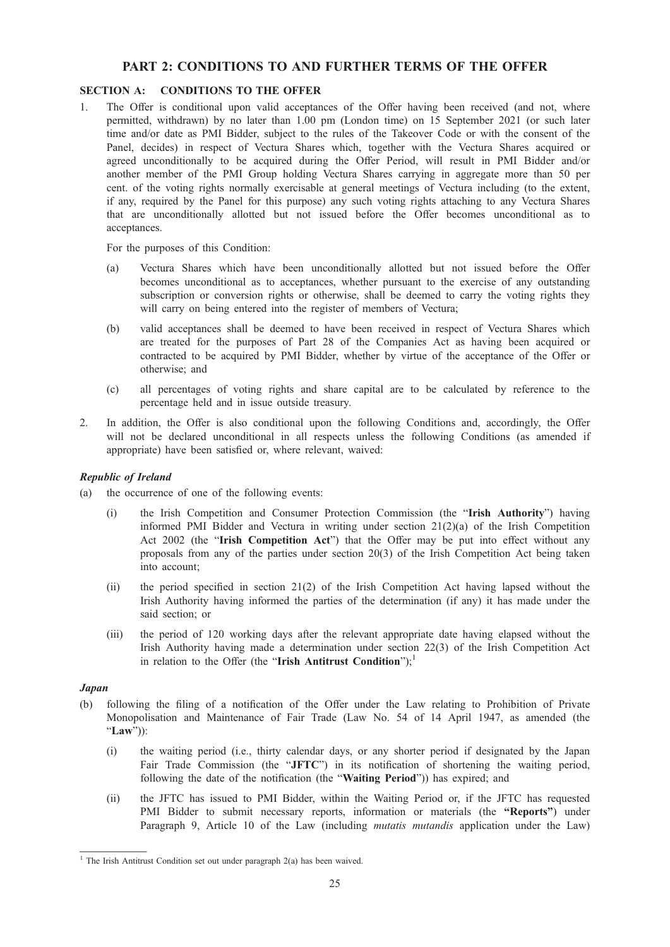## PART 2: CONDITIONS TO AND FURTHER TERMS OF THE OFFER

### SECTION A: CONDITIONS TO THE OFFER

1. The Offer is conditional upon valid acceptances of the Offer having been received (and not, where permitted, withdrawn) by no later than 1.00 pm (London time) on 15 September 2021 (or such later time and/or date as PMI Bidder, subject to the rules of the Takeover Code or with the consent of the Panel, decides) in respect of Vectura Shares which, together with the Vectura Shares acquired or agreed unconditionally to be acquired during the Offer Period, will result in PMI Bidder and/or another member of the PMI Group holding Vectura Shares carrying in aggregate more than 50 per cent. of the voting rights normally exercisable at general meetings of Vectura including (to the extent, if any, required by the Panel for this purpose) any such voting rights attaching to any Vectura Shares that are unconditionally allotted but not issued before the Offer becomes unconditional as to acceptances.

For the purposes of this Condition:

- (a) Vectura Shares which have been unconditionally allotted but not issued before the Offer becomes unconditional as to acceptances, whether pursuant to the exercise of any outstanding subscription or conversion rights or otherwise, shall be deemed to carry the voting rights they will carry on being entered into the register of members of Vectura;
- (b) valid acceptances shall be deemed to have been received in respect of Vectura Shares which are treated for the purposes of Part 28 of the Companies Act as having been acquired or contracted to be acquired by PMI Bidder, whether by virtue of the acceptance of the Offer or otherwise; and
- (c) all percentages of voting rights and share capital are to be calculated by reference to the percentage held and in issue outside treasury.
- 2. In addition, the Offer is also conditional upon the following Conditions and, accordingly, the Offer will not be declared unconditional in all respects unless the following Conditions (as amended if appropriate) have been satisfied or, where relevant, waived:

#### Republic of Ireland

- (a) the occurrence of one of the following events:
	- (i) the Irish Competition and Consumer Protection Commission (the "Irish Authority") having informed PMI Bidder and Vectura in writing under section 21(2)(a) of the Irish Competition Act 2002 (the "Irish Competition Act") that the Offer may be put into effect without any proposals from any of the parties under section 20(3) of the Irish Competition Act being taken into account;
	- (ii) the period specified in section 21(2) of the Irish Competition Act having lapsed without the Irish Authority having informed the parties of the determination (if any) it has made under the said section; or
	- (iii) the period of 120 working days after the relevant appropriate date having elapsed without the Irish Authority having made a determination under section 22(3) of the Irish Competition Act in relation to the Offer (the "Irish Antitrust Condition"):

#### Japan

- (b) following the filing of a notification of the Offer under the Law relating to Prohibition of Private Monopolisation and Maintenance of Fair Trade (Law No. 54 of 14 April 1947, as amended (the "Law")):
	- (i) the waiting period (i.e., thirty calendar days, or any shorter period if designated by the Japan Fair Trade Commission (the "JFTC") in its notification of shortening the waiting period, following the date of the notification (the "Waiting Period")) has expired; and
	- (ii) the JFTC has issued to PMI Bidder, within the Waiting Period or, if the JFTC has requested PMI Bidder to submit necessary reports, information or materials (the "Reports") under Paragraph 9, Article 10 of the Law (including mutatis mutandis application under the Law)

<sup>&</sup>lt;sup>1</sup> The Irish Antitrust Condition set out under paragraph 2(a) has been waived.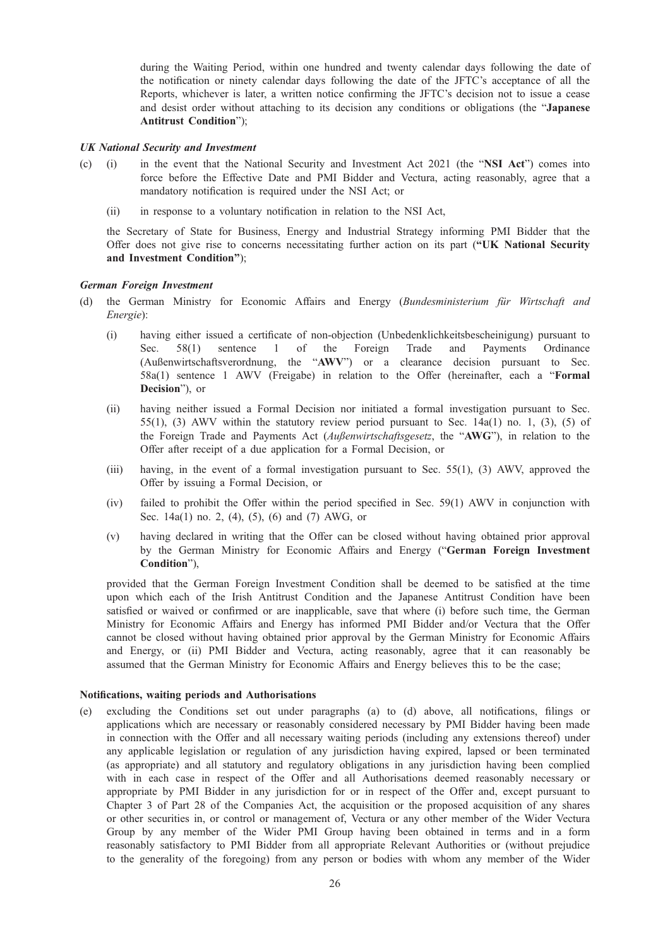during the Waiting Period, within one hundred and twenty calendar days following the date of the notification or ninety calendar days following the date of the JFTC's acceptance of all the Reports, whichever is later, a written notice confirming the JFTC's decision not to issue a cease and desist order without attaching to its decision any conditions or obligations (the "Japanese Antitrust Condition");

#### UK National Security and Investment

- (c) (i) in the event that the National Security and Investment Act 2021 (the "NSI Act") comes into force before the Effective Date and PMI Bidder and Vectura, acting reasonably, agree that a mandatory notification is required under the NSI Act; or
	- (ii) in response to a voluntary notification in relation to the NSI Act,

the Secretary of State for Business, Energy and Industrial Strategy informing PMI Bidder that the Offer does not give rise to concerns necessitating further action on its part ("UK National Security and Investment Condition");

#### German Foreign Investment

- (d) the German Ministry for Economic Affairs and Energy (Bundesministerium für Wirtschaft and Energie):
	- (i) having either issued a certificate of non-objection (Unbedenklichkeitsbescheinigung) pursuant to Sec. 58(1) sentence 1 of the Foreign Trade and Payments Ordinance (Außenwirtschaftsverordnung, the "AWV") or a clearance decision pursuant to Sec. 58a(1) sentence 1 AWV (Freigabe) in relation to the Offer (hereinafter, each a "Formal Decision"), or
	- (ii) having neither issued a Formal Decision nor initiated a formal investigation pursuant to Sec. 55(1), (3) AWV within the statutory review period pursuant to Sec.  $14a(1)$  no. 1, (3), (5) of the Foreign Trade and Payments Act  $(Au\beta enwirtschaftsgesetz,$  the "AWG"), in relation to the Offer after receipt of a due application for a Formal Decision, or
	- (iii) having, in the event of a formal investigation pursuant to Sec. 55(1), (3) AWV, approved the Offer by issuing a Formal Decision, or
	- (iv) failed to prohibit the Offer within the period specified in Sec. 59(1) AWV in conjunction with Sec. 14a(1) no. 2, (4), (5), (6) and (7) AWG, or
	- (v) having declared in writing that the Offer can be closed without having obtained prior approval by the German Ministry for Economic Affairs and Energy ("German Foreign Investment Condition"),

provided that the German Foreign Investment Condition shall be deemed to be satisfied at the time upon which each of the Irish Antitrust Condition and the Japanese Antitrust Condition have been satisfied or waived or confirmed or are inapplicable, save that where (i) before such time, the German Ministry for Economic Affairs and Energy has informed PMI Bidder and/or Vectura that the Offer cannot be closed without having obtained prior approval by the German Ministry for Economic Affairs and Energy, or (ii) PMI Bidder and Vectura, acting reasonably, agree that it can reasonably be assumed that the German Ministry for Economic Affairs and Energy believes this to be the case;

### Notifications, waiting periods and Authorisations

(e) excluding the Conditions set out under paragraphs (a) to (d) above, all notifications, filings or applications which are necessary or reasonably considered necessary by PMI Bidder having been made in connection with the Offer and all necessary waiting periods (including any extensions thereof) under any applicable legislation or regulation of any jurisdiction having expired, lapsed or been terminated (as appropriate) and all statutory and regulatory obligations in any jurisdiction having been complied with in each case in respect of the Offer and all Authorisations deemed reasonably necessary or appropriate by PMI Bidder in any jurisdiction for or in respect of the Offer and, except pursuant to Chapter 3 of Part 28 of the Companies Act, the acquisition or the proposed acquisition of any shares or other securities in, or control or management of, Vectura or any other member of the Wider Vectura Group by any member of the Wider PMI Group having been obtained in terms and in a form reasonably satisfactory to PMI Bidder from all appropriate Relevant Authorities or (without prejudice to the generality of the foregoing) from any person or bodies with whom any member of the Wider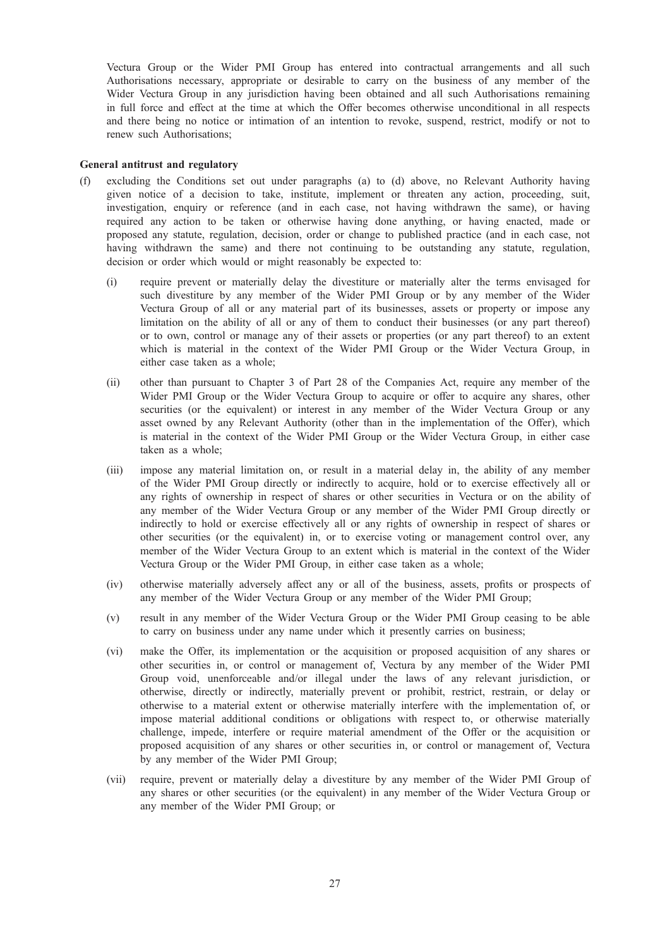Vectura Group or the Wider PMI Group has entered into contractual arrangements and all such Authorisations necessary, appropriate or desirable to carry on the business of any member of the Wider Vectura Group in any jurisdiction having been obtained and all such Authorisations remaining in full force and effect at the time at which the Offer becomes otherwise unconditional in all respects and there being no notice or intimation of an intention to revoke, suspend, restrict, modify or not to renew such Authorisations;

### General antitrust and regulatory

- (f) excluding the Conditions set out under paragraphs (a) to (d) above, no Relevant Authority having given notice of a decision to take, institute, implement or threaten any action, proceeding, suit, investigation, enquiry or reference (and in each case, not having withdrawn the same), or having required any action to be taken or otherwise having done anything, or having enacted, made or proposed any statute, regulation, decision, order or change to published practice (and in each case, not having withdrawn the same) and there not continuing to be outstanding any statute, regulation, decision or order which would or might reasonably be expected to:
	- (i) require prevent or materially delay the divestiture or materially alter the terms envisaged for such divestiture by any member of the Wider PMI Group or by any member of the Wider Vectura Group of all or any material part of its businesses, assets or property or impose any limitation on the ability of all or any of them to conduct their businesses (or any part thereof) or to own, control or manage any of their assets or properties (or any part thereof) to an extent which is material in the context of the Wider PMI Group or the Wider Vectura Group, in either case taken as a whole;
	- (ii) other than pursuant to Chapter 3 of Part 28 of the Companies Act, require any member of the Wider PMI Group or the Wider Vectura Group to acquire or offer to acquire any shares, other securities (or the equivalent) or interest in any member of the Wider Vectura Group or any asset owned by any Relevant Authority (other than in the implementation of the Offer), which is material in the context of the Wider PMI Group or the Wider Vectura Group, in either case taken as a whole;
	- (iii) impose any material limitation on, or result in a material delay in, the ability of any member of the Wider PMI Group directly or indirectly to acquire, hold or to exercise effectively all or any rights of ownership in respect of shares or other securities in Vectura or on the ability of any member of the Wider Vectura Group or any member of the Wider PMI Group directly or indirectly to hold or exercise effectively all or any rights of ownership in respect of shares or other securities (or the equivalent) in, or to exercise voting or management control over, any member of the Wider Vectura Group to an extent which is material in the context of the Wider Vectura Group or the Wider PMI Group, in either case taken as a whole;
	- (iv) otherwise materially adversely affect any or all of the business, assets, profits or prospects of any member of the Wider Vectura Group or any member of the Wider PMI Group;
	- (v) result in any member of the Wider Vectura Group or the Wider PMI Group ceasing to be able to carry on business under any name under which it presently carries on business;
	- (vi) make the Offer, its implementation or the acquisition or proposed acquisition of any shares or other securities in, or control or management of, Vectura by any member of the Wider PMI Group void, unenforceable and/or illegal under the laws of any relevant jurisdiction, or otherwise, directly or indirectly, materially prevent or prohibit, restrict, restrain, or delay or otherwise to a material extent or otherwise materially interfere with the implementation of, or impose material additional conditions or obligations with respect to, or otherwise materially challenge, impede, interfere or require material amendment of the Offer or the acquisition or proposed acquisition of any shares or other securities in, or control or management of, Vectura by any member of the Wider PMI Group;
	- (vii) require, prevent or materially delay a divestiture by any member of the Wider PMI Group of any shares or other securities (or the equivalent) in any member of the Wider Vectura Group or any member of the Wider PMI Group; or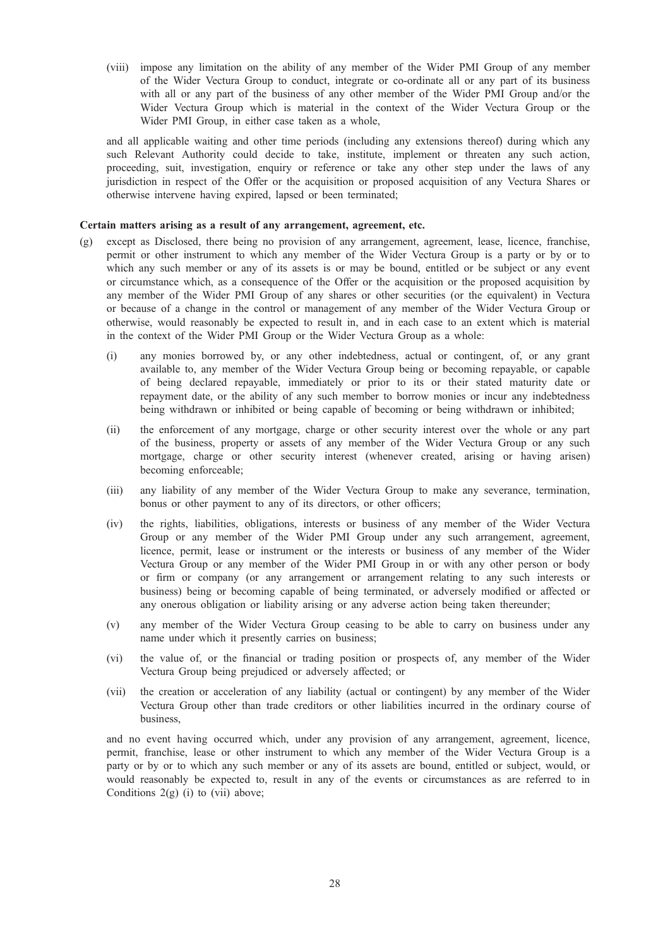(viii) impose any limitation on the ability of any member of the Wider PMI Group of any member of the Wider Vectura Group to conduct, integrate or co-ordinate all or any part of its business with all or any part of the business of any other member of the Wider PMI Group and/or the Wider Vectura Group which is material in the context of the Wider Vectura Group or the Wider PMI Group, in either case taken as a whole,

and all applicable waiting and other time periods (including any extensions thereof) during which any such Relevant Authority could decide to take, institute, implement or threaten any such action, proceeding, suit, investigation, enquiry or reference or take any other step under the laws of any jurisdiction in respect of the Offer or the acquisition or proposed acquisition of any Vectura Shares or otherwise intervene having expired, lapsed or been terminated;

#### Certain matters arising as a result of any arrangement, agreement, etc.

- (g) except as Disclosed, there being no provision of any arrangement, agreement, lease, licence, franchise, permit or other instrument to which any member of the Wider Vectura Group is a party or by or to which any such member or any of its assets is or may be bound, entitled or be subject or any event or circumstance which, as a consequence of the Offer or the acquisition or the proposed acquisition by any member of the Wider PMI Group of any shares or other securities (or the equivalent) in Vectura or because of a change in the control or management of any member of the Wider Vectura Group or otherwise, would reasonably be expected to result in, and in each case to an extent which is material in the context of the Wider PMI Group or the Wider Vectura Group as a whole:
	- (i) any monies borrowed by, or any other indebtedness, actual or contingent, of, or any grant available to, any member of the Wider Vectura Group being or becoming repayable, or capable of being declared repayable, immediately or prior to its or their stated maturity date or repayment date, or the ability of any such member to borrow monies or incur any indebtedness being withdrawn or inhibited or being capable of becoming or being withdrawn or inhibited;
	- (ii) the enforcement of any mortgage, charge or other security interest over the whole or any part of the business, property or assets of any member of the Wider Vectura Group or any such mortgage, charge or other security interest (whenever created, arising or having arisen) becoming enforceable;
	- (iii) any liability of any member of the Wider Vectura Group to make any severance, termination, bonus or other payment to any of its directors, or other officers;
	- (iv) the rights, liabilities, obligations, interests or business of any member of the Wider Vectura Group or any member of the Wider PMI Group under any such arrangement, agreement, licence, permit, lease or instrument or the interests or business of any member of the Wider Vectura Group or any member of the Wider PMI Group in or with any other person or body or firm or company (or any arrangement or arrangement relating to any such interests or business) being or becoming capable of being terminated, or adversely modified or affected or any onerous obligation or liability arising or any adverse action being taken thereunder;
	- (v) any member of the Wider Vectura Group ceasing to be able to carry on business under any name under which it presently carries on business;
	- (vi) the value of, or the financial or trading position or prospects of, any member of the Wider Vectura Group being prejudiced or adversely affected; or
	- (vii) the creation or acceleration of any liability (actual or contingent) by any member of the Wider Vectura Group other than trade creditors or other liabilities incurred in the ordinary course of business,

and no event having occurred which, under any provision of any arrangement, agreement, licence, permit, franchise, lease or other instrument to which any member of the Wider Vectura Group is a party or by or to which any such member or any of its assets are bound, entitled or subject, would, or would reasonably be expected to, result in any of the events or circumstances as are referred to in Conditions  $2(g)$  (i) to (vii) above;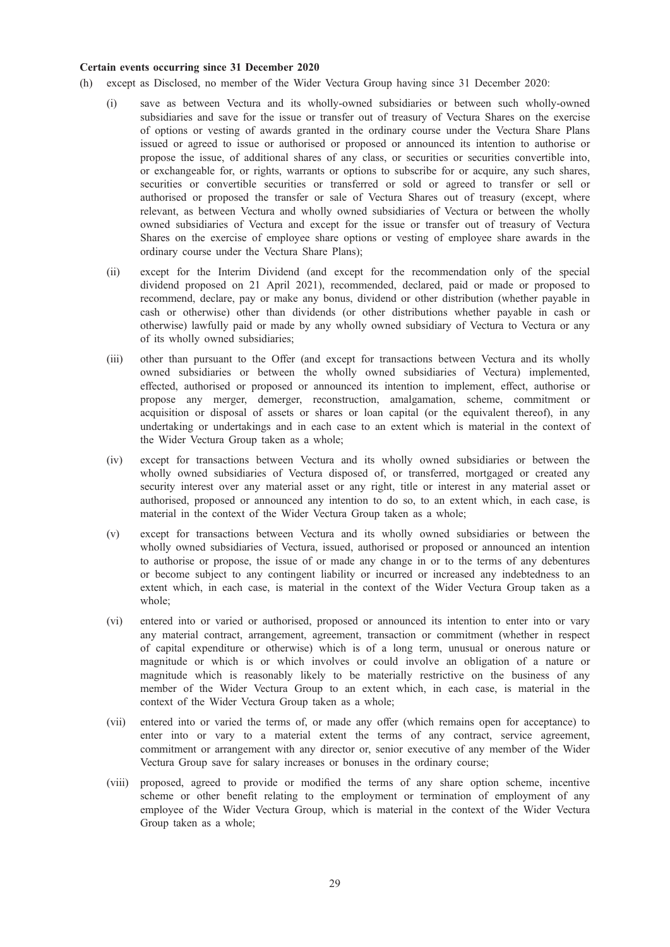#### Certain events occurring since 31 December 2020

- (h) except as Disclosed, no member of the Wider Vectura Group having since 31 December 2020:
	- (i) save as between Vectura and its wholly-owned subsidiaries or between such wholly-owned subsidiaries and save for the issue or transfer out of treasury of Vectura Shares on the exercise of options or vesting of awards granted in the ordinary course under the Vectura Share Plans issued or agreed to issue or authorised or proposed or announced its intention to authorise or propose the issue, of additional shares of any class, or securities or securities convertible into, or exchangeable for, or rights, warrants or options to subscribe for or acquire, any such shares, securities or convertible securities or transferred or sold or agreed to transfer or sell or authorised or proposed the transfer or sale of Vectura Shares out of treasury (except, where relevant, as between Vectura and wholly owned subsidiaries of Vectura or between the wholly owned subsidiaries of Vectura and except for the issue or transfer out of treasury of Vectura Shares on the exercise of employee share options or vesting of employee share awards in the ordinary course under the Vectura Share Plans);
	- (ii) except for the Interim Dividend (and except for the recommendation only of the special dividend proposed on 21 April 2021), recommended, declared, paid or made or proposed to recommend, declare, pay or make any bonus, dividend or other distribution (whether payable in cash or otherwise) other than dividends (or other distributions whether payable in cash or otherwise) lawfully paid or made by any wholly owned subsidiary of Vectura to Vectura or any of its wholly owned subsidiaries;
	- (iii) other than pursuant to the Offer (and except for transactions between Vectura and its wholly owned subsidiaries or between the wholly owned subsidiaries of Vectura) implemented, effected, authorised or proposed or announced its intention to implement, effect, authorise or propose any merger, demerger, reconstruction, amalgamation, scheme, commitment or acquisition or disposal of assets or shares or loan capital (or the equivalent thereof), in any undertaking or undertakings and in each case to an extent which is material in the context of the Wider Vectura Group taken as a whole;
	- (iv) except for transactions between Vectura and its wholly owned subsidiaries or between the wholly owned subsidiaries of Vectura disposed of, or transferred, mortgaged or created any security interest over any material asset or any right, title or interest in any material asset or authorised, proposed or announced any intention to do so, to an extent which, in each case, is material in the context of the Wider Vectura Group taken as a whole;
	- (v) except for transactions between Vectura and its wholly owned subsidiaries or between the wholly owned subsidiaries of Vectura, issued, authorised or proposed or announced an intention to authorise or propose, the issue of or made any change in or to the terms of any debentures or become subject to any contingent liability or incurred or increased any indebtedness to an extent which, in each case, is material in the context of the Wider Vectura Group taken as a whole;
	- (vi) entered into or varied or authorised, proposed or announced its intention to enter into or vary any material contract, arrangement, agreement, transaction or commitment (whether in respect of capital expenditure or otherwise) which is of a long term, unusual or onerous nature or magnitude or which is or which involves or could involve an obligation of a nature or magnitude which is reasonably likely to be materially restrictive on the business of any member of the Wider Vectura Group to an extent which, in each case, is material in the context of the Wider Vectura Group taken as a whole;
	- (vii) entered into or varied the terms of, or made any offer (which remains open for acceptance) to enter into or vary to a material extent the terms of any contract, service agreement, commitment or arrangement with any director or, senior executive of any member of the Wider Vectura Group save for salary increases or bonuses in the ordinary course;
	- (viii) proposed, agreed to provide or modified the terms of any share option scheme, incentive scheme or other benefit relating to the employment or termination of employment of any employee of the Wider Vectura Group, which is material in the context of the Wider Vectura Group taken as a whole;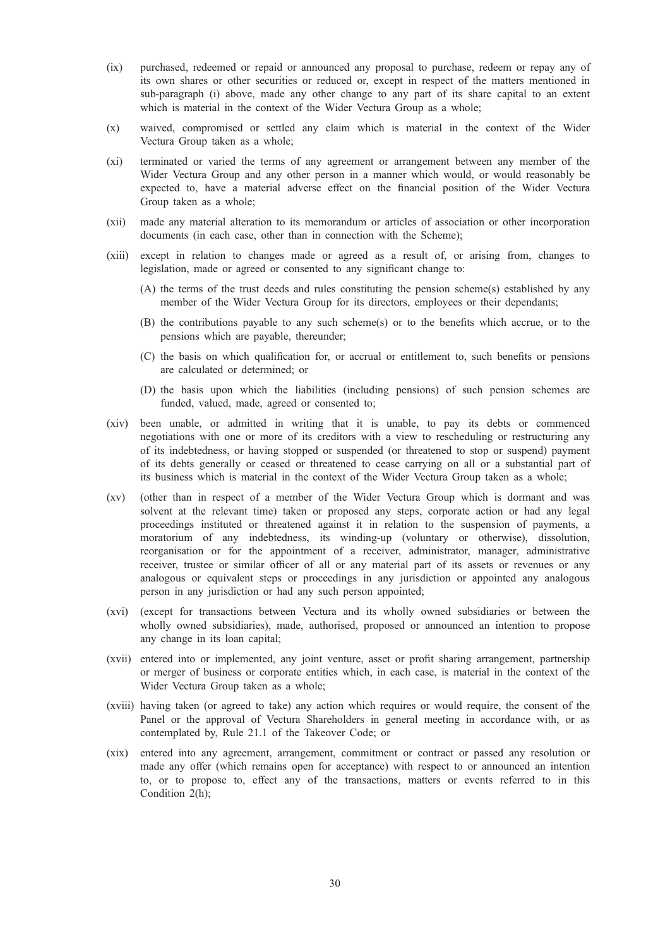- (ix) purchased, redeemed or repaid or announced any proposal to purchase, redeem or repay any of its own shares or other securities or reduced or, except in respect of the matters mentioned in sub-paragraph (i) above, made any other change to any part of its share capital to an extent which is material in the context of the Wider Vectura Group as a whole;
- (x) waived, compromised or settled any claim which is material in the context of the Wider Vectura Group taken as a whole;
- (xi) terminated or varied the terms of any agreement or arrangement between any member of the Wider Vectura Group and any other person in a manner which would, or would reasonably be expected to, have a material adverse effect on the financial position of the Wider Vectura Group taken as a whole;
- (xii) made any material alteration to its memorandum or articles of association or other incorporation documents (in each case, other than in connection with the Scheme);
- (xiii) except in relation to changes made or agreed as a result of, or arising from, changes to legislation, made or agreed or consented to any significant change to:
	- (A) the terms of the trust deeds and rules constituting the pension scheme(s) established by any member of the Wider Vectura Group for its directors, employees or their dependants;
	- (B) the contributions payable to any such scheme(s) or to the benefits which accrue, or to the pensions which are payable, thereunder;
	- (C) the basis on which qualification for, or accrual or entitlement to, such benefits or pensions are calculated or determined; or
	- (D) the basis upon which the liabilities (including pensions) of such pension schemes are funded, valued, made, agreed or consented to;
- (xiv) been unable, or admitted in writing that it is unable, to pay its debts or commenced negotiations with one or more of its creditors with a view to rescheduling or restructuring any of its indebtedness, or having stopped or suspended (or threatened to stop or suspend) payment of its debts generally or ceased or threatened to cease carrying on all or a substantial part of its business which is material in the context of the Wider Vectura Group taken as a whole;
- (xv) (other than in respect of a member of the Wider Vectura Group which is dormant and was solvent at the relevant time) taken or proposed any steps, corporate action or had any legal proceedings instituted or threatened against it in relation to the suspension of payments, a moratorium of any indebtedness, its winding-up (voluntary or otherwise), dissolution, reorganisation or for the appointment of a receiver, administrator, manager, administrative receiver, trustee or similar officer of all or any material part of its assets or revenues or any analogous or equivalent steps or proceedings in any jurisdiction or appointed any analogous person in any jurisdiction or had any such person appointed;
- (xvi) (except for transactions between Vectura and its wholly owned subsidiaries or between the wholly owned subsidiaries), made, authorised, proposed or announced an intention to propose any change in its loan capital;
- (xvii) entered into or implemented, any joint venture, asset or profit sharing arrangement, partnership or merger of business or corporate entities which, in each case, is material in the context of the Wider Vectura Group taken as a whole;
- (xviii) having taken (or agreed to take) any action which requires or would require, the consent of the Panel or the approval of Vectura Shareholders in general meeting in accordance with, or as contemplated by, Rule 21.1 of the Takeover Code; or
- (xix) entered into any agreement, arrangement, commitment or contract or passed any resolution or made any offer (which remains open for acceptance) with respect to or announced an intention to, or to propose to, effect any of the transactions, matters or events referred to in this Condition 2(h);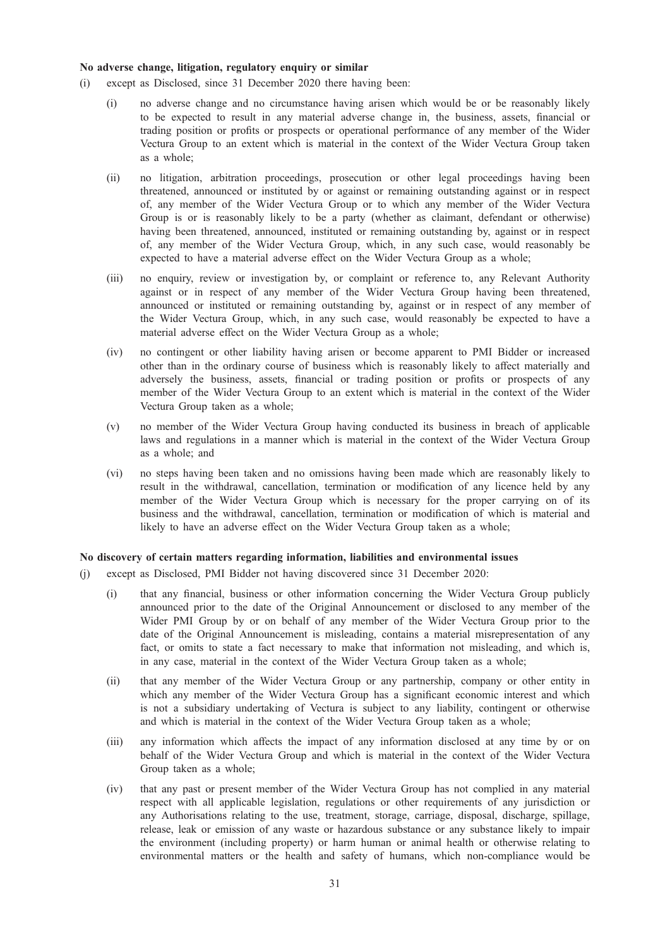#### No adverse change, litigation, regulatory enquiry or similar

- (i) except as Disclosed, since 31 December 2020 there having been:
	- (i) no adverse change and no circumstance having arisen which would be or be reasonably likely to be expected to result in any material adverse change in, the business, assets, financial or trading position or profits or prospects or operational performance of any member of the Wider Vectura Group to an extent which is material in the context of the Wider Vectura Group taken as a whole;
	- (ii) no litigation, arbitration proceedings, prosecution or other legal proceedings having been threatened, announced or instituted by or against or remaining outstanding against or in respect of, any member of the Wider Vectura Group or to which any member of the Wider Vectura Group is or is reasonably likely to be a party (whether as claimant, defendant or otherwise) having been threatened, announced, instituted or remaining outstanding by, against or in respect of, any member of the Wider Vectura Group, which, in any such case, would reasonably be expected to have a material adverse effect on the Wider Vectura Group as a whole;
	- (iii) no enquiry, review or investigation by, or complaint or reference to, any Relevant Authority against or in respect of any member of the Wider Vectura Group having been threatened, announced or instituted or remaining outstanding by, against or in respect of any member of the Wider Vectura Group, which, in any such case, would reasonably be expected to have a material adverse effect on the Wider Vectura Group as a whole;
	- (iv) no contingent or other liability having arisen or become apparent to PMI Bidder or increased other than in the ordinary course of business which is reasonably likely to affect materially and adversely the business, assets, financial or trading position or profits or prospects of any member of the Wider Vectura Group to an extent which is material in the context of the Wider Vectura Group taken as a whole;
	- (v) no member of the Wider Vectura Group having conducted its business in breach of applicable laws and regulations in a manner which is material in the context of the Wider Vectura Group as a whole; and
	- (vi) no steps having been taken and no omissions having been made which are reasonably likely to result in the withdrawal, cancellation, termination or modification of any licence held by any member of the Wider Vectura Group which is necessary for the proper carrying on of its business and the withdrawal, cancellation, termination or modification of which is material and likely to have an adverse effect on the Wider Vectura Group taken as a whole;

#### No discovery of certain matters regarding information, liabilities and environmental issues

- (j) except as Disclosed, PMI Bidder not having discovered since 31 December 2020:
	- (i) that any financial, business or other information concerning the Wider Vectura Group publicly announced prior to the date of the Original Announcement or disclosed to any member of the Wider PMI Group by or on behalf of any member of the Wider Vectura Group prior to the date of the Original Announcement is misleading, contains a material misrepresentation of any fact, or omits to state a fact necessary to make that information not misleading, and which is, in any case, material in the context of the Wider Vectura Group taken as a whole;
	- (ii) that any member of the Wider Vectura Group or any partnership, company or other entity in which any member of the Wider Vectura Group has a significant economic interest and which is not a subsidiary undertaking of Vectura is subject to any liability, contingent or otherwise and which is material in the context of the Wider Vectura Group taken as a whole;
	- (iii) any information which affects the impact of any information disclosed at any time by or on behalf of the Wider Vectura Group and which is material in the context of the Wider Vectura Group taken as a whole;
	- (iv) that any past or present member of the Wider Vectura Group has not complied in any material respect with all applicable legislation, regulations or other requirements of any jurisdiction or any Authorisations relating to the use, treatment, storage, carriage, disposal, discharge, spillage, release, leak or emission of any waste or hazardous substance or any substance likely to impair the environment (including property) or harm human or animal health or otherwise relating to environmental matters or the health and safety of humans, which non-compliance would be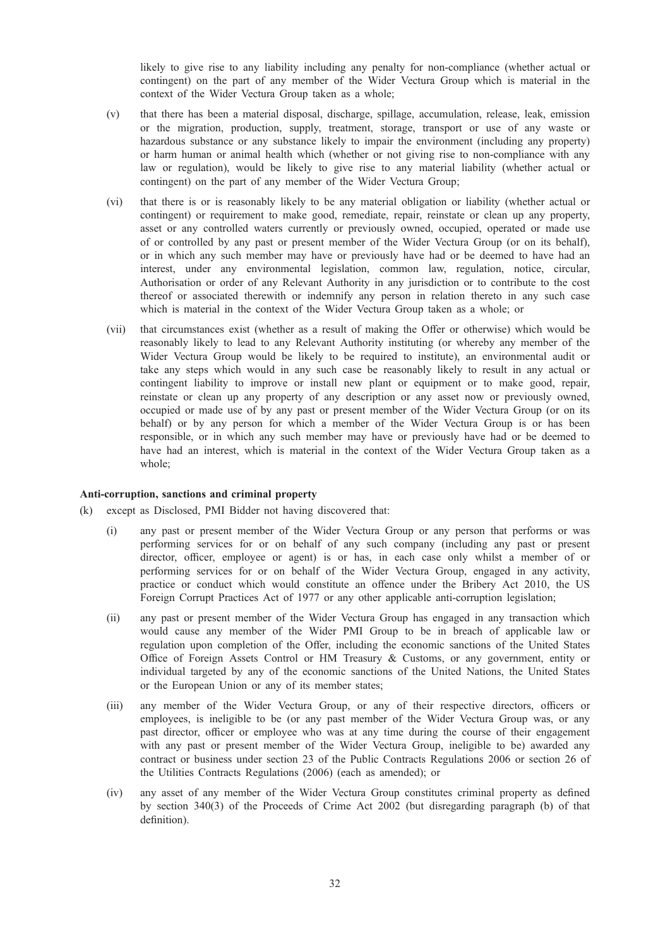likely to give rise to any liability including any penalty for non-compliance (whether actual or contingent) on the part of any member of the Wider Vectura Group which is material in the context of the Wider Vectura Group taken as a whole;

- (v) that there has been a material disposal, discharge, spillage, accumulation, release, leak, emission or the migration, production, supply, treatment, storage, transport or use of any waste or hazardous substance or any substance likely to impair the environment (including any property) or harm human or animal health which (whether or not giving rise to non-compliance with any law or regulation), would be likely to give rise to any material liability (whether actual or contingent) on the part of any member of the Wider Vectura Group;
- (vi) that there is or is reasonably likely to be any material obligation or liability (whether actual or contingent) or requirement to make good, remediate, repair, reinstate or clean up any property, asset or any controlled waters currently or previously owned, occupied, operated or made use of or controlled by any past or present member of the Wider Vectura Group (or on its behalf), or in which any such member may have or previously have had or be deemed to have had an interest, under any environmental legislation, common law, regulation, notice, circular, Authorisation or order of any Relevant Authority in any jurisdiction or to contribute to the cost thereof or associated therewith or indemnify any person in relation thereto in any such case which is material in the context of the Wider Vectura Group taken as a whole; or
- (vii) that circumstances exist (whether as a result of making the Offer or otherwise) which would be reasonably likely to lead to any Relevant Authority instituting (or whereby any member of the Wider Vectura Group would be likely to be required to institute), an environmental audit or take any steps which would in any such case be reasonably likely to result in any actual or contingent liability to improve or install new plant or equipment or to make good, repair, reinstate or clean up any property of any description or any asset now or previously owned, occupied or made use of by any past or present member of the Wider Vectura Group (or on its behalf) or by any person for which a member of the Wider Vectura Group is or has been responsible, or in which any such member may have or previously have had or be deemed to have had an interest, which is material in the context of the Wider Vectura Group taken as a whole;

#### Anti-corruption, sanctions and criminal property

- (k) except as Disclosed, PMI Bidder not having discovered that:
	- (i) any past or present member of the Wider Vectura Group or any person that performs or was performing services for or on behalf of any such company (including any past or present director, officer, employee or agent) is or has, in each case only whilst a member of or performing services for or on behalf of the Wider Vectura Group, engaged in any activity, practice or conduct which would constitute an offence under the Bribery Act 2010, the US Foreign Corrupt Practices Act of 1977 or any other applicable anti-corruption legislation;
	- (ii) any past or present member of the Wider Vectura Group has engaged in any transaction which would cause any member of the Wider PMI Group to be in breach of applicable law or regulation upon completion of the Offer, including the economic sanctions of the United States Office of Foreign Assets Control or HM Treasury & Customs, or any government, entity or individual targeted by any of the economic sanctions of the United Nations, the United States or the European Union or any of its member states;
	- (iii) any member of the Wider Vectura Group, or any of their respective directors, officers or employees, is ineligible to be (or any past member of the Wider Vectura Group was, or any past director, officer or employee who was at any time during the course of their engagement with any past or present member of the Wider Vectura Group, ineligible to be) awarded any contract or business under section 23 of the Public Contracts Regulations 2006 or section 26 of the Utilities Contracts Regulations (2006) (each as amended); or
	- (iv) any asset of any member of the Wider Vectura Group constitutes criminal property as defined by section 340(3) of the Proceeds of Crime Act 2002 (but disregarding paragraph (b) of that definition).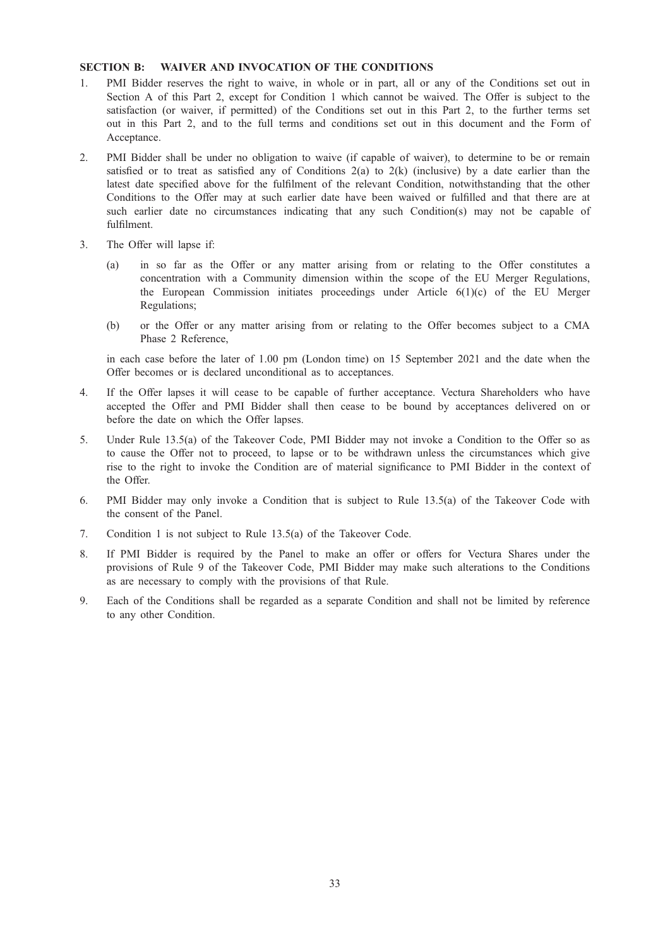### SECTION B: WAIVER AND INVOCATION OF THE CONDITIONS

- 1. PMI Bidder reserves the right to waive, in whole or in part, all or any of the Conditions set out in Section A of this Part 2, except for Condition 1 which cannot be waived. The Offer is subject to the satisfaction (or waiver, if permitted) of the Conditions set out in this Part 2, to the further terms set out in this Part 2, and to the full terms and conditions set out in this document and the Form of Acceptance.
- 2. PMI Bidder shall be under no obligation to waive (if capable of waiver), to determine to be or remain satisfied or to treat as satisfied any of Conditions  $2(a)$  to  $2(k)$  (inclusive) by a date earlier than the latest date specified above for the fulfilment of the relevant Condition, notwithstanding that the other Conditions to the Offer may at such earlier date have been waived or fulfilled and that there are at such earlier date no circumstances indicating that any such Condition(s) may not be capable of fulfilment.
- 3. The Offer will lapse if:
	- (a) in so far as the Offer or any matter arising from or relating to the Offer constitutes a concentration with a Community dimension within the scope of the EU Merger Regulations, the European Commission initiates proceedings under Article 6(1)(c) of the EU Merger Regulations;
	- (b) or the Offer or any matter arising from or relating to the Offer becomes subject to a CMA Phase 2 Reference,

in each case before the later of 1.00 pm (London time) on 15 September 2021 and the date when the Offer becomes or is declared unconditional as to acceptances.

- 4. If the Offer lapses it will cease to be capable of further acceptance. Vectura Shareholders who have accepted the Offer and PMI Bidder shall then cease to be bound by acceptances delivered on or before the date on which the Offer lapses.
- 5. Under Rule 13.5(a) of the Takeover Code, PMI Bidder may not invoke a Condition to the Offer so as to cause the Offer not to proceed, to lapse or to be withdrawn unless the circumstances which give rise to the right to invoke the Condition are of material significance to PMI Bidder in the context of the Offer.
- 6. PMI Bidder may only invoke a Condition that is subject to Rule 13.5(a) of the Takeover Code with the consent of the Panel.
- 7. Condition 1 is not subject to Rule 13.5(a) of the Takeover Code.
- 8. If PMI Bidder is required by the Panel to make an offer or offers for Vectura Shares under the provisions of Rule 9 of the Takeover Code, PMI Bidder may make such alterations to the Conditions as are necessary to comply with the provisions of that Rule.
- 9. Each of the Conditions shall be regarded as a separate Condition and shall not be limited by reference to any other Condition.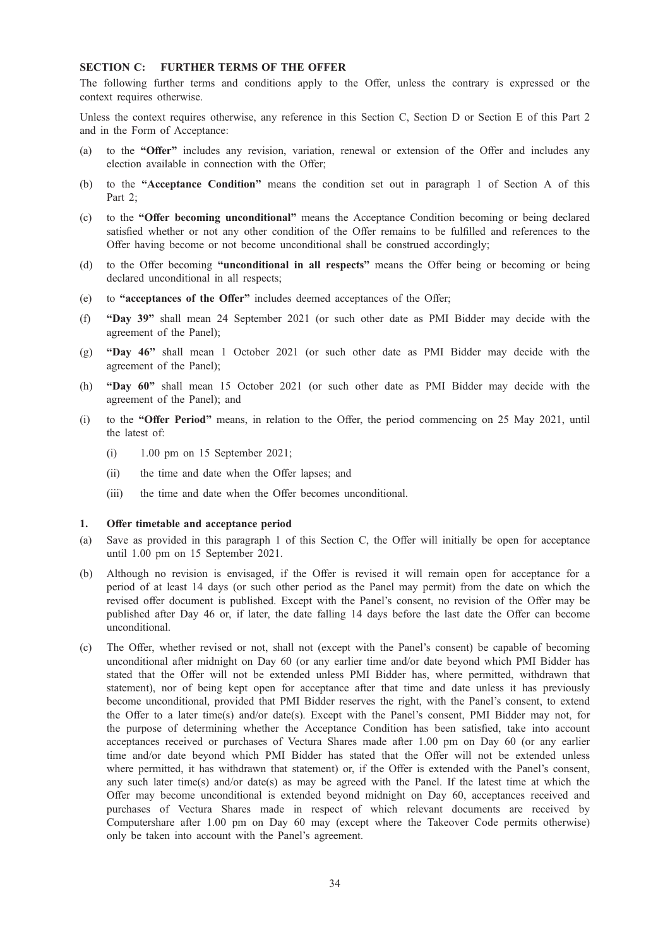## SECTION C: FURTHER TERMS OF THE OFFER

The following further terms and conditions apply to the Offer, unless the contrary is expressed or the context requires otherwise.

Unless the context requires otherwise, any reference in this Section C, Section D or Section E of this Part 2 and in the Form of Acceptance:

- (a) to the "Offer" includes any revision, variation, renewal or extension of the Offer and includes any election available in connection with the Offer;
- (b) to the "Acceptance Condition" means the condition set out in paragraph 1 of Section A of this Part 2;
- (c) to the "Offer becoming unconditional" means the Acceptance Condition becoming or being declared satisfied whether or not any other condition of the Offer remains to be fulfilled and references to the Offer having become or not become unconditional shall be construed accordingly;
- (d) to the Offer becoming "unconditional in all respects" means the Offer being or becoming or being declared unconditional in all respects;
- (e) to "acceptances of the Offer" includes deemed acceptances of the Offer;
- (f) "Day 39" shall mean 24 September 2021 (or such other date as PMI Bidder may decide with the agreement of the Panel);
- (g) "Day 46" shall mean 1 October 2021 (or such other date as PMI Bidder may decide with the agreement of the Panel);
- (h) "Day 60" shall mean 15 October 2021 (or such other date as PMI Bidder may decide with the agreement of the Panel); and
- (i) to the "Offer Period" means, in relation to the Offer, the period commencing on 25 May 2021, until the latest of:
	- (i) 1.00 pm on 15 September 2021;
	- (ii) the time and date when the Offer lapses; and
	- (iii) the time and date when the Offer becomes unconditional.

### 1. Offer timetable and acceptance period

- (a) Save as provided in this paragraph 1 of this Section C, the Offer will initially be open for acceptance until 1.00 pm on 15 September 2021.
- (b) Although no revision is envisaged, if the Offer is revised it will remain open for acceptance for a period of at least 14 days (or such other period as the Panel may permit) from the date on which the revised offer document is published. Except with the Panel's consent, no revision of the Offer may be published after Day 46 or, if later, the date falling 14 days before the last date the Offer can become unconditional.
- (c) The Offer, whether revised or not, shall not (except with the Panel's consent) be capable of becoming unconditional after midnight on Day 60 (or any earlier time and/or date beyond which PMI Bidder has stated that the Offer will not be extended unless PMI Bidder has, where permitted, withdrawn that statement), nor of being kept open for acceptance after that time and date unless it has previously become unconditional, provided that PMI Bidder reserves the right, with the Panel's consent, to extend the Offer to a later time(s) and/or date(s). Except with the Panel's consent, PMI Bidder may not, for the purpose of determining whether the Acceptance Condition has been satisfied, take into account acceptances received or purchases of Vectura Shares made after 1.00 pm on Day 60 (or any earlier time and/or date beyond which PMI Bidder has stated that the Offer will not be extended unless where permitted, it has withdrawn that statement) or, if the Offer is extended with the Panel's consent, any such later time(s) and/or date(s) as may be agreed with the Panel. If the latest time at which the Offer may become unconditional is extended beyond midnight on Day 60, acceptances received and purchases of Vectura Shares made in respect of which relevant documents are received by Computershare after 1.00 pm on Day 60 may (except where the Takeover Code permits otherwise) only be taken into account with the Panel's agreement.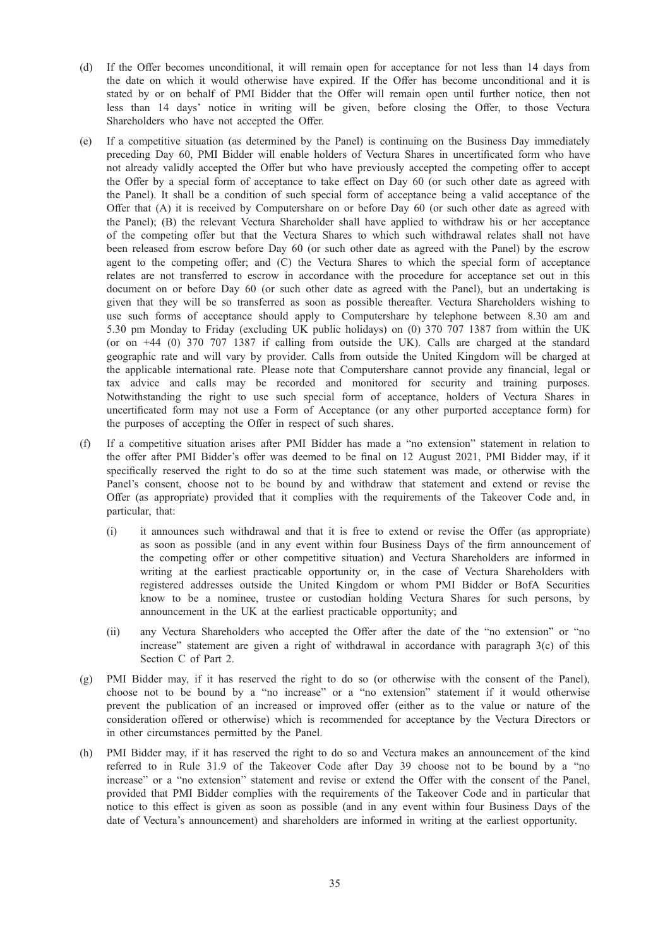- (d) If the Offer becomes unconditional, it will remain open for acceptance for not less than 14 days from the date on which it would otherwise have expired. If the Offer has become unconditional and it is stated by or on behalf of PMI Bidder that the Offer will remain open until further notice, then not less than 14 days' notice in writing will be given, before closing the Offer, to those Vectura Shareholders who have not accepted the Offer.
- (e) If a competitive situation (as determined by the Panel) is continuing on the Business Day immediately preceding Day 60, PMI Bidder will enable holders of Vectura Shares in uncertificated form who have not already validly accepted the Offer but who have previously accepted the competing offer to accept the Offer by a special form of acceptance to take effect on Day 60 (or such other date as agreed with the Panel). It shall be a condition of such special form of acceptance being a valid acceptance of the Offer that (A) it is received by Computershare on or before Day 60 (or such other date as agreed with the Panel); (B) the relevant Vectura Shareholder shall have applied to withdraw his or her acceptance of the competing offer but that the Vectura Shares to which such withdrawal relates shall not have been released from escrow before Day 60 (or such other date as agreed with the Panel) by the escrow agent to the competing offer; and (C) the Vectura Shares to which the special form of acceptance relates are not transferred to escrow in accordance with the procedure for acceptance set out in this document on or before Day 60 (or such other date as agreed with the Panel), but an undertaking is given that they will be so transferred as soon as possible thereafter. Vectura Shareholders wishing to use such forms of acceptance should apply to Computershare by telephone between 8.30 am and 5.30 pm Monday to Friday (excluding UK public holidays) on (0) 370 707 1387 from within the UK (or on +44 (0) 370 707 1387 if calling from outside the UK). Calls are charged at the standard geographic rate and will vary by provider. Calls from outside the United Kingdom will be charged at the applicable international rate. Please note that Computershare cannot provide any financial, legal or tax advice and calls may be recorded and monitored for security and training purposes. Notwithstanding the right to use such special form of acceptance, holders of Vectura Shares in uncertificated form may not use a Form of Acceptance (or any other purported acceptance form) for the purposes of accepting the Offer in respect of such shares.
- (f) If a competitive situation arises after PMI Bidder has made a "no extension" statement in relation to the offer after PMI Bidder's offer was deemed to be final on 12 August 2021, PMI Bidder may, if it specifically reserved the right to do so at the time such statement was made, or otherwise with the Panel's consent, choose not to be bound by and withdraw that statement and extend or revise the Offer (as appropriate) provided that it complies with the requirements of the Takeover Code and, in particular, that:
	- (i) it announces such withdrawal and that it is free to extend or revise the Offer (as appropriate) as soon as possible (and in any event within four Business Days of the firm announcement of the competing offer or other competitive situation) and Vectura Shareholders are informed in writing at the earliest practicable opportunity or, in the case of Vectura Shareholders with registered addresses outside the United Kingdom or whom PMI Bidder or BofA Securities know to be a nominee, trustee or custodian holding Vectura Shares for such persons, by announcement in the UK at the earliest practicable opportunity; and
	- (ii) any Vectura Shareholders who accepted the Offer after the date of the "no extension" or "no increase" statement are given a right of withdrawal in accordance with paragraph 3(c) of this Section C of Part 2.
- (g) PMI Bidder may, if it has reserved the right to do so (or otherwise with the consent of the Panel), choose not to be bound by a "no increase" or a "no extension" statement if it would otherwise prevent the publication of an increased or improved offer (either as to the value or nature of the consideration offered or otherwise) which is recommended for acceptance by the Vectura Directors or in other circumstances permitted by the Panel.
- (h) PMI Bidder may, if it has reserved the right to do so and Vectura makes an announcement of the kind referred to in Rule 31.9 of the Takeover Code after Day 39 choose not to be bound by a "no increase" or a "no extension" statement and revise or extend the Offer with the consent of the Panel, provided that PMI Bidder complies with the requirements of the Takeover Code and in particular that notice to this effect is given as soon as possible (and in any event within four Business Days of the date of Vectura's announcement) and shareholders are informed in writing at the earliest opportunity.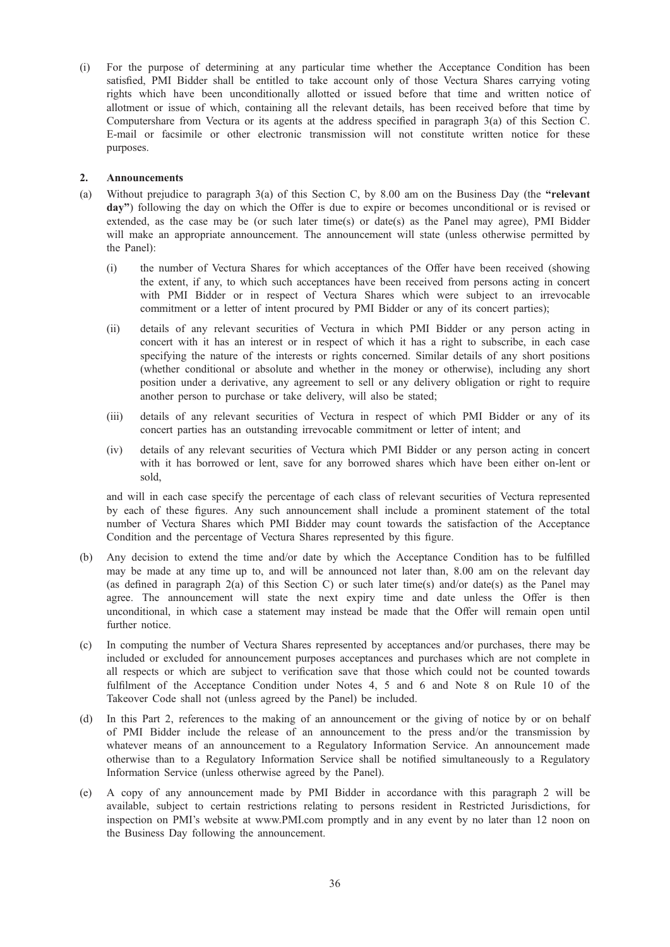(i) For the purpose of determining at any particular time whether the Acceptance Condition has been satisfied, PMI Bidder shall be entitled to take account only of those Vectura Shares carrying voting rights which have been unconditionally allotted or issued before that time and written notice of allotment or issue of which, containing all the relevant details, has been received before that time by Computershare from Vectura or its agents at the address specified in paragraph 3(a) of this Section C. E-mail or facsimile or other electronic transmission will not constitute written notice for these purposes.

### 2. Announcements

- (a) Without prejudice to paragraph 3(a) of this Section C, by 8.00 am on the Business Day (the "relevant day") following the day on which the Offer is due to expire or becomes unconditional or is revised or extended, as the case may be (or such later time(s) or date(s) as the Panel may agree), PMI Bidder will make an appropriate announcement. The announcement will state (unless otherwise permitted by the Panel):
	- (i) the number of Vectura Shares for which acceptances of the Offer have been received (showing the extent, if any, to which such acceptances have been received from persons acting in concert with PMI Bidder or in respect of Vectura Shares which were subject to an irrevocable commitment or a letter of intent procured by PMI Bidder or any of its concert parties);
	- (ii) details of any relevant securities of Vectura in which PMI Bidder or any person acting in concert with it has an interest or in respect of which it has a right to subscribe, in each case specifying the nature of the interests or rights concerned. Similar details of any short positions (whether conditional or absolute and whether in the money or otherwise), including any short position under a derivative, any agreement to sell or any delivery obligation or right to require another person to purchase or take delivery, will also be stated;
	- (iii) details of any relevant securities of Vectura in respect of which PMI Bidder or any of its concert parties has an outstanding irrevocable commitment or letter of intent; and
	- (iv) details of any relevant securities of Vectura which PMI Bidder or any person acting in concert with it has borrowed or lent, save for any borrowed shares which have been either on-lent or sold,

and will in each case specify the percentage of each class of relevant securities of Vectura represented by each of these figures. Any such announcement shall include a prominent statement of the total number of Vectura Shares which PMI Bidder may count towards the satisfaction of the Acceptance Condition and the percentage of Vectura Shares represented by this figure.

- (b) Any decision to extend the time and/or date by which the Acceptance Condition has to be fulfilled may be made at any time up to, and will be announced not later than, 8.00 am on the relevant day (as defined in paragraph 2(a) of this Section C) or such later time(s) and/or date(s) as the Panel may agree. The announcement will state the next expiry time and date unless the Offer is then unconditional, in which case a statement may instead be made that the Offer will remain open until further notice.
- (c) In computing the number of Vectura Shares represented by acceptances and/or purchases, there may be included or excluded for announcement purposes acceptances and purchases which are not complete in all respects or which are subject to verification save that those which could not be counted towards fulfilment of the Acceptance Condition under Notes 4, 5 and 6 and Note 8 on Rule 10 of the Takeover Code shall not (unless agreed by the Panel) be included.
- (d) In this Part 2, references to the making of an announcement or the giving of notice by or on behalf of PMI Bidder include the release of an announcement to the press and/or the transmission by whatever means of an announcement to a Regulatory Information Service. An announcement made otherwise than to a Regulatory Information Service shall be notified simultaneously to a Regulatory Information Service (unless otherwise agreed by the Panel).
- (e) A copy of any announcement made by PMI Bidder in accordance with this paragraph 2 will be available, subject to certain restrictions relating to persons resident in Restricted Jurisdictions, for inspection on PMI's website at www.PMI.com promptly and in any event by no later than 12 noon on the Business Day following the announcement.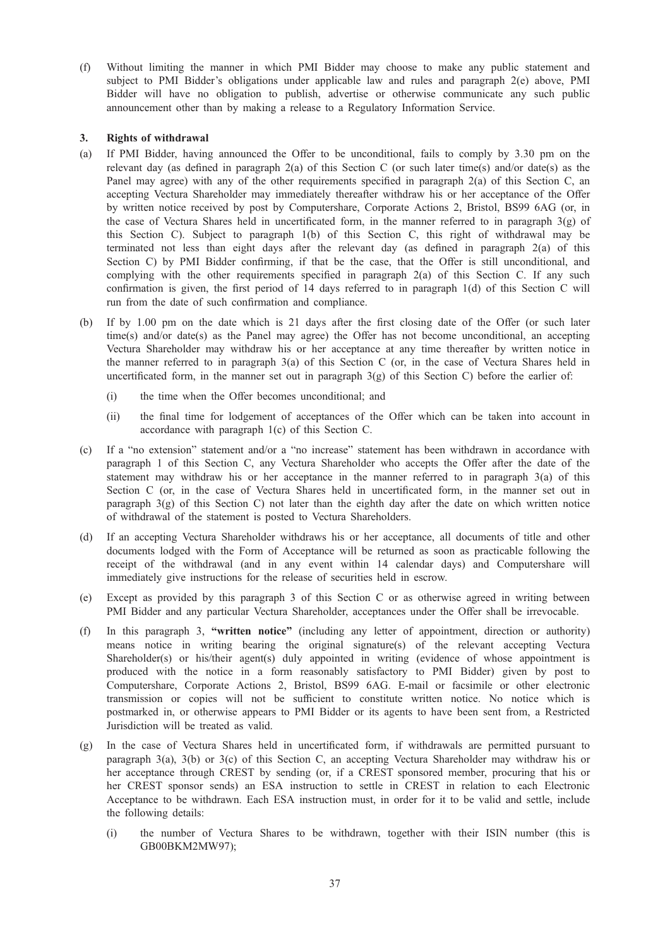(f) Without limiting the manner in which PMI Bidder may choose to make any public statement and subject to PMI Bidder's obligations under applicable law and rules and paragraph 2(e) above, PMI Bidder will have no obligation to publish, advertise or otherwise communicate any such public announcement other than by making a release to a Regulatory Information Service.

# 3. Rights of withdrawal

- (a) If PMI Bidder, having announced the Offer to be unconditional, fails to comply by 3.30 pm on the relevant day (as defined in paragraph 2(a) of this Section C (or such later time(s) and/or date(s) as the Panel may agree) with any of the other requirements specified in paragraph 2(a) of this Section C, an accepting Vectura Shareholder may immediately thereafter withdraw his or her acceptance of the Offer by written notice received by post by Computershare, Corporate Actions 2, Bristol, BS99 6AG (or, in the case of Vectura Shares held in uncertificated form, in the manner referred to in paragraph 3(g) of this Section C). Subject to paragraph 1(b) of this Section C, this right of withdrawal may be terminated not less than eight days after the relevant day (as defined in paragraph 2(a) of this Section C) by PMI Bidder confirming, if that be the case, that the Offer is still unconditional, and complying with the other requirements specified in paragraph 2(a) of this Section C. If any such confirmation is given, the first period of 14 days referred to in paragraph 1(d) of this Section C will run from the date of such confirmation and compliance.
- (b) If by 1.00 pm on the date which is 21 days after the first closing date of the Offer (or such later time(s) and/or date(s) as the Panel may agree) the Offer has not become unconditional, an accepting Vectura Shareholder may withdraw his or her acceptance at any time thereafter by written notice in the manner referred to in paragraph 3(a) of this Section C (or, in the case of Vectura Shares held in uncertificated form, in the manner set out in paragraph 3(g) of this Section C) before the earlier of:
	- (i) the time when the Offer becomes unconditional; and
	- (ii) the final time for lodgement of acceptances of the Offer which can be taken into account in accordance with paragraph 1(c) of this Section C.
- (c) If a "no extension" statement and/or a "no increase" statement has been withdrawn in accordance with paragraph 1 of this Section C, any Vectura Shareholder who accepts the Offer after the date of the statement may withdraw his or her acceptance in the manner referred to in paragraph 3(a) of this Section C (or, in the case of Vectura Shares held in uncertificated form, in the manner set out in paragraph 3(g) of this Section C) not later than the eighth day after the date on which written notice of withdrawal of the statement is posted to Vectura Shareholders.
- (d) If an accepting Vectura Shareholder withdraws his or her acceptance, all documents of title and other documents lodged with the Form of Acceptance will be returned as soon as practicable following the receipt of the withdrawal (and in any event within 14 calendar days) and Computershare will immediately give instructions for the release of securities held in escrow.
- (e) Except as provided by this paragraph 3 of this Section C or as otherwise agreed in writing between PMI Bidder and any particular Vectura Shareholder, acceptances under the Offer shall be irrevocable.
- (f) In this paragraph 3, "written notice" (including any letter of appointment, direction or authority) means notice in writing bearing the original signature(s) of the relevant accepting Vectura Shareholder(s) or his/their agent(s) duly appointed in writing (evidence of whose appointment is produced with the notice in a form reasonably satisfactory to PMI Bidder) given by post to Computershare, Corporate Actions 2, Bristol, BS99 6AG. E-mail or facsimile or other electronic transmission or copies will not be sufficient to constitute written notice. No notice which is postmarked in, or otherwise appears to PMI Bidder or its agents to have been sent from, a Restricted Jurisdiction will be treated as valid.
- (g) In the case of Vectura Shares held in uncertificated form, if withdrawals are permitted pursuant to paragraph 3(a), 3(b) or 3(c) of this Section C, an accepting Vectura Shareholder may withdraw his or her acceptance through CREST by sending (or, if a CREST sponsored member, procuring that his or her CREST sponsor sends) an ESA instruction to settle in CREST in relation to each Electronic Acceptance to be withdrawn. Each ESA instruction must, in order for it to be valid and settle, include the following details:
	- (i) the number of Vectura Shares to be withdrawn, together with their ISIN number (this is GB00BKM2MW97);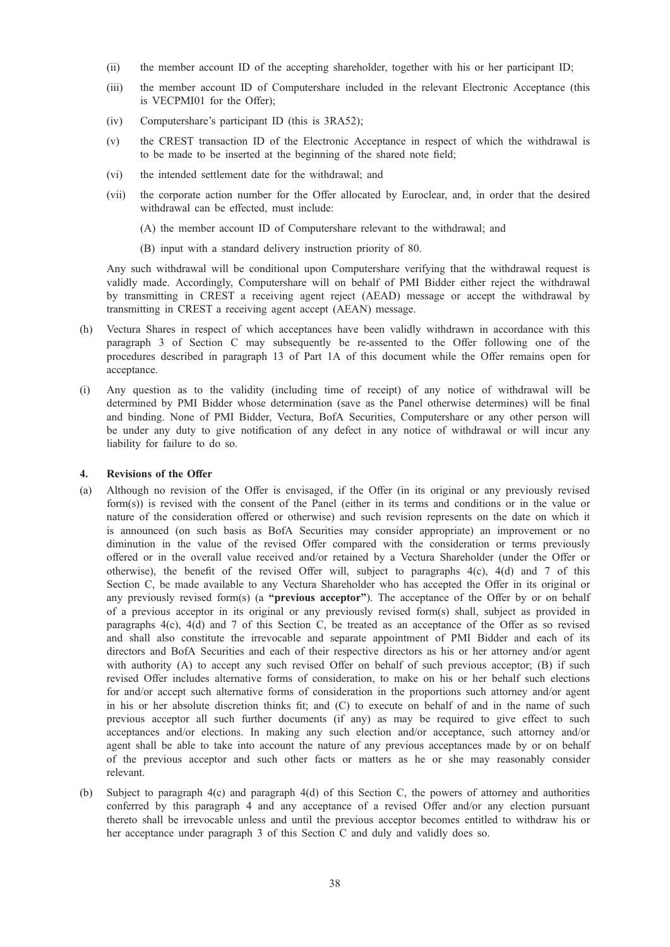- (ii) the member account ID of the accepting shareholder, together with his or her participant ID;
- (iii) the member account ID of Computershare included in the relevant Electronic Acceptance (this is VECPMI01 for the Offer);
- (iv) Computershare's participant ID (this is 3RA52);
- (v) the CREST transaction ID of the Electronic Acceptance in respect of which the withdrawal is to be made to be inserted at the beginning of the shared note field;
- (vi) the intended settlement date for the withdrawal; and
- (vii) the corporate action number for the Offer allocated by Euroclear, and, in order that the desired withdrawal can be effected, must include:
	- (A) the member account ID of Computershare relevant to the withdrawal; and
	- (B) input with a standard delivery instruction priority of 80.

Any such withdrawal will be conditional upon Computershare verifying that the withdrawal request is validly made. Accordingly, Computershare will on behalf of PMI Bidder either reject the withdrawal by transmitting in CREST a receiving agent reject (AEAD) message or accept the withdrawal by transmitting in CREST a receiving agent accept (AEAN) message.

- (h) Vectura Shares in respect of which acceptances have been validly withdrawn in accordance with this paragraph 3 of Section C may subsequently be re-assented to the Offer following one of the procedures described in paragraph 13 of Part 1A of this document while the Offer remains open for acceptance.
- (i) Any question as to the validity (including time of receipt) of any notice of withdrawal will be determined by PMI Bidder whose determination (save as the Panel otherwise determines) will be final and binding. None of PMI Bidder, Vectura, BofA Securities, Computershare or any other person will be under any duty to give notification of any defect in any notice of withdrawal or will incur any liability for failure to do so.

### 4. Revisions of the Offer

- (a) Although no revision of the Offer is envisaged, if the Offer (in its original or any previously revised form(s)) is revised with the consent of the Panel (either in its terms and conditions or in the value or nature of the consideration offered or otherwise) and such revision represents on the date on which it is announced (on such basis as BofA Securities may consider appropriate) an improvement or no diminution in the value of the revised Offer compared with the consideration or terms previously offered or in the overall value received and/or retained by a Vectura Shareholder (under the Offer or otherwise), the benefit of the revised Offer will, subject to paragraphs 4(c), 4(d) and 7 of this Section C, be made available to any Vectura Shareholder who has accepted the Offer in its original or any previously revised form(s) (a "**previous acceptor**"). The acceptance of the Offer by or on behalf of a previous acceptor in its original or any previously revised form(s) shall, subject as provided in paragraphs 4(c), 4(d) and 7 of this Section C, be treated as an acceptance of the Offer as so revised and shall also constitute the irrevocable and separate appointment of PMI Bidder and each of its directors and BofA Securities and each of their respective directors as his or her attorney and/or agent with authority (A) to accept any such revised Offer on behalf of such previous acceptor; (B) if such revised Offer includes alternative forms of consideration, to make on his or her behalf such elections for and/or accept such alternative forms of consideration in the proportions such attorney and/or agent in his or her absolute discretion thinks fit; and (C) to execute on behalf of and in the name of such previous acceptor all such further documents (if any) as may be required to give effect to such acceptances and/or elections. In making any such election and/or acceptance, such attorney and/or agent shall be able to take into account the nature of any previous acceptances made by or on behalf of the previous acceptor and such other facts or matters as he or she may reasonably consider relevant.
- (b) Subject to paragraph 4(c) and paragraph 4(d) of this Section C, the powers of attorney and authorities conferred by this paragraph 4 and any acceptance of a revised Offer and/or any election pursuant thereto shall be irrevocable unless and until the previous acceptor becomes entitled to withdraw his or her acceptance under paragraph 3 of this Section C and duly and validly does so.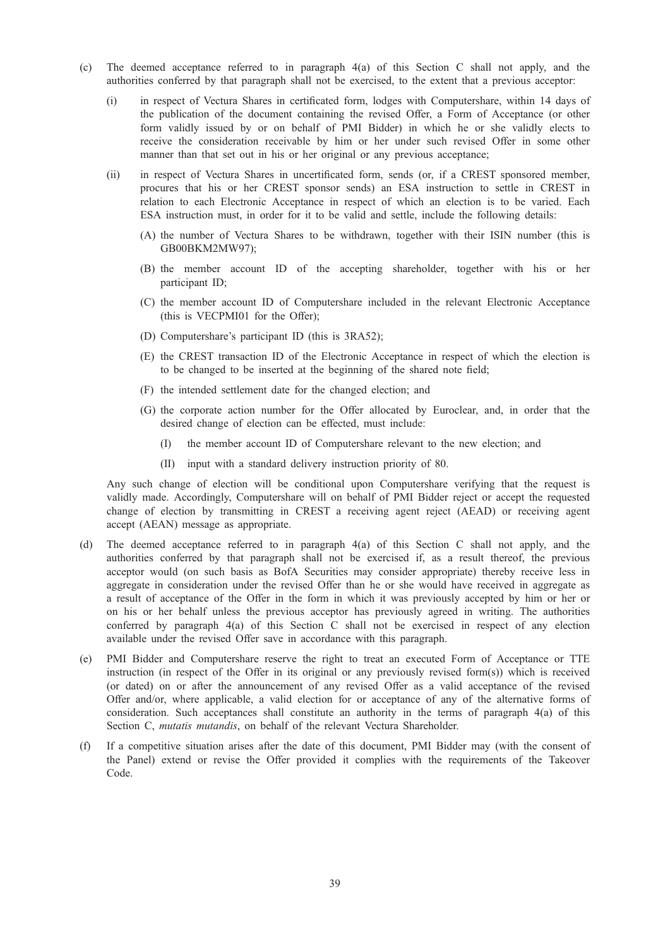- (c) The deemed acceptance referred to in paragraph 4(a) of this Section C shall not apply, and the authorities conferred by that paragraph shall not be exercised, to the extent that a previous acceptor:
	- (i) in respect of Vectura Shares in certificated form, lodges with Computershare, within 14 days of the publication of the document containing the revised Offer, a Form of Acceptance (or other form validly issued by or on behalf of PMI Bidder) in which he or she validly elects to receive the consideration receivable by him or her under such revised Offer in some other manner than that set out in his or her original or any previous acceptance;
	- (ii) in respect of Vectura Shares in uncertificated form, sends (or, if a CREST sponsored member, procures that his or her CREST sponsor sends) an ESA instruction to settle in CREST in relation to each Electronic Acceptance in respect of which an election is to be varied. Each ESA instruction must, in order for it to be valid and settle, include the following details:
		- (A) the number of Vectura Shares to be withdrawn, together with their ISIN number (this is GB00BKM2MW97);
		- (B) the member account ID of the accepting shareholder, together with his or her participant ID;
		- (C) the member account ID of Computershare included in the relevant Electronic Acceptance (this is VECPMI01 for the Offer);
		- (D) Computershare's participant ID (this is 3RA52);
		- (E) the CREST transaction ID of the Electronic Acceptance in respect of which the election is to be changed to be inserted at the beginning of the shared note field;
		- (F) the intended settlement date for the changed election; and
		- (G) the corporate action number for the Offer allocated by Euroclear, and, in order that the desired change of election can be effected, must include:
			- (I) the member account ID of Computershare relevant to the new election; and
			- (II) input with a standard delivery instruction priority of 80.

Any such change of election will be conditional upon Computershare verifying that the request is validly made. Accordingly, Computershare will on behalf of PMI Bidder reject or accept the requested change of election by transmitting in CREST a receiving agent reject (AEAD) or receiving agent accept (AEAN) message as appropriate.

- (d) The deemed acceptance referred to in paragraph 4(a) of this Section C shall not apply, and the authorities conferred by that paragraph shall not be exercised if, as a result thereof, the previous acceptor would (on such basis as BofA Securities may consider appropriate) thereby receive less in aggregate in consideration under the revised Offer than he or she would have received in aggregate as a result of acceptance of the Offer in the form in which it was previously accepted by him or her or on his or her behalf unless the previous acceptor has previously agreed in writing. The authorities conferred by paragraph 4(a) of this Section C shall not be exercised in respect of any election available under the revised Offer save in accordance with this paragraph.
- (e) PMI Bidder and Computershare reserve the right to treat an executed Form of Acceptance or TTE instruction (in respect of the Offer in its original or any previously revised form(s)) which is received (or dated) on or after the announcement of any revised Offer as a valid acceptance of the revised Offer and/or, where applicable, a valid election for or acceptance of any of the alternative forms of consideration. Such acceptances shall constitute an authority in the terms of paragraph 4(a) of this Section C, *mutatis mutandis*, on behalf of the relevant Vectura Shareholder.
- (f) If a competitive situation arises after the date of this document, PMI Bidder may (with the consent of the Panel) extend or revise the Offer provided it complies with the requirements of the Takeover Code.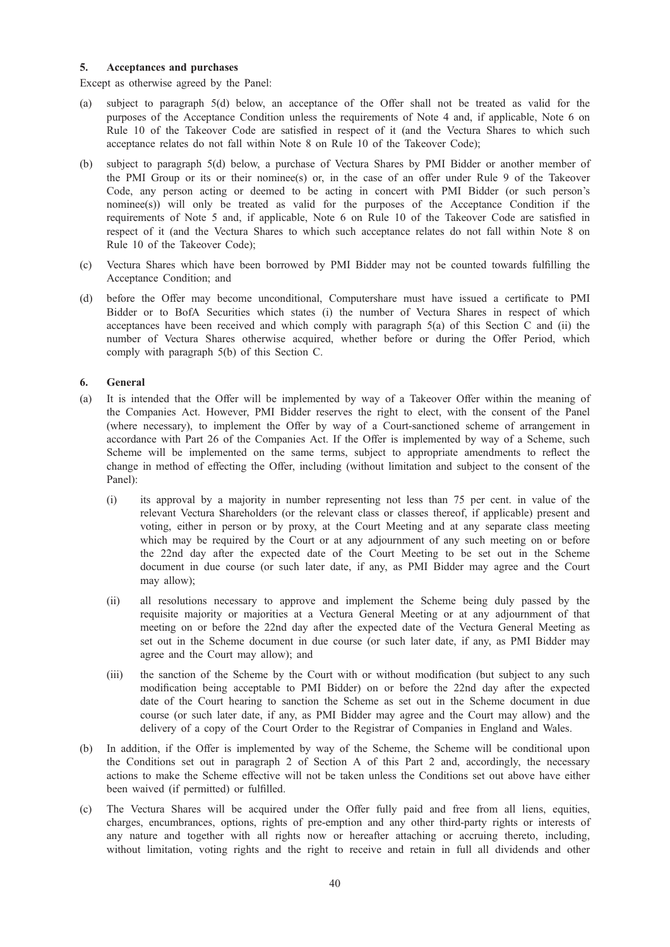# 5. Acceptances and purchases

Except as otherwise agreed by the Panel:

- (a) subject to paragraph 5(d) below, an acceptance of the Offer shall not be treated as valid for the purposes of the Acceptance Condition unless the requirements of Note 4 and, if applicable, Note 6 on Rule 10 of the Takeover Code are satisfied in respect of it (and the Vectura Shares to which such acceptance relates do not fall within Note 8 on Rule 10 of the Takeover Code);
- (b) subject to paragraph 5(d) below, a purchase of Vectura Shares by PMI Bidder or another member of the PMI Group or its or their nominee(s) or, in the case of an offer under Rule 9 of the Takeover Code, any person acting or deemed to be acting in concert with PMI Bidder (or such person's nominee(s)) will only be treated as valid for the purposes of the Acceptance Condition if the requirements of Note 5 and, if applicable, Note 6 on Rule 10 of the Takeover Code are satisfied in respect of it (and the Vectura Shares to which such acceptance relates do not fall within Note 8 on Rule 10 of the Takeover Code);
- (c) Vectura Shares which have been borrowed by PMI Bidder may not be counted towards fulfilling the Acceptance Condition; and
- (d) before the Offer may become unconditional, Computershare must have issued a certificate to PMI Bidder or to BofA Securities which states (i) the number of Vectura Shares in respect of which acceptances have been received and which comply with paragraph 5(a) of this Section C and (ii) the number of Vectura Shares otherwise acquired, whether before or during the Offer Period, which comply with paragraph 5(b) of this Section C.

# 6. General

- (a) It is intended that the Offer will be implemented by way of a Takeover Offer within the meaning of the Companies Act. However, PMI Bidder reserves the right to elect, with the consent of the Panel (where necessary), to implement the Offer by way of a Court-sanctioned scheme of arrangement in accordance with Part 26 of the Companies Act. If the Offer is implemented by way of a Scheme, such Scheme will be implemented on the same terms, subject to appropriate amendments to reflect the change in method of effecting the Offer, including (without limitation and subject to the consent of the Panel):
	- (i) its approval by a majority in number representing not less than 75 per cent. in value of the relevant Vectura Shareholders (or the relevant class or classes thereof, if applicable) present and voting, either in person or by proxy, at the Court Meeting and at any separate class meeting which may be required by the Court or at any adjournment of any such meeting on or before the 22nd day after the expected date of the Court Meeting to be set out in the Scheme document in due course (or such later date, if any, as PMI Bidder may agree and the Court may allow);
	- (ii) all resolutions necessary to approve and implement the Scheme being duly passed by the requisite majority or majorities at a Vectura General Meeting or at any adjournment of that meeting on or before the 22nd day after the expected date of the Vectura General Meeting as set out in the Scheme document in due course (or such later date, if any, as PMI Bidder may agree and the Court may allow); and
	- (iii) the sanction of the Scheme by the Court with or without modification (but subject to any such modification being acceptable to PMI Bidder) on or before the 22nd day after the expected date of the Court hearing to sanction the Scheme as set out in the Scheme document in due course (or such later date, if any, as PMI Bidder may agree and the Court may allow) and the delivery of a copy of the Court Order to the Registrar of Companies in England and Wales.
- (b) In addition, if the Offer is implemented by way of the Scheme, the Scheme will be conditional upon the Conditions set out in paragraph 2 of Section A of this Part 2 and, accordingly, the necessary actions to make the Scheme effective will not be taken unless the Conditions set out above have either been waived (if permitted) or fulfilled.
- (c) The Vectura Shares will be acquired under the Offer fully paid and free from all liens, equities, charges, encumbrances, options, rights of pre-emption and any other third-party rights or interests of any nature and together with all rights now or hereafter attaching or accruing thereto, including, without limitation, voting rights and the right to receive and retain in full all dividends and other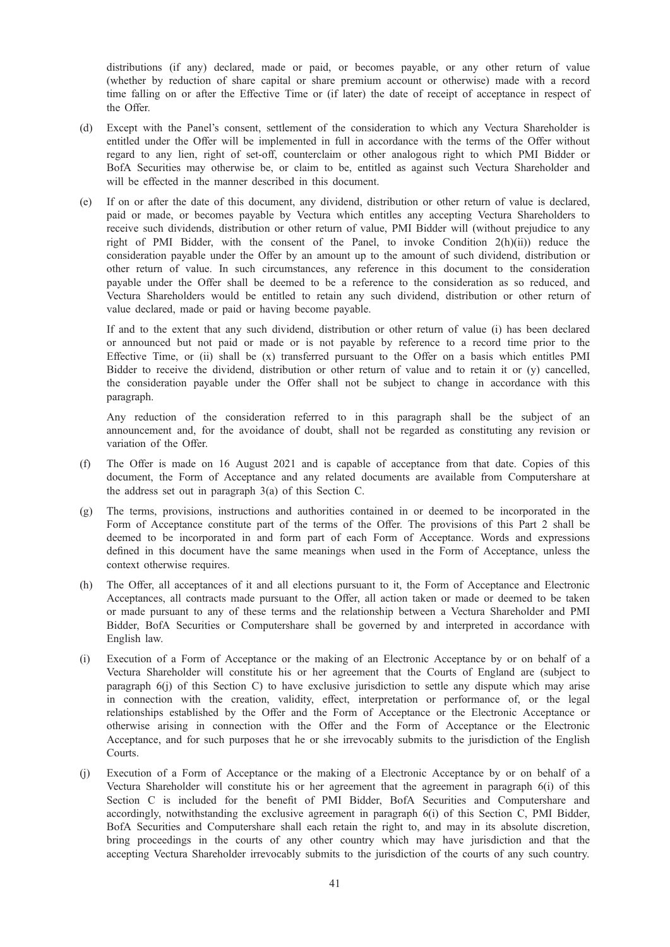distributions (if any) declared, made or paid, or becomes payable, or any other return of value (whether by reduction of share capital or share premium account or otherwise) made with a record time falling on or after the Effective Time or (if later) the date of receipt of acceptance in respect of the Offer.

- (d) Except with the Panel's consent, settlement of the consideration to which any Vectura Shareholder is entitled under the Offer will be implemented in full in accordance with the terms of the Offer without regard to any lien, right of set-off, counterclaim or other analogous right to which PMI Bidder or BofA Securities may otherwise be, or claim to be, entitled as against such Vectura Shareholder and will be effected in the manner described in this document.
- (e) If on or after the date of this document, any dividend, distribution or other return of value is declared, paid or made, or becomes payable by Vectura which entitles any accepting Vectura Shareholders to receive such dividends, distribution or other return of value, PMI Bidder will (without prejudice to any right of PMI Bidder, with the consent of the Panel, to invoke Condition 2(h)(ii)) reduce the consideration payable under the Offer by an amount up to the amount of such dividend, distribution or other return of value. In such circumstances, any reference in this document to the consideration payable under the Offer shall be deemed to be a reference to the consideration as so reduced, and Vectura Shareholders would be entitled to retain any such dividend, distribution or other return of value declared, made or paid or having become payable.

If and to the extent that any such dividend, distribution or other return of value (i) has been declared or announced but not paid or made or is not payable by reference to a record time prior to the Effective Time, or (ii) shall be  $(x)$  transferred pursuant to the Offer on a basis which entitles PMI Bidder to receive the dividend, distribution or other return of value and to retain it or (y) cancelled, the consideration payable under the Offer shall not be subject to change in accordance with this paragraph.

Any reduction of the consideration referred to in this paragraph shall be the subject of an announcement and, for the avoidance of doubt, shall not be regarded as constituting any revision or variation of the Offer.

- (f) The Offer is made on 16 August 2021 and is capable of acceptance from that date. Copies of this document, the Form of Acceptance and any related documents are available from Computershare at the address set out in paragraph 3(a) of this Section C.
- (g) The terms, provisions, instructions and authorities contained in or deemed to be incorporated in the Form of Acceptance constitute part of the terms of the Offer. The provisions of this Part 2 shall be deemed to be incorporated in and form part of each Form of Acceptance. Words and expressions defined in this document have the same meanings when used in the Form of Acceptance, unless the context otherwise requires.
- (h) The Offer, all acceptances of it and all elections pursuant to it, the Form of Acceptance and Electronic Acceptances, all contracts made pursuant to the Offer, all action taken or made or deemed to be taken or made pursuant to any of these terms and the relationship between a Vectura Shareholder and PMI Bidder, BofA Securities or Computershare shall be governed by and interpreted in accordance with English law.
- (i) Execution of a Form of Acceptance or the making of an Electronic Acceptance by or on behalf of a Vectura Shareholder will constitute his or her agreement that the Courts of England are (subject to paragraph 6(j) of this Section C) to have exclusive jurisdiction to settle any dispute which may arise in connection with the creation, validity, effect, interpretation or performance of, or the legal relationships established by the Offer and the Form of Acceptance or the Electronic Acceptance or otherwise arising in connection with the Offer and the Form of Acceptance or the Electronic Acceptance, and for such purposes that he or she irrevocably submits to the jurisdiction of the English Courts.
- (j) Execution of a Form of Acceptance or the making of a Electronic Acceptance by or on behalf of a Vectura Shareholder will constitute his or her agreement that the agreement in paragraph 6(i) of this Section C is included for the benefit of PMI Bidder, BofA Securities and Computershare and accordingly, notwithstanding the exclusive agreement in paragraph 6(i) of this Section C, PMI Bidder, BofA Securities and Computershare shall each retain the right to, and may in its absolute discretion, bring proceedings in the courts of any other country which may have jurisdiction and that the accepting Vectura Shareholder irrevocably submits to the jurisdiction of the courts of any such country.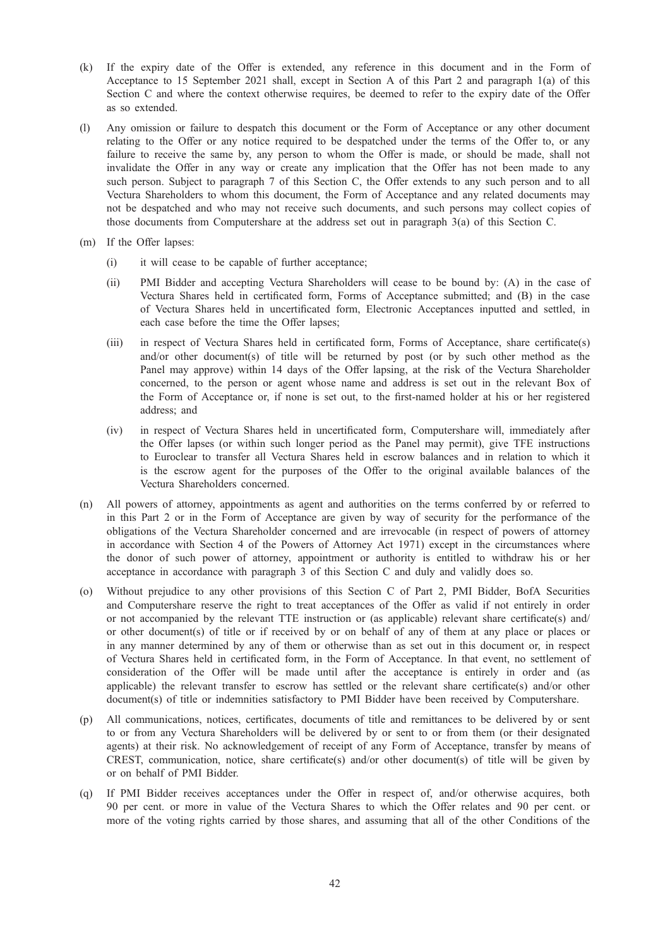- (k) If the expiry date of the Offer is extended, any reference in this document and in the Form of Acceptance to 15 September 2021 shall, except in Section A of this Part 2 and paragraph 1(a) of this Section C and where the context otherwise requires, be deemed to refer to the expiry date of the Offer as so extended.
- (l) Any omission or failure to despatch this document or the Form of Acceptance or any other document relating to the Offer or any notice required to be despatched under the terms of the Offer to, or any failure to receive the same by, any person to whom the Offer is made, or should be made, shall not invalidate the Offer in any way or create any implication that the Offer has not been made to any such person. Subject to paragraph 7 of this Section C, the Offer extends to any such person and to all Vectura Shareholders to whom this document, the Form of Acceptance and any related documents may not be despatched and who may not receive such documents, and such persons may collect copies of those documents from Computershare at the address set out in paragraph 3(a) of this Section C.
- (m) If the Offer lapses:
	- (i) it will cease to be capable of further acceptance;
	- (ii) PMI Bidder and accepting Vectura Shareholders will cease to be bound by: (A) in the case of Vectura Shares held in certificated form, Forms of Acceptance submitted; and (B) in the case of Vectura Shares held in uncertificated form, Electronic Acceptances inputted and settled, in each case before the time the Offer lapses;
	- (iii) in respect of Vectura Shares held in certificated form, Forms of Acceptance, share certificate(s) and/or other document(s) of title will be returned by post (or by such other method as the Panel may approve) within 14 days of the Offer lapsing, at the risk of the Vectura Shareholder concerned, to the person or agent whose name and address is set out in the relevant Box of the Form of Acceptance or, if none is set out, to the first-named holder at his or her registered address; and
	- (iv) in respect of Vectura Shares held in uncertificated form, Computershare will, immediately after the Offer lapses (or within such longer period as the Panel may permit), give TFE instructions to Euroclear to transfer all Vectura Shares held in escrow balances and in relation to which it is the escrow agent for the purposes of the Offer to the original available balances of the Vectura Shareholders concerned.
- (n) All powers of attorney, appointments as agent and authorities on the terms conferred by or referred to in this Part 2 or in the Form of Acceptance are given by way of security for the performance of the obligations of the Vectura Shareholder concerned and are irrevocable (in respect of powers of attorney in accordance with Section 4 of the Powers of Attorney Act 1971) except in the circumstances where the donor of such power of attorney, appointment or authority is entitled to withdraw his or her acceptance in accordance with paragraph 3 of this Section C and duly and validly does so.
- (o) Without prejudice to any other provisions of this Section C of Part 2, PMI Bidder, BofA Securities and Computershare reserve the right to treat acceptances of the Offer as valid if not entirely in order or not accompanied by the relevant TTE instruction or (as applicable) relevant share certificate(s) and/ or other document(s) of title or if received by or on behalf of any of them at any place or places or in any manner determined by any of them or otherwise than as set out in this document or, in respect of Vectura Shares held in certificated form, in the Form of Acceptance. In that event, no settlement of consideration of the Offer will be made until after the acceptance is entirely in order and (as applicable) the relevant transfer to escrow has settled or the relevant share certificate(s) and/or other document(s) of title or indemnities satisfactory to PMI Bidder have been received by Computershare.
- (p) All communications, notices, certificates, documents of title and remittances to be delivered by or sent to or from any Vectura Shareholders will be delivered by or sent to or from them (or their designated agents) at their risk. No acknowledgement of receipt of any Form of Acceptance, transfer by means of CREST, communication, notice, share certificate(s) and/or other document(s) of title will be given by or on behalf of PMI Bidder.
- (q) If PMI Bidder receives acceptances under the Offer in respect of, and/or otherwise acquires, both 90 per cent. or more in value of the Vectura Shares to which the Offer relates and 90 per cent. or more of the voting rights carried by those shares, and assuming that all of the other Conditions of the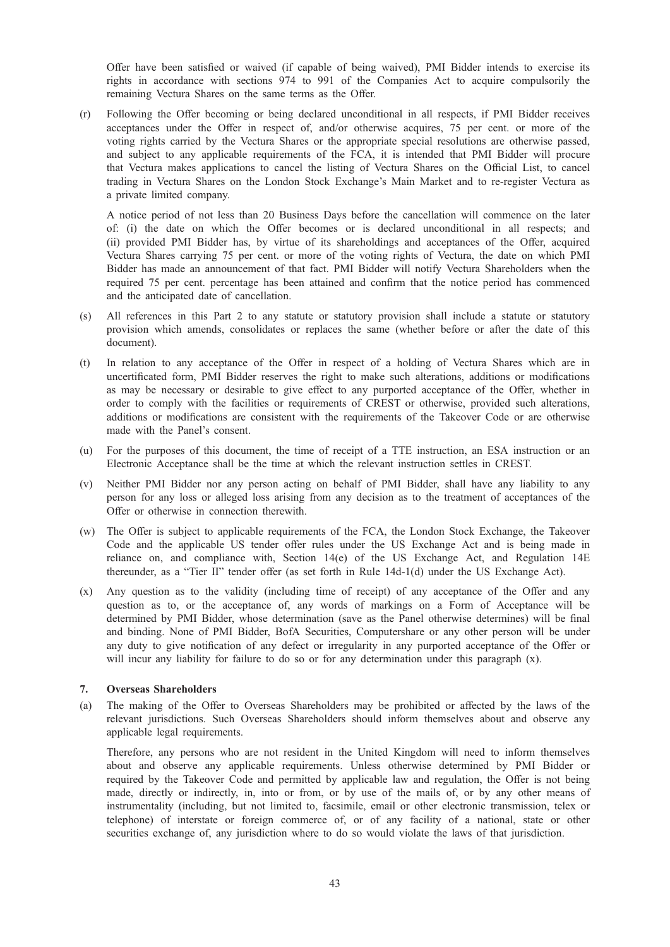Offer have been satisfied or waived (if capable of being waived), PMI Bidder intends to exercise its rights in accordance with sections 974 to 991 of the Companies Act to acquire compulsorily the remaining Vectura Shares on the same terms as the Offer.

(r) Following the Offer becoming or being declared unconditional in all respects, if PMI Bidder receives acceptances under the Offer in respect of, and/or otherwise acquires, 75 per cent. or more of the voting rights carried by the Vectura Shares or the appropriate special resolutions are otherwise passed, and subject to any applicable requirements of the FCA, it is intended that PMI Bidder will procure that Vectura makes applications to cancel the listing of Vectura Shares on the Official List, to cancel trading in Vectura Shares on the London Stock Exchange's Main Market and to re-register Vectura as a private limited company.

A notice period of not less than 20 Business Days before the cancellation will commence on the later of: (i) the date on which the Offer becomes or is declared unconditional in all respects; and (ii) provided PMI Bidder has, by virtue of its shareholdings and acceptances of the Offer, acquired Vectura Shares carrying 75 per cent. or more of the voting rights of Vectura, the date on which PMI Bidder has made an announcement of that fact. PMI Bidder will notify Vectura Shareholders when the required 75 per cent. percentage has been attained and confirm that the notice period has commenced and the anticipated date of cancellation.

- (s) All references in this Part 2 to any statute or statutory provision shall include a statute or statutory provision which amends, consolidates or replaces the same (whether before or after the date of this document).
- (t) In relation to any acceptance of the Offer in respect of a holding of Vectura Shares which are in uncertificated form, PMI Bidder reserves the right to make such alterations, additions or modifications as may be necessary or desirable to give effect to any purported acceptance of the Offer, whether in order to comply with the facilities or requirements of CREST or otherwise, provided such alterations, additions or modifications are consistent with the requirements of the Takeover Code or are otherwise made with the Panel's consent.
- (u) For the purposes of this document, the time of receipt of a TTE instruction, an ESA instruction or an Electronic Acceptance shall be the time at which the relevant instruction settles in CREST.
- (v) Neither PMI Bidder nor any person acting on behalf of PMI Bidder, shall have any liability to any person for any loss or alleged loss arising from any decision as to the treatment of acceptances of the Offer or otherwise in connection therewith.
- (w) The Offer is subject to applicable requirements of the FCA, the London Stock Exchange, the Takeover Code and the applicable US tender offer rules under the US Exchange Act and is being made in reliance on, and compliance with, Section 14(e) of the US Exchange Act, and Regulation 14E thereunder, as a "Tier II" tender offer (as set forth in Rule 14d-1(d) under the US Exchange Act).
- (x) Any question as to the validity (including time of receipt) of any acceptance of the Offer and any question as to, or the acceptance of, any words of markings on a Form of Acceptance will be determined by PMI Bidder, whose determination (save as the Panel otherwise determines) will be final and binding. None of PMI Bidder, BofA Securities, Computershare or any other person will be under any duty to give notification of any defect or irregularity in any purported acceptance of the Offer or will incur any liability for failure to do so or for any determination under this paragraph  $(x)$ .

#### 7. Overseas Shareholders

(a) The making of the Offer to Overseas Shareholders may be prohibited or affected by the laws of the relevant jurisdictions. Such Overseas Shareholders should inform themselves about and observe any applicable legal requirements.

Therefore, any persons who are not resident in the United Kingdom will need to inform themselves about and observe any applicable requirements. Unless otherwise determined by PMI Bidder or required by the Takeover Code and permitted by applicable law and regulation, the Offer is not being made, directly or indirectly, in, into or from, or by use of the mails of, or by any other means of instrumentality (including, but not limited to, facsimile, email or other electronic transmission, telex or telephone) of interstate or foreign commerce of, or of any facility of a national, state or other securities exchange of, any jurisdiction where to do so would violate the laws of that jurisdiction.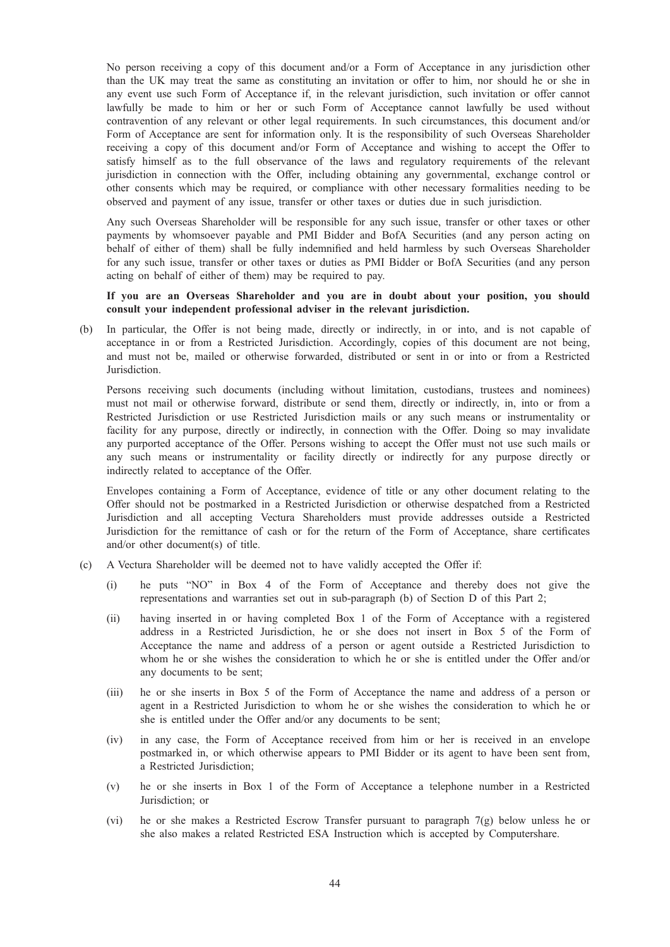No person receiving a copy of this document and/or a Form of Acceptance in any jurisdiction other than the UK may treat the same as constituting an invitation or offer to him, nor should he or she in any event use such Form of Acceptance if, in the relevant jurisdiction, such invitation or offer cannot lawfully be made to him or her or such Form of Acceptance cannot lawfully be used without contravention of any relevant or other legal requirements. In such circumstances, this document and/or Form of Acceptance are sent for information only. It is the responsibility of such Overseas Shareholder receiving a copy of this document and/or Form of Acceptance and wishing to accept the Offer to satisfy himself as to the full observance of the laws and regulatory requirements of the relevant jurisdiction in connection with the Offer, including obtaining any governmental, exchange control or other consents which may be required, or compliance with other necessary formalities needing to be observed and payment of any issue, transfer or other taxes or duties due in such jurisdiction.

Any such Overseas Shareholder will be responsible for any such issue, transfer or other taxes or other payments by whomsoever payable and PMI Bidder and BofA Securities (and any person acting on behalf of either of them) shall be fully indemnified and held harmless by such Overseas Shareholder for any such issue, transfer or other taxes or duties as PMI Bidder or BofA Securities (and any person acting on behalf of either of them) may be required to pay.

If you are an Overseas Shareholder and you are in doubt about your position, you should consult your independent professional adviser in the relevant jurisdiction.

(b) In particular, the Offer is not being made, directly or indirectly, in or into, and is not capable of acceptance in or from a Restricted Jurisdiction. Accordingly, copies of this document are not being, and must not be, mailed or otherwise forwarded, distributed or sent in or into or from a Restricted Jurisdiction.

Persons receiving such documents (including without limitation, custodians, trustees and nominees) must not mail or otherwise forward, distribute or send them, directly or indirectly, in, into or from a Restricted Jurisdiction or use Restricted Jurisdiction mails or any such means or instrumentality or facility for any purpose, directly or indirectly, in connection with the Offer. Doing so may invalidate any purported acceptance of the Offer. Persons wishing to accept the Offer must not use such mails or any such means or instrumentality or facility directly or indirectly for any purpose directly or indirectly related to acceptance of the Offer.

Envelopes containing a Form of Acceptance, evidence of title or any other document relating to the Offer should not be postmarked in a Restricted Jurisdiction or otherwise despatched from a Restricted Jurisdiction and all accepting Vectura Shareholders must provide addresses outside a Restricted Jurisdiction for the remittance of cash or for the return of the Form of Acceptance, share certificates and/or other document(s) of title.

- (c) A Vectura Shareholder will be deemed not to have validly accepted the Offer if:
	- (i) he puts "NO" in Box 4 of the Form of Acceptance and thereby does not give the representations and warranties set out in sub-paragraph (b) of Section D of this Part 2;
	- (ii) having inserted in or having completed Box 1 of the Form of Acceptance with a registered address in a Restricted Jurisdiction, he or she does not insert in Box 5 of the Form of Acceptance the name and address of a person or agent outside a Restricted Jurisdiction to whom he or she wishes the consideration to which he or she is entitled under the Offer and/or any documents to be sent;
	- (iii) he or she inserts in Box 5 of the Form of Acceptance the name and address of a person or agent in a Restricted Jurisdiction to whom he or she wishes the consideration to which he or she is entitled under the Offer and/or any documents to be sent;
	- (iv) in any case, the Form of Acceptance received from him or her is received in an envelope postmarked in, or which otherwise appears to PMI Bidder or its agent to have been sent from, a Restricted Jurisdiction;
	- (v) he or she inserts in Box 1 of the Form of Acceptance a telephone number in a Restricted Jurisdiction; or
	- (vi) he or she makes a Restricted Escrow Transfer pursuant to paragraph 7(g) below unless he or she also makes a related Restricted ESA Instruction which is accepted by Computershare.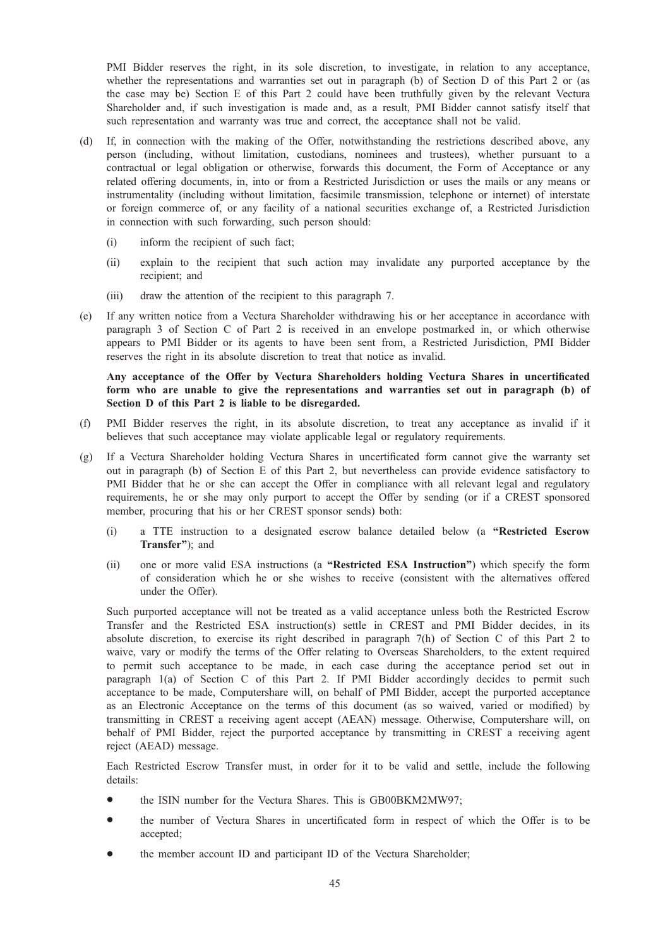PMI Bidder reserves the right, in its sole discretion, to investigate, in relation to any acceptance, whether the representations and warranties set out in paragraph (b) of Section D of this Part 2 or (as the case may be) Section E of this Part 2 could have been truthfully given by the relevant Vectura Shareholder and, if such investigation is made and, as a result, PMI Bidder cannot satisfy itself that such representation and warranty was true and correct, the acceptance shall not be valid.

- (d) If, in connection with the making of the Offer, notwithstanding the restrictions described above, any person (including, without limitation, custodians, nominees and trustees), whether pursuant to a contractual or legal obligation or otherwise, forwards this document, the Form of Acceptance or any related offering documents, in, into or from a Restricted Jurisdiction or uses the mails or any means or instrumentality (including without limitation, facsimile transmission, telephone or internet) of interstate or foreign commerce of, or any facility of a national securities exchange of, a Restricted Jurisdiction in connection with such forwarding, such person should:
	- (i) inform the recipient of such fact;
	- (ii) explain to the recipient that such action may invalidate any purported acceptance by the recipient; and
	- (iii) draw the attention of the recipient to this paragraph 7.
- (e) If any written notice from a Vectura Shareholder withdrawing his or her acceptance in accordance with paragraph 3 of Section C of Part 2 is received in an envelope postmarked in, or which otherwise appears to PMI Bidder or its agents to have been sent from, a Restricted Jurisdiction, PMI Bidder reserves the right in its absolute discretion to treat that notice as invalid.

Any acceptance of the Offer by Vectura Shareholders holding Vectura Shares in uncertificated form who are unable to give the representations and warranties set out in paragraph (b) of Section D of this Part 2 is liable to be disregarded.

- (f) PMI Bidder reserves the right, in its absolute discretion, to treat any acceptance as invalid if it believes that such acceptance may violate applicable legal or regulatory requirements.
- (g) If a Vectura Shareholder holding Vectura Shares in uncertificated form cannot give the warranty set out in paragraph (b) of Section E of this Part 2, but nevertheless can provide evidence satisfactory to PMI Bidder that he or she can accept the Offer in compliance with all relevant legal and regulatory requirements, he or she may only purport to accept the Offer by sending (or if a CREST sponsored member, procuring that his or her CREST sponsor sends) both:
	- (i) a TTE instruction to a designated escrow balance detailed below (a "Restricted Escrow Transfer"); and
	- (ii) one or more valid ESA instructions (a "Restricted ESA Instruction") which specify the form of consideration which he or she wishes to receive (consistent with the alternatives offered under the Offer).

Such purported acceptance will not be treated as a valid acceptance unless both the Restricted Escrow Transfer and the Restricted ESA instruction(s) settle in CREST and PMI Bidder decides, in its absolute discretion, to exercise its right described in paragraph 7(h) of Section C of this Part 2 to waive, vary or modify the terms of the Offer relating to Overseas Shareholders, to the extent required to permit such acceptance to be made, in each case during the acceptance period set out in paragraph 1(a) of Section C of this Part 2. If PMI Bidder accordingly decides to permit such acceptance to be made, Computershare will, on behalf of PMI Bidder, accept the purported acceptance as an Electronic Acceptance on the terms of this document (as so waived, varied or modified) by transmitting in CREST a receiving agent accept (AEAN) message. Otherwise, Computershare will, on behalf of PMI Bidder, reject the purported acceptance by transmitting in CREST a receiving agent reject (AEAD) message.

Each Restricted Escrow Transfer must, in order for it to be valid and settle, include the following details:

- the ISIN number for the Vectura Shares. This is GB00BKM2MW97;
- the number of Vectura Shares in uncertificated form in respect of which the Offer is to be accepted;
- the member account ID and participant ID of the Vectura Shareholder;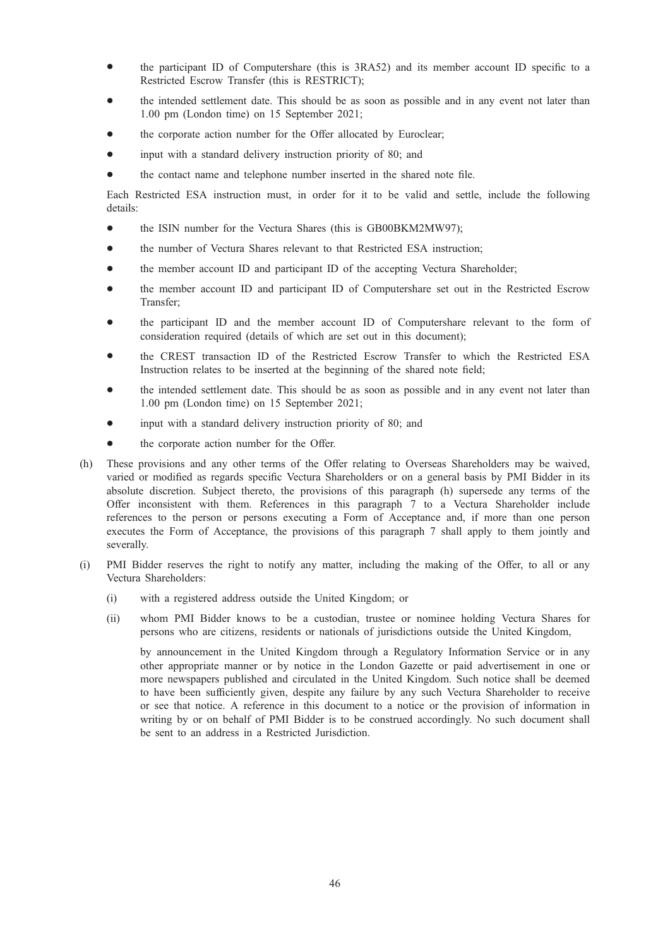- the participant ID of Computershare (this is 3RA52) and its member account ID specific to a Restricted Escrow Transfer (this is RESTRICT);
- the intended settlement date. This should be as soon as possible and in any event not later than 1.00 pm (London time) on 15 September 2021;
- the corporate action number for the Offer allocated by Euroclear;
- input with a standard delivery instruction priority of 80; and
- the contact name and telephone number inserted in the shared note file.

Each Restricted ESA instruction must, in order for it to be valid and settle, include the following details:

- the ISIN number for the Vectura Shares (this is GB00BKM2MW97);
- the number of Vectura Shares relevant to that Restricted ESA instruction;
- the member account ID and participant ID of the accepting Vectura Shareholder;
- the member account ID and participant ID of Computershare set out in the Restricted Escrow Transfer;
- the participant ID and the member account ID of Computershare relevant to the form of consideration required (details of which are set out in this document);
- the CREST transaction ID of the Restricted Escrow Transfer to which the Restricted ESA Instruction relates to be inserted at the beginning of the shared note field;
- the intended settlement date. This should be as soon as possible and in any event not later than 1.00 pm (London time) on 15 September 2021;
- input with a standard delivery instruction priority of 80; and
- the corporate action number for the Offer.
- (h) These provisions and any other terms of the Offer relating to Overseas Shareholders may be waived, varied or modified as regards specific Vectura Shareholders or on a general basis by PMI Bidder in its absolute discretion. Subject thereto, the provisions of this paragraph (h) supersede any terms of the Offer inconsistent with them. References in this paragraph 7 to a Vectura Shareholder include references to the person or persons executing a Form of Acceptance and, if more than one person executes the Form of Acceptance, the provisions of this paragraph 7 shall apply to them jointly and severally.
- (i) PMI Bidder reserves the right to notify any matter, including the making of the Offer, to all or any Vectura Shareholders:
	- (i) with a registered address outside the United Kingdom; or
	- (ii) whom PMI Bidder knows to be a custodian, trustee or nominee holding Vectura Shares for persons who are citizens, residents or nationals of jurisdictions outside the United Kingdom,

by announcement in the United Kingdom through a Regulatory Information Service or in any other appropriate manner or by notice in the London Gazette or paid advertisement in one or more newspapers published and circulated in the United Kingdom. Such notice shall be deemed to have been sufficiently given, despite any failure by any such Vectura Shareholder to receive or see that notice. A reference in this document to a notice or the provision of information in writing by or on behalf of PMI Bidder is to be construed accordingly. No such document shall be sent to an address in a Restricted Jurisdiction.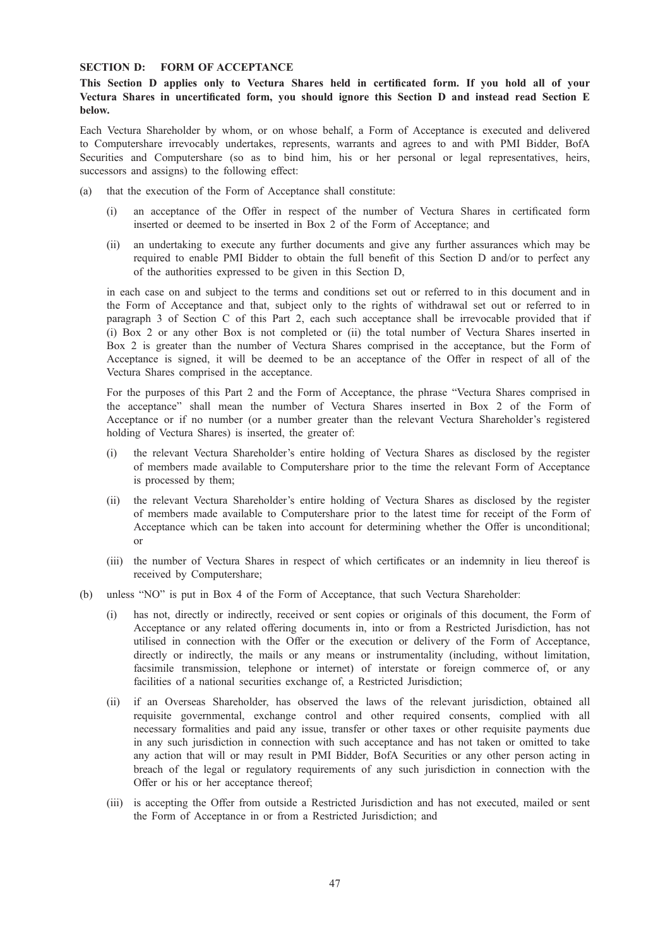### SECTION D: FORM OF ACCEPTANCE

# This Section D applies only to Vectura Shares held in certificated form. If you hold all of your Vectura Shares in uncertificated form, you should ignore this Section D and instead read Section E below.

Each Vectura Shareholder by whom, or on whose behalf, a Form of Acceptance is executed and delivered to Computershare irrevocably undertakes, represents, warrants and agrees to and with PMI Bidder, BofA Securities and Computershare (so as to bind him, his or her personal or legal representatives, heirs, successors and assigns) to the following effect:

- (a) that the execution of the Form of Acceptance shall constitute:
	- (i) an acceptance of the Offer in respect of the number of Vectura Shares in certificated form inserted or deemed to be inserted in Box 2 of the Form of Acceptance; and
	- (ii) an undertaking to execute any further documents and give any further assurances which may be required to enable PMI Bidder to obtain the full benefit of this Section D and/or to perfect any of the authorities expressed to be given in this Section D,

in each case on and subject to the terms and conditions set out or referred to in this document and in the Form of Acceptance and that, subject only to the rights of withdrawal set out or referred to in paragraph 3 of Section C of this Part 2, each such acceptance shall be irrevocable provided that if (i) Box 2 or any other Box is not completed or (ii) the total number of Vectura Shares inserted in Box 2 is greater than the number of Vectura Shares comprised in the acceptance, but the Form of Acceptance is signed, it will be deemed to be an acceptance of the Offer in respect of all of the Vectura Shares comprised in the acceptance.

For the purposes of this Part 2 and the Form of Acceptance, the phrase "Vectura Shares comprised in the acceptance" shall mean the number of Vectura Shares inserted in Box 2 of the Form of Acceptance or if no number (or a number greater than the relevant Vectura Shareholder's registered holding of Vectura Shares) is inserted, the greater of:

- (i) the relevant Vectura Shareholder's entire holding of Vectura Shares as disclosed by the register of members made available to Computershare prior to the time the relevant Form of Acceptance is processed by them;
- (ii) the relevant Vectura Shareholder's entire holding of Vectura Shares as disclosed by the register of members made available to Computershare prior to the latest time for receipt of the Form of Acceptance which can be taken into account for determining whether the Offer is unconditional; or
- (iii) the number of Vectura Shares in respect of which certificates or an indemnity in lieu thereof is received by Computershare;
- (b) unless "NO" is put in Box 4 of the Form of Acceptance, that such Vectura Shareholder:
	- (i) has not, directly or indirectly, received or sent copies or originals of this document, the Form of Acceptance or any related offering documents in, into or from a Restricted Jurisdiction, has not utilised in connection with the Offer or the execution or delivery of the Form of Acceptance, directly or indirectly, the mails or any means or instrumentality (including, without limitation, facsimile transmission, telephone or internet) of interstate or foreign commerce of, or any facilities of a national securities exchange of, a Restricted Jurisdiction;
	- (ii) if an Overseas Shareholder, has observed the laws of the relevant jurisdiction, obtained all requisite governmental, exchange control and other required consents, complied with all necessary formalities and paid any issue, transfer or other taxes or other requisite payments due in any such jurisdiction in connection with such acceptance and has not taken or omitted to take any action that will or may result in PMI Bidder, BofA Securities or any other person acting in breach of the legal or regulatory requirements of any such jurisdiction in connection with the Offer or his or her acceptance thereof;
	- (iii) is accepting the Offer from outside a Restricted Jurisdiction and has not executed, mailed or sent the Form of Acceptance in or from a Restricted Jurisdiction; and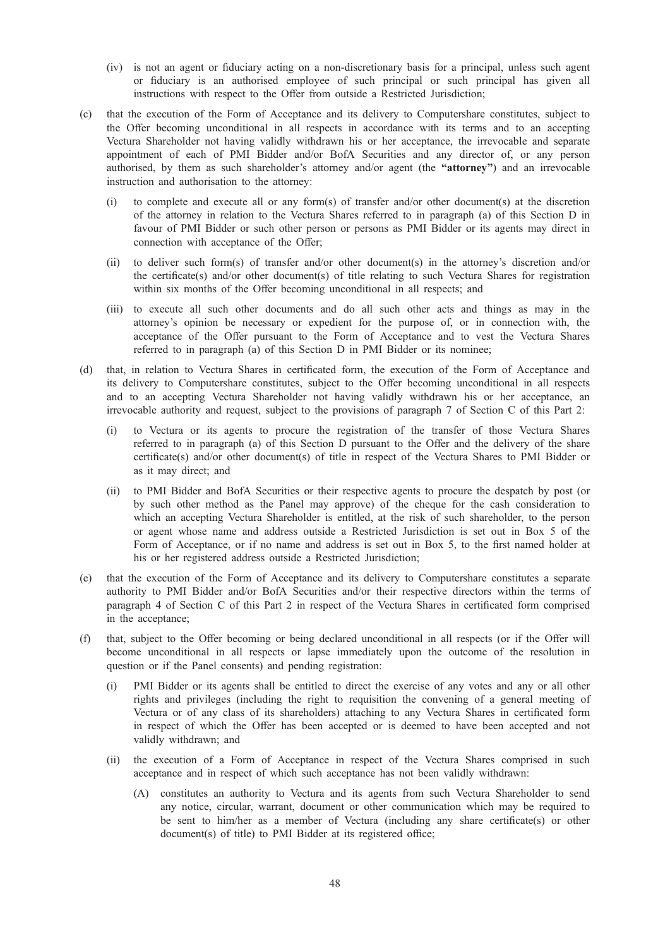- (iv) is not an agent or fiduciary acting on a non-discretionary basis for a principal, unless such agent or fiduciary is an authorised employee of such principal or such principal has given all instructions with respect to the Offer from outside a Restricted Jurisdiction;
- (c) that the execution of the Form of Acceptance and its delivery to Computershare constitutes, subject to the Offer becoming unconditional in all respects in accordance with its terms and to an accepting Vectura Shareholder not having validly withdrawn his or her acceptance, the irrevocable and separate appointment of each of PMI Bidder and/or BofA Securities and any director of, or any person authorised, by them as such shareholder's attorney and/or agent (the "attorney") and an irrevocable instruction and authorisation to the attorney:
	- (i) to complete and execute all or any form(s) of transfer and/or other document(s) at the discretion of the attorney in relation to the Vectura Shares referred to in paragraph (a) of this Section D in favour of PMI Bidder or such other person or persons as PMI Bidder or its agents may direct in connection with acceptance of the Offer;
	- (ii) to deliver such form(s) of transfer and/or other document(s) in the attorney's discretion and/or the certificate(s) and/or other document(s) of title relating to such Vectura Shares for registration within six months of the Offer becoming unconditional in all respects; and
	- (iii) to execute all such other documents and do all such other acts and things as may in the attorney's opinion be necessary or expedient for the purpose of, or in connection with, the acceptance of the Offer pursuant to the Form of Acceptance and to vest the Vectura Shares referred to in paragraph (a) of this Section D in PMI Bidder or its nominee;
- (d) that, in relation to Vectura Shares in certificated form, the execution of the Form of Acceptance and its delivery to Computershare constitutes, subject to the Offer becoming unconditional in all respects and to an accepting Vectura Shareholder not having validly withdrawn his or her acceptance, an irrevocable authority and request, subject to the provisions of paragraph 7 of Section C of this Part 2:
	- (i) to Vectura or its agents to procure the registration of the transfer of those Vectura Shares referred to in paragraph (a) of this Section D pursuant to the Offer and the delivery of the share certificate(s) and/or other document(s) of title in respect of the Vectura Shares to PMI Bidder or as it may direct; and
	- (ii) to PMI Bidder and BofA Securities or their respective agents to procure the despatch by post (or by such other method as the Panel may approve) of the cheque for the cash consideration to which an accepting Vectura Shareholder is entitled, at the risk of such shareholder, to the person or agent whose name and address outside a Restricted Jurisdiction is set out in Box 5 of the Form of Acceptance, or if no name and address is set out in Box 5, to the first named holder at his or her registered address outside a Restricted Jurisdiction;
- (e) that the execution of the Form of Acceptance and its delivery to Computershare constitutes a separate authority to PMI Bidder and/or BofA Securities and/or their respective directors within the terms of paragraph 4 of Section C of this Part 2 in respect of the Vectura Shares in certificated form comprised in the acceptance;
- (f) that, subject to the Offer becoming or being declared unconditional in all respects (or if the Offer will become unconditional in all respects or lapse immediately upon the outcome of the resolution in question or if the Panel consents) and pending registration:
	- (i) PMI Bidder or its agents shall be entitled to direct the exercise of any votes and any or all other rights and privileges (including the right to requisition the convening of a general meeting of Vectura or of any class of its shareholders) attaching to any Vectura Shares in certificated form in respect of which the Offer has been accepted or is deemed to have been accepted and not validly withdrawn; and
	- (ii) the execution of a Form of Acceptance in respect of the Vectura Shares comprised in such acceptance and in respect of which such acceptance has not been validly withdrawn:
		- (A) constitutes an authority to Vectura and its agents from such Vectura Shareholder to send any notice, circular, warrant, document or other communication which may be required to be sent to him/her as a member of Vectura (including any share certificate(s) or other document(s) of title) to PMI Bidder at its registered office;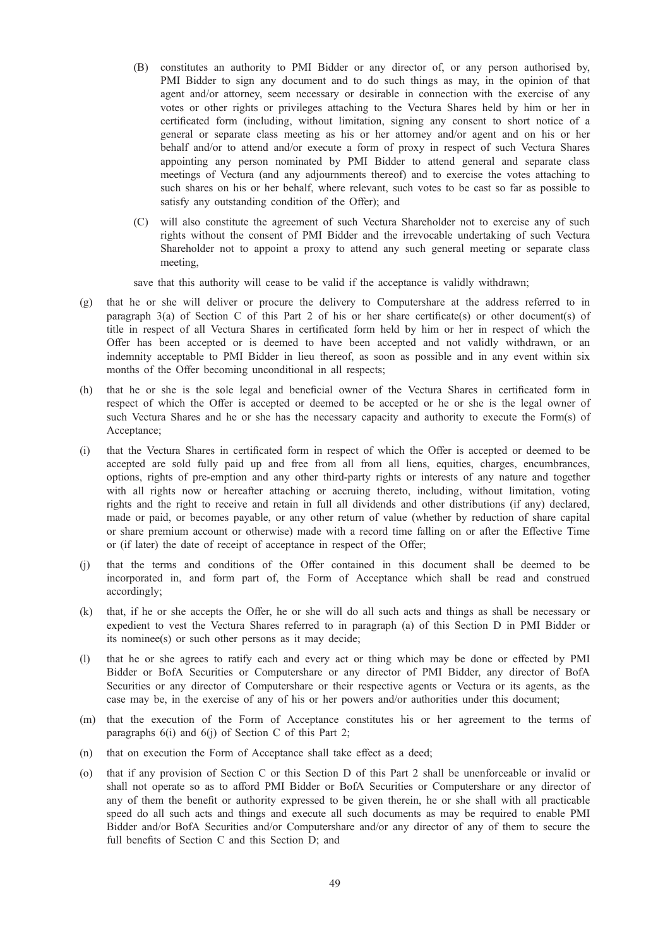- (B) constitutes an authority to PMI Bidder or any director of, or any person authorised by, PMI Bidder to sign any document and to do such things as may, in the opinion of that agent and/or attorney, seem necessary or desirable in connection with the exercise of any votes or other rights or privileges attaching to the Vectura Shares held by him or her in certificated form (including, without limitation, signing any consent to short notice of a general or separate class meeting as his or her attorney and/or agent and on his or her behalf and/or to attend and/or execute a form of proxy in respect of such Vectura Shares appointing any person nominated by PMI Bidder to attend general and separate class meetings of Vectura (and any adjournments thereof) and to exercise the votes attaching to such shares on his or her behalf, where relevant, such votes to be cast so far as possible to satisfy any outstanding condition of the Offer); and
- (C) will also constitute the agreement of such Vectura Shareholder not to exercise any of such rights without the consent of PMI Bidder and the irrevocable undertaking of such Vectura Shareholder not to appoint a proxy to attend any such general meeting or separate class meeting,

save that this authority will cease to be valid if the acceptance is validly withdrawn;

- (g) that he or she will deliver or procure the delivery to Computershare at the address referred to in paragraph 3(a) of Section C of this Part 2 of his or her share certificate(s) or other document(s) of title in respect of all Vectura Shares in certificated form held by him or her in respect of which the Offer has been accepted or is deemed to have been accepted and not validly withdrawn, or an indemnity acceptable to PMI Bidder in lieu thereof, as soon as possible and in any event within six months of the Offer becoming unconditional in all respects;
- (h) that he or she is the sole legal and beneficial owner of the Vectura Shares in certificated form in respect of which the Offer is accepted or deemed to be accepted or he or she is the legal owner of such Vectura Shares and he or she has the necessary capacity and authority to execute the Form(s) of Acceptance;
- (i) that the Vectura Shares in certificated form in respect of which the Offer is accepted or deemed to be accepted are sold fully paid up and free from all from all liens, equities, charges, encumbrances, options, rights of pre-emption and any other third-party rights or interests of any nature and together with all rights now or hereafter attaching or accruing thereto, including, without limitation, voting rights and the right to receive and retain in full all dividends and other distributions (if any) declared, made or paid, or becomes payable, or any other return of value (whether by reduction of share capital or share premium account or otherwise) made with a record time falling on or after the Effective Time or (if later) the date of receipt of acceptance in respect of the Offer;
- (j) that the terms and conditions of the Offer contained in this document shall be deemed to be incorporated in, and form part of, the Form of Acceptance which shall be read and construed accordingly;
- (k) that, if he or she accepts the Offer, he or she will do all such acts and things as shall be necessary or expedient to vest the Vectura Shares referred to in paragraph (a) of this Section D in PMI Bidder or its nominee(s) or such other persons as it may decide;
- (l) that he or she agrees to ratify each and every act or thing which may be done or effected by PMI Bidder or BofA Securities or Computershare or any director of PMI Bidder, any director of BofA Securities or any director of Computershare or their respective agents or Vectura or its agents, as the case may be, in the exercise of any of his or her powers and/or authorities under this document;
- (m) that the execution of the Form of Acceptance constitutes his or her agreement to the terms of paragraphs 6(i) and 6(j) of Section C of this Part 2;
- (n) that on execution the Form of Acceptance shall take effect as a deed;
- (o) that if any provision of Section C or this Section D of this Part 2 shall be unenforceable or invalid or shall not operate so as to afford PMI Bidder or BofA Securities or Computershare or any director of any of them the benefit or authority expressed to be given therein, he or she shall with all practicable speed do all such acts and things and execute all such documents as may be required to enable PMI Bidder and/or BofA Securities and/or Computershare and/or any director of any of them to secure the full benefits of Section C and this Section D; and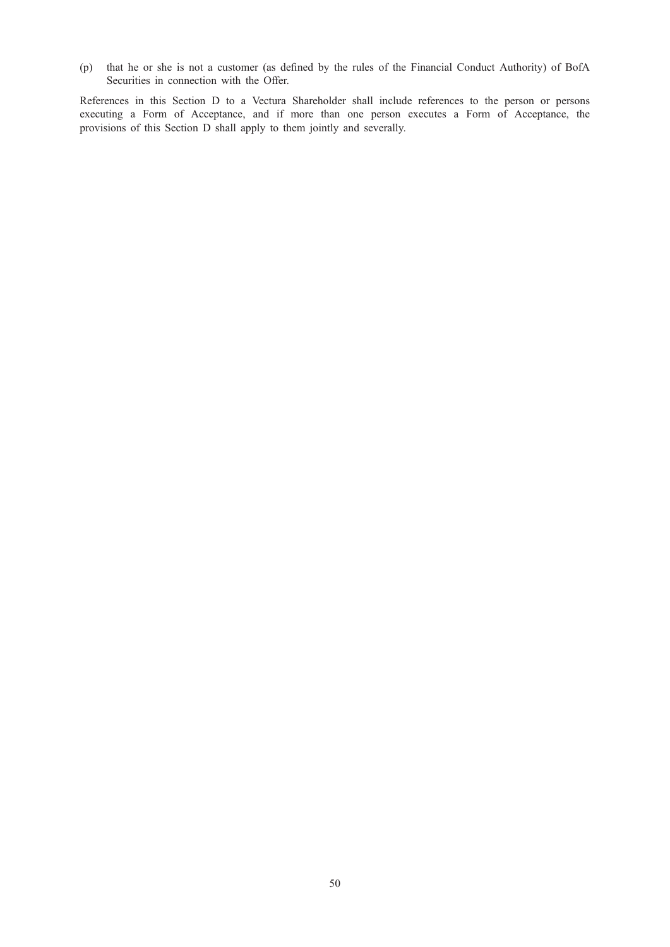(p) that he or she is not a customer (as defined by the rules of the Financial Conduct Authority) of BofA Securities in connection with the Offer.

References in this Section D to a Vectura Shareholder shall include references to the person or persons executing a Form of Acceptance, and if more than one person executes a Form of Acceptance, the provisions of this Section D shall apply to them jointly and severally.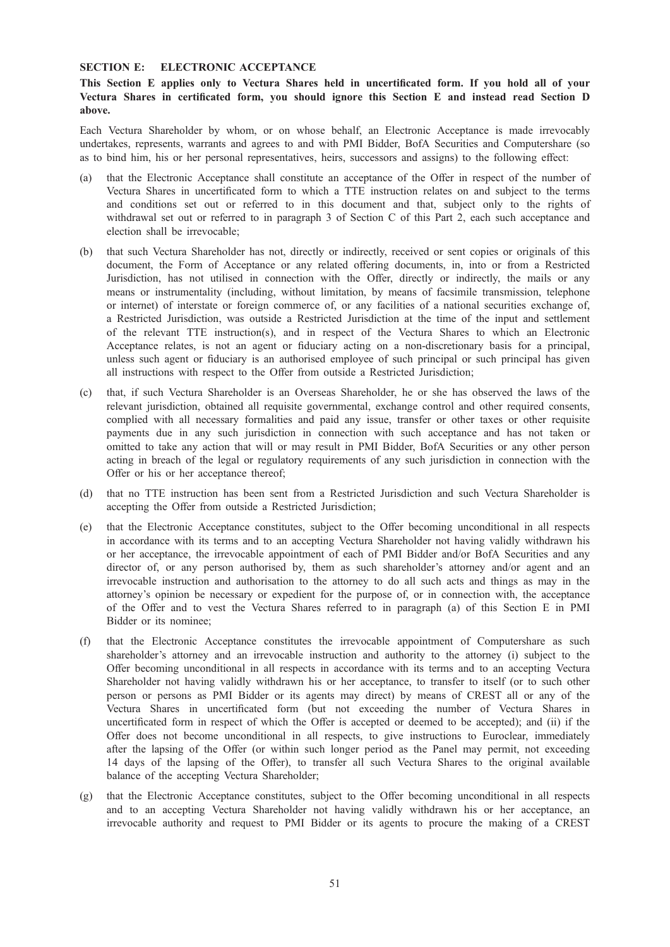#### SECTION E: ELECTRONIC ACCEPTANCE

# This Section E applies only to Vectura Shares held in uncertificated form. If you hold all of your Vectura Shares in certificated form, you should ignore this Section E and instead read Section D above.

Each Vectura Shareholder by whom, or on whose behalf, an Electronic Acceptance is made irrevocably undertakes, represents, warrants and agrees to and with PMI Bidder, BofA Securities and Computershare (so as to bind him, his or her personal representatives, heirs, successors and assigns) to the following effect:

- (a) that the Electronic Acceptance shall constitute an acceptance of the Offer in respect of the number of Vectura Shares in uncertificated form to which a TTE instruction relates on and subject to the terms and conditions set out or referred to in this document and that, subject only to the rights of withdrawal set out or referred to in paragraph 3 of Section C of this Part 2, each such acceptance and election shall be irrevocable;
- (b) that such Vectura Shareholder has not, directly or indirectly, received or sent copies or originals of this document, the Form of Acceptance or any related offering documents, in, into or from a Restricted Jurisdiction, has not utilised in connection with the Offer, directly or indirectly, the mails or any means or instrumentality (including, without limitation, by means of facsimile transmission, telephone or internet) of interstate or foreign commerce of, or any facilities of a national securities exchange of, a Restricted Jurisdiction, was outside a Restricted Jurisdiction at the time of the input and settlement of the relevant TTE instruction(s), and in respect of the Vectura Shares to which an Electronic Acceptance relates, is not an agent or fiduciary acting on a non-discretionary basis for a principal, unless such agent or fiduciary is an authorised employee of such principal or such principal has given all instructions with respect to the Offer from outside a Restricted Jurisdiction;
- (c) that, if such Vectura Shareholder is an Overseas Shareholder, he or she has observed the laws of the relevant jurisdiction, obtained all requisite governmental, exchange control and other required consents, complied with all necessary formalities and paid any issue, transfer or other taxes or other requisite payments due in any such jurisdiction in connection with such acceptance and has not taken or omitted to take any action that will or may result in PMI Bidder, BofA Securities or any other person acting in breach of the legal or regulatory requirements of any such jurisdiction in connection with the Offer or his or her acceptance thereof;
- (d) that no TTE instruction has been sent from a Restricted Jurisdiction and such Vectura Shareholder is accepting the Offer from outside a Restricted Jurisdiction;
- (e) that the Electronic Acceptance constitutes, subject to the Offer becoming unconditional in all respects in accordance with its terms and to an accepting Vectura Shareholder not having validly withdrawn his or her acceptance, the irrevocable appointment of each of PMI Bidder and/or BofA Securities and any director of, or any person authorised by, them as such shareholder's attorney and/or agent and an irrevocable instruction and authorisation to the attorney to do all such acts and things as may in the attorney's opinion be necessary or expedient for the purpose of, or in connection with, the acceptance of the Offer and to vest the Vectura Shares referred to in paragraph (a) of this Section E in PMI Bidder or its nominee;
- (f) that the Electronic Acceptance constitutes the irrevocable appointment of Computershare as such shareholder's attorney and an irrevocable instruction and authority to the attorney (i) subject to the Offer becoming unconditional in all respects in accordance with its terms and to an accepting Vectura Shareholder not having validly withdrawn his or her acceptance, to transfer to itself (or to such other person or persons as PMI Bidder or its agents may direct) by means of CREST all or any of the Vectura Shares in uncertificated form (but not exceeding the number of Vectura Shares in uncertificated form in respect of which the Offer is accepted or deemed to be accepted); and (ii) if the Offer does not become unconditional in all respects, to give instructions to Euroclear, immediately after the lapsing of the Offer (or within such longer period as the Panel may permit, not exceeding 14 days of the lapsing of the Offer), to transfer all such Vectura Shares to the original available balance of the accepting Vectura Shareholder;
- (g) that the Electronic Acceptance constitutes, subject to the Offer becoming unconditional in all respects and to an accepting Vectura Shareholder not having validly withdrawn his or her acceptance, an irrevocable authority and request to PMI Bidder or its agents to procure the making of a CREST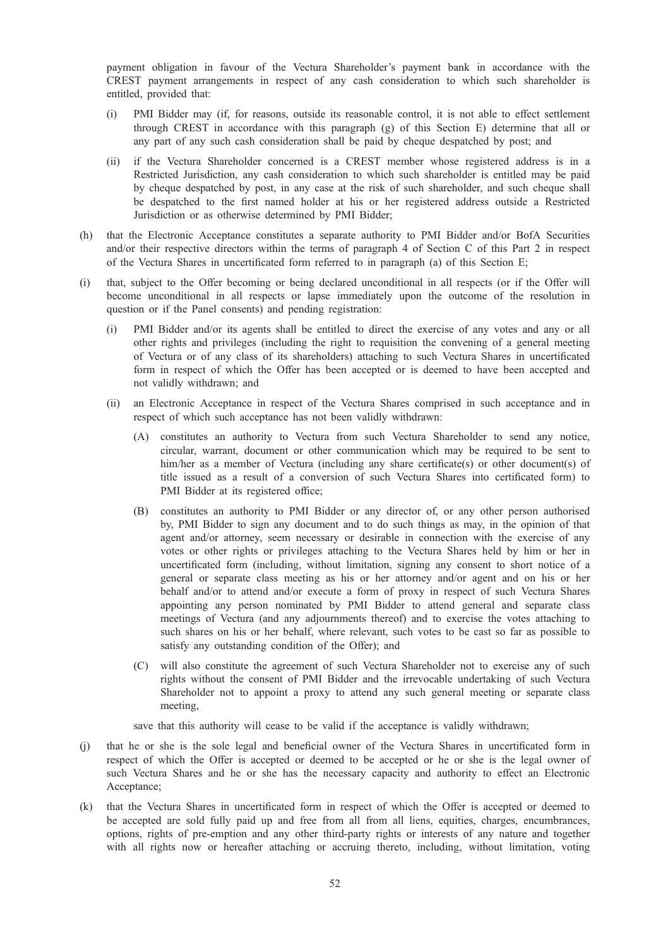payment obligation in favour of the Vectura Shareholder's payment bank in accordance with the CREST payment arrangements in respect of any cash consideration to which such shareholder is entitled, provided that:

- (i) PMI Bidder may (if, for reasons, outside its reasonable control, it is not able to effect settlement through CREST in accordance with this paragraph (g) of this Section E) determine that all or any part of any such cash consideration shall be paid by cheque despatched by post; and
- (ii) if the Vectura Shareholder concerned is a CREST member whose registered address is in a Restricted Jurisdiction, any cash consideration to which such shareholder is entitled may be paid by cheque despatched by post, in any case at the risk of such shareholder, and such cheque shall be despatched to the first named holder at his or her registered address outside a Restricted Jurisdiction or as otherwise determined by PMI Bidder;
- (h) that the Electronic Acceptance constitutes a separate authority to PMI Bidder and/or BofA Securities and/or their respective directors within the terms of paragraph 4 of Section C of this Part 2 in respect of the Vectura Shares in uncertificated form referred to in paragraph (a) of this Section E;
- (i) that, subject to the Offer becoming or being declared unconditional in all respects (or if the Offer will become unconditional in all respects or lapse immediately upon the outcome of the resolution in question or if the Panel consents) and pending registration:
	- (i) PMI Bidder and/or its agents shall be entitled to direct the exercise of any votes and any or all other rights and privileges (including the right to requisition the convening of a general meeting of Vectura or of any class of its shareholders) attaching to such Vectura Shares in uncertificated form in respect of which the Offer has been accepted or is deemed to have been accepted and not validly withdrawn; and
	- (ii) an Electronic Acceptance in respect of the Vectura Shares comprised in such acceptance and in respect of which such acceptance has not been validly withdrawn:
		- (A) constitutes an authority to Vectura from such Vectura Shareholder to send any notice, circular, warrant, document or other communication which may be required to be sent to him/her as a member of Vectura (including any share certificate(s) or other document(s) of title issued as a result of a conversion of such Vectura Shares into certificated form) to PMI Bidder at its registered office;
		- (B) constitutes an authority to PMI Bidder or any director of, or any other person authorised by, PMI Bidder to sign any document and to do such things as may, in the opinion of that agent and/or attorney, seem necessary or desirable in connection with the exercise of any votes or other rights or privileges attaching to the Vectura Shares held by him or her in uncertificated form (including, without limitation, signing any consent to short notice of a general or separate class meeting as his or her attorney and/or agent and on his or her behalf and/or to attend and/or execute a form of proxy in respect of such Vectura Shares appointing any person nominated by PMI Bidder to attend general and separate class meetings of Vectura (and any adjournments thereof) and to exercise the votes attaching to such shares on his or her behalf, where relevant, such votes to be cast so far as possible to satisfy any outstanding condition of the Offer); and
		- (C) will also constitute the agreement of such Vectura Shareholder not to exercise any of such rights without the consent of PMI Bidder and the irrevocable undertaking of such Vectura Shareholder not to appoint a proxy to attend any such general meeting or separate class meeting,

save that this authority will cease to be valid if the acceptance is validly withdrawn;

- (j) that he or she is the sole legal and beneficial owner of the Vectura Shares in uncertificated form in respect of which the Offer is accepted or deemed to be accepted or he or she is the legal owner of such Vectura Shares and he or she has the necessary capacity and authority to effect an Electronic Acceptance;
- (k) that the Vectura Shares in uncertificated form in respect of which the Offer is accepted or deemed to be accepted are sold fully paid up and free from all from all liens, equities, charges, encumbrances, options, rights of pre-emption and any other third-party rights or interests of any nature and together with all rights now or hereafter attaching or accruing thereto, including, without limitation, voting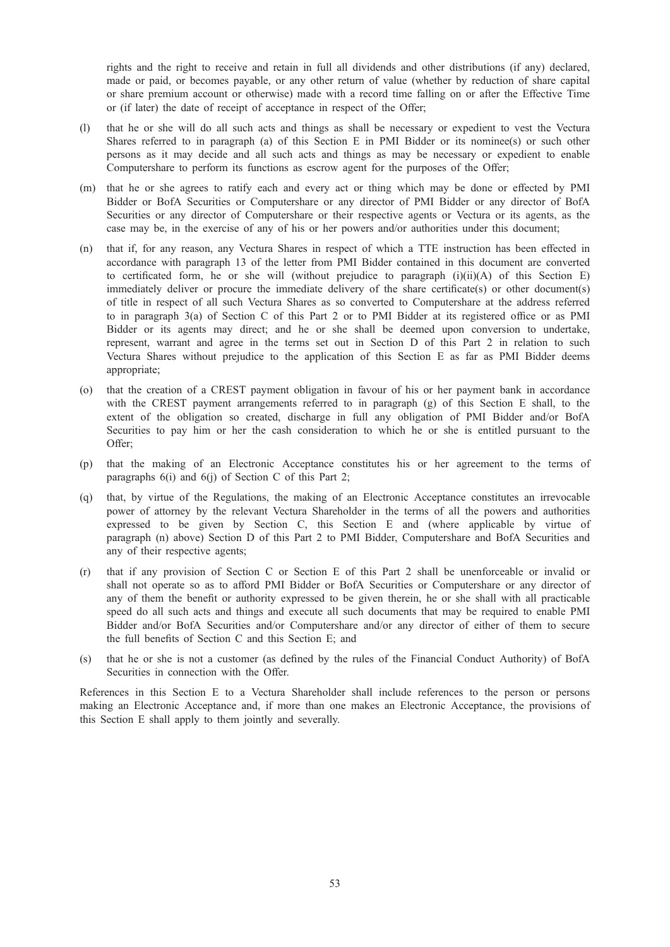rights and the right to receive and retain in full all dividends and other distributions (if any) declared, made or paid, or becomes payable, or any other return of value (whether by reduction of share capital or share premium account or otherwise) made with a record time falling on or after the Effective Time or (if later) the date of receipt of acceptance in respect of the Offer;

- (l) that he or she will do all such acts and things as shall be necessary or expedient to vest the Vectura Shares referred to in paragraph (a) of this Section E in PMI Bidder or its nominee(s) or such other persons as it may decide and all such acts and things as may be necessary or expedient to enable Computershare to perform its functions as escrow agent for the purposes of the Offer;
- (m) that he or she agrees to ratify each and every act or thing which may be done or effected by PMI Bidder or BofA Securities or Computershare or any director of PMI Bidder or any director of BofA Securities or any director of Computershare or their respective agents or Vectura or its agents, as the case may be, in the exercise of any of his or her powers and/or authorities under this document;
- (n) that if, for any reason, any Vectura Shares in respect of which a TTE instruction has been effected in accordance with paragraph 13 of the letter from PMI Bidder contained in this document are converted to certificated form, he or she will (without prejudice to paragraph  $(i)(ii)(A)$  of this Section E) immediately deliver or procure the immediate delivery of the share certificate(s) or other document(s) of title in respect of all such Vectura Shares as so converted to Computershare at the address referred to in paragraph 3(a) of Section C of this Part 2 or to PMI Bidder at its registered office or as PMI Bidder or its agents may direct; and he or she shall be deemed upon conversion to undertake, represent, warrant and agree in the terms set out in Section D of this Part 2 in relation to such Vectura Shares without prejudice to the application of this Section E as far as PMI Bidder deems appropriate;
- (o) that the creation of a CREST payment obligation in favour of his or her payment bank in accordance with the CREST payment arrangements referred to in paragraph  $(g)$  of this Section E shall, to the extent of the obligation so created, discharge in full any obligation of PMI Bidder and/or BofA Securities to pay him or her the cash consideration to which he or she is entitled pursuant to the Offer;
- (p) that the making of an Electronic Acceptance constitutes his or her agreement to the terms of paragraphs 6(i) and 6(j) of Section C of this Part 2;
- (q) that, by virtue of the Regulations, the making of an Electronic Acceptance constitutes an irrevocable power of attorney by the relevant Vectura Shareholder in the terms of all the powers and authorities expressed to be given by Section C, this Section E and (where applicable by virtue of paragraph (n) above) Section D of this Part 2 to PMI Bidder, Computershare and BofA Securities and any of their respective agents;
- (r) that if any provision of Section C or Section E of this Part 2 shall be unenforceable or invalid or shall not operate so as to afford PMI Bidder or BofA Securities or Computershare or any director of any of them the benefit or authority expressed to be given therein, he or she shall with all practicable speed do all such acts and things and execute all such documents that may be required to enable PMI Bidder and/or BofA Securities and/or Computershare and/or any director of either of them to secure the full benefits of Section C and this Section E; and
- (s) that he or she is not a customer (as defined by the rules of the Financial Conduct Authority) of BofA Securities in connection with the Offer.

References in this Section E to a Vectura Shareholder shall include references to the person or persons making an Electronic Acceptance and, if more than one makes an Electronic Acceptance, the provisions of this Section E shall apply to them jointly and severally.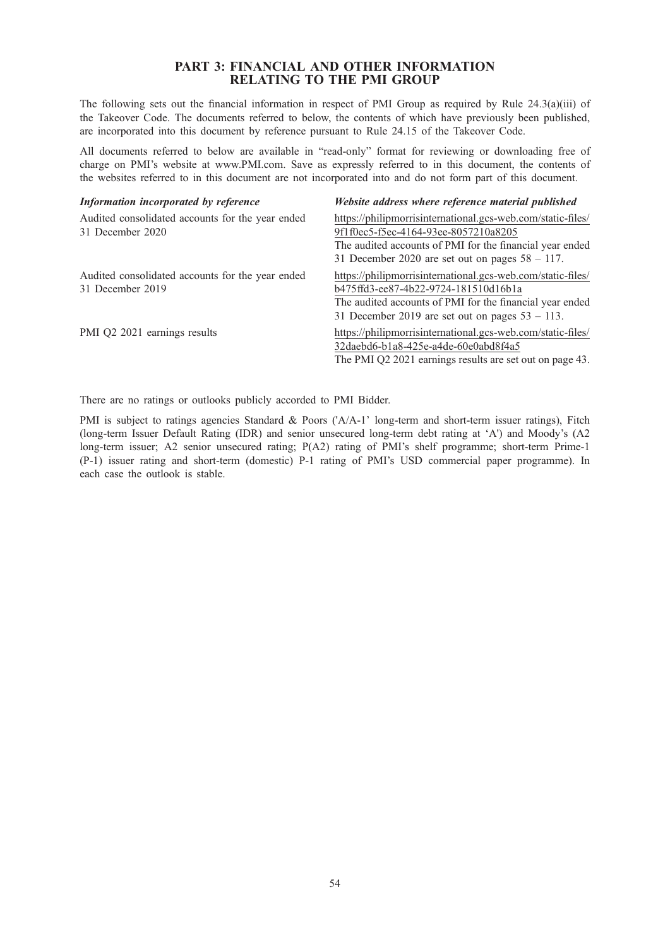# PART 3: FINANCIAL AND OTHER INFORMATION RELATING TO THE PMI GROUP

The following sets out the financial information in respect of PMI Group as required by Rule 24.3(a)(iii) of the Takeover Code. The documents referred to below, the contents of which have previously been published, are incorporated into this document by reference pursuant to Rule 24.15 of the Takeover Code.

All documents referred to below are available in "read-only" format for reviewing or downloading free of charge on PMI's website at www.PMI.com. Save as expressly referred to in this document, the contents of the websites referred to in this document are not incorporated into and do not form part of this document.

| Information incorporated by reference                                | Website address where reference material published                                                                                                                                                                    |
|----------------------------------------------------------------------|-----------------------------------------------------------------------------------------------------------------------------------------------------------------------------------------------------------------------|
| Audited consolidated accounts for the year ended<br>31 December 2020 | https://philipmorrisinternational.gcs-web.com/static-files/<br>9f1f0ec5-f5ec-4164-93ee-8057210a8205<br>The audited accounts of PMI for the financial year ended<br>31 December 2020 are set out on pages $58 - 117$ . |
| Audited consolidated accounts for the year ended<br>31 December 2019 | https://philipmorrisinternational.gcs-web.com/static-files/<br>b475ffd3-ee87-4b22-9724-181510d16b1a<br>The audited accounts of PMI for the financial year ended<br>31 December 2019 are set out on pages $53 - 113$ . |
| PMI Q2 2021 earnings results                                         | https://philipmorrisinternational.gcs-web.com/static-files/<br>32daebd6-b1a8-425e-a4de-60e0abd8f4a5<br>The PMI Q2 2021 earnings results are set out on page 43.                                                       |

There are no ratings or outlooks publicly accorded to PMI Bidder.

PMI is subject to ratings agencies Standard & Poors ('A/A-1' long-term and short-term issuer ratings), Fitch (long-term Issuer Default Rating (IDR) and senior unsecured long-term debt rating at 'A') and Moody's (A2 long-term issuer; A2 senior unsecured rating; P(A2) rating of PMI's shelf programme; short-term Prime-1 (P-1) issuer rating and short-term (domestic) P-1 rating of PMI's USD commercial paper programme). In each case the outlook is stable.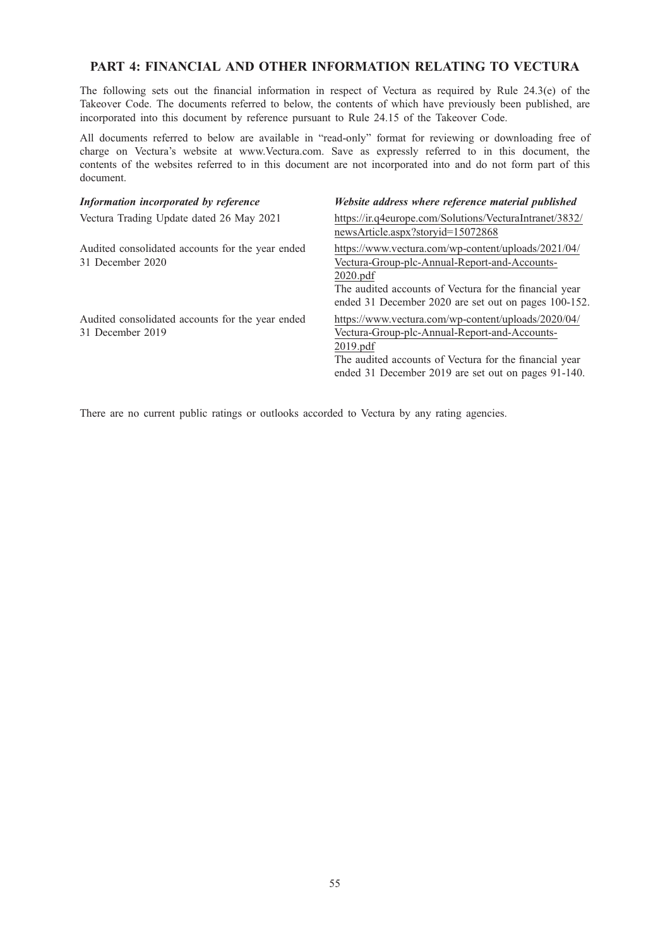# PART 4: FINANCIAL AND OTHER INFORMATION RELATING TO VECTURA

The following sets out the financial information in respect of Vectura as required by Rule 24.3(e) of the Takeover Code. The documents referred to below, the contents of which have previously been published, are incorporated into this document by reference pursuant to Rule 24.15 of the Takeover Code.

All documents referred to below are available in "read-only" format for reviewing or downloading free of charge on Vectura's website at www.Vectura.com. Save as expressly referred to in this document, the contents of the websites referred to in this document are not incorporated into and do not form part of this document.

| Information incorporated by reference                                | Website address where reference material published                                                                                                                                                                                 |
|----------------------------------------------------------------------|------------------------------------------------------------------------------------------------------------------------------------------------------------------------------------------------------------------------------------|
| Vectura Trading Update dated 26 May 2021                             | https://ir.q4europe.com/Solutions/VecturaIntranet/3832/<br>newsArticle.aspx?storyid=15072868                                                                                                                                       |
| Audited consolidated accounts for the year ended<br>31 December 2020 | https://www.vectura.com/wp-content/uploads/2021/04/<br>Vectura-Group-plc-Annual-Report-and-Accounts-<br>2020.pdf<br>The audited accounts of Vectura for the financial year<br>ended 31 December 2020 are set out on pages 100-152. |
| Audited consolidated accounts for the year ended<br>31 December 2019 | https://www.vectura.com/wp-content/uploads/2020/04/<br>Vectura-Group-plc-Annual-Report-and-Accounts-<br>2019.pdf<br>The audited accounts of Vectura for the financial year<br>ended 31 December 2019 are set out on pages 91-140.  |

There are no current public ratings or outlooks accorded to Vectura by any rating agencies.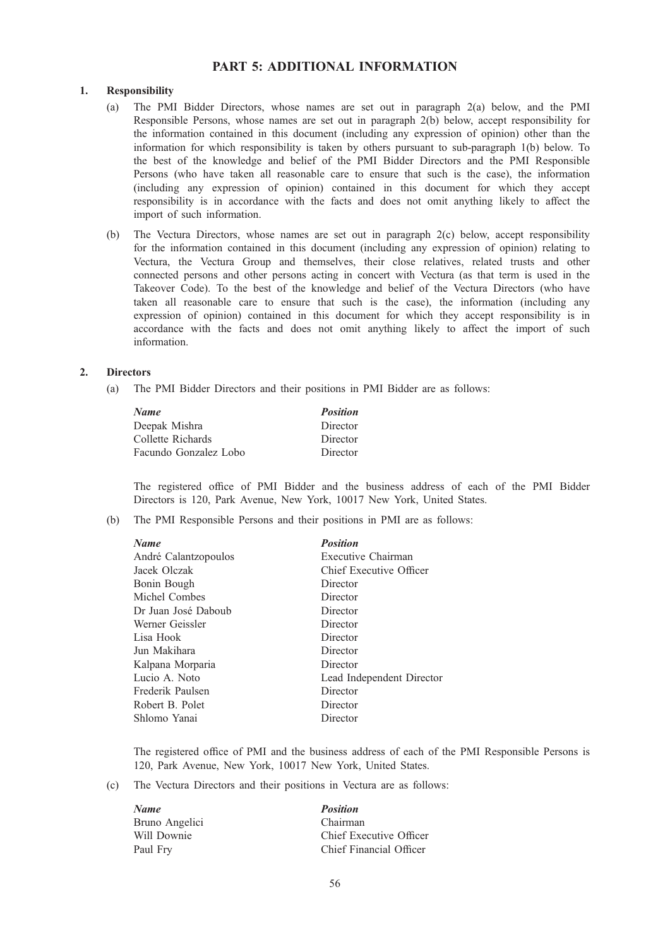# PART 5: ADDITIONAL INFORMATION

# 1. Responsibility

- (a) The PMI Bidder Directors, whose names are set out in paragraph 2(a) below, and the PMI Responsible Persons, whose names are set out in paragraph 2(b) below, accept responsibility for the information contained in this document (including any expression of opinion) other than the information for which responsibility is taken by others pursuant to sub-paragraph 1(b) below. To the best of the knowledge and belief of the PMI Bidder Directors and the PMI Responsible Persons (who have taken all reasonable care to ensure that such is the case), the information (including any expression of opinion) contained in this document for which they accept responsibility is in accordance with the facts and does not omit anything likely to affect the import of such information.
- (b) The Vectura Directors, whose names are set out in paragraph 2(c) below, accept responsibility for the information contained in this document (including any expression of opinion) relating to Vectura, the Vectura Group and themselves, their close relatives, related trusts and other connected persons and other persons acting in concert with Vectura (as that term is used in the Takeover Code). To the best of the knowledge and belief of the Vectura Directors (who have taken all reasonable care to ensure that such is the case), the information (including any expression of opinion) contained in this document for which they accept responsibility is in accordance with the facts and does not omit anything likely to affect the import of such information.

### 2. Directors

(a) The PMI Bidder Directors and their positions in PMI Bidder are as follows:

| <b>Name</b>           | <b>Position</b> |
|-----------------------|-----------------|
| Deepak Mishra         | Director        |
| Collette Richards     | Director        |
| Facundo Gonzalez Lobo | Director        |

The registered office of PMI Bidder and the business address of each of the PMI Bidder Directors is 120, Park Avenue, New York, 10017 New York, United States.

(b) The PMI Responsible Persons and their positions in PMI are as follows:

| <b>Name</b>          | <b>Position</b>           |
|----------------------|---------------------------|
| André Calantzopoulos | Executive Chairman        |
| Jacek Olczak         | Chief Executive Officer   |
| Bonin Bough          | Director                  |
| Michel Combes        | Director                  |
| Dr Juan José Daboub  | Director                  |
| Werner Geissler      | Director                  |
| Lisa Hook            | Director                  |
| Jun Makihara         | Director                  |
| Kalpana Morparia     | Director                  |
| Lucio A. Noto        | Lead Independent Director |
| Frederik Paulsen     | Director                  |
| Robert B. Polet      | Director                  |
| Shlomo Yanai         | Director                  |
|                      |                           |

The registered office of PMI and the business address of each of the PMI Responsible Persons is 120, Park Avenue, New York, 10017 New York, United States.

(c) The Vectura Directors and their positions in Vectura are as follows:

| <b>Name</b>    | <b>Position</b>         |
|----------------|-------------------------|
| Bruno Angelici | Chairman                |
| Will Downie    | Chief Executive Officer |
| Paul Fry       | Chief Financial Officer |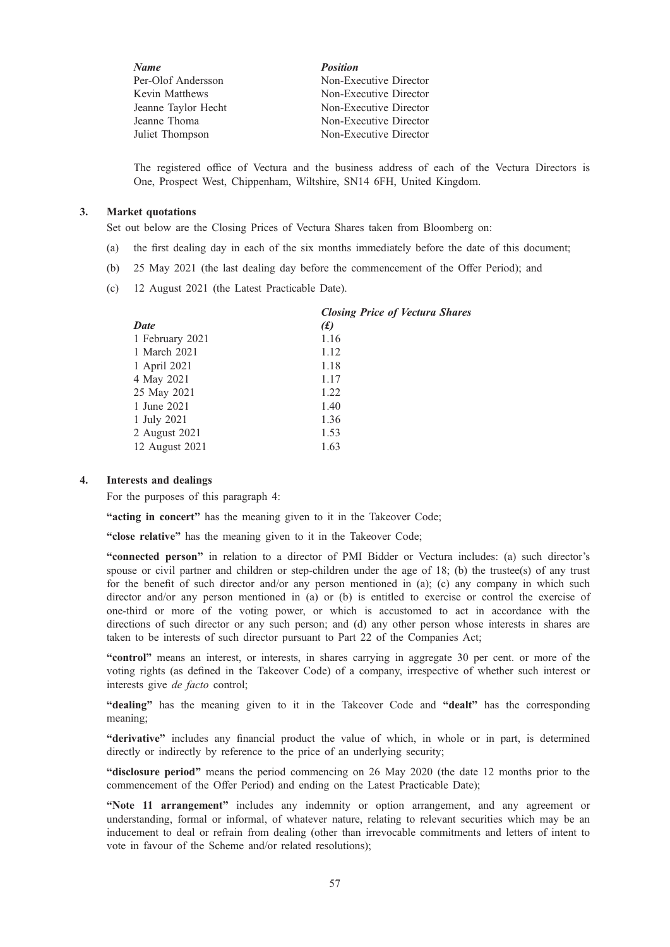| <b>Name</b>         | <b>Position</b>        |
|---------------------|------------------------|
| Per-Olof Andersson  | Non-Executive Director |
| Kevin Matthews      | Non-Executive Director |
| Jeanne Taylor Hecht | Non-Executive Director |
| Jeanne Thoma        | Non-Executive Director |
| Juliet Thompson     | Non-Executive Director |

The registered office of Vectura and the business address of each of the Vectura Directors is One, Prospect West, Chippenham, Wiltshire, SN14 6FH, United Kingdom.

### 3. Market quotations

Set out below are the Closing Prices of Vectura Shares taken from Bloomberg on:

- (a) the first dealing day in each of the six months immediately before the date of this document;
- (b) 25 May 2021 (the last dealing day before the commencement of the Offer Period); and
- (c) 12 August 2021 (the Latest Practicable Date).

|                 | <b>Closing Price of Vectura Shares</b> |  |  |
|-----------------|----------------------------------------|--|--|
| Date            | f(x)                                   |  |  |
| 1 February 2021 | 1.16                                   |  |  |
| 1 March 2021    | 1.12                                   |  |  |
| 1 April 2021    | 1.18                                   |  |  |
| 4 May 2021      | 1.17                                   |  |  |
| 25 May 2021     | 1.22                                   |  |  |
| 1 June 2021     | 1.40                                   |  |  |
| 1 July 2021     | 1.36                                   |  |  |
| 2 August 2021   | 1.53                                   |  |  |
| 12 August 2021  | 1.63                                   |  |  |
|                 |                                        |  |  |

# 4. Interests and dealings

For the purposes of this paragraph 4:

"acting in concert" has the meaning given to it in the Takeover Code;

"close relative" has the meaning given to it in the Takeover Code;

"connected person" in relation to a director of PMI Bidder or Vectura includes: (a) such director's spouse or civil partner and children or step-children under the age of 18; (b) the trustee(s) of any trust for the benefit of such director and/or any person mentioned in (a); (c) any company in which such director and/or any person mentioned in (a) or (b) is entitled to exercise or control the exercise of one-third or more of the voting power, or which is accustomed to act in accordance with the directions of such director or any such person; and (d) any other person whose interests in shares are taken to be interests of such director pursuant to Part 22 of the Companies Act;

"control" means an interest, or interests, in shares carrying in aggregate 30 per cent. or more of the voting rights (as defined in the Takeover Code) of a company, irrespective of whether such interest or interests give de facto control;

"dealing" has the meaning given to it in the Takeover Code and "dealt" has the corresponding meaning;

"derivative" includes any financial product the value of which, in whole or in part, is determined directly or indirectly by reference to the price of an underlying security;

"disclosure period" means the period commencing on 26 May 2020 (the date 12 months prior to the commencement of the Offer Period) and ending on the Latest Practicable Date);

"Note 11 arrangement" includes any indemnity or option arrangement, and any agreement or understanding, formal or informal, of whatever nature, relating to relevant securities which may be an inducement to deal or refrain from dealing (other than irrevocable commitments and letters of intent to vote in favour of the Scheme and/or related resolutions);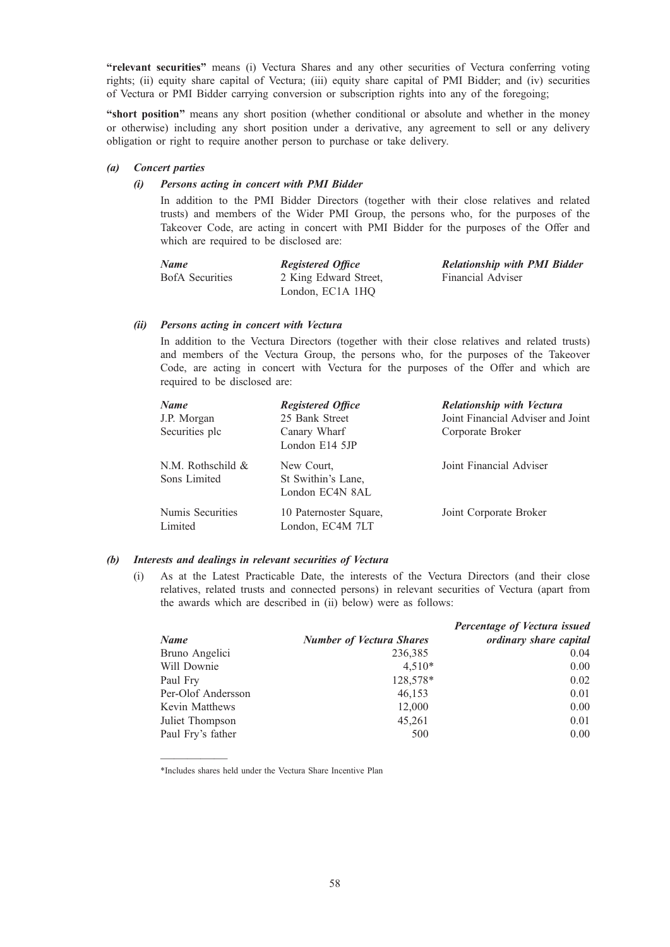"relevant securities" means (i) Vectura Shares and any other securities of Vectura conferring voting rights; (ii) equity share capital of Vectura; (iii) equity share capital of PMI Bidder; and (iv) securities of Vectura or PMI Bidder carrying conversion or subscription rights into any of the foregoing;

"short position" means any short position (whether conditional or absolute and whether in the money or otherwise) including any short position under a derivative, any agreement to sell or any delivery obligation or right to require another person to purchase or take delivery.

#### (a) Concert parties

# (i) Persons acting in concert with PMI Bidder

In addition to the PMI Bidder Directors (together with their close relatives and related trusts) and members of the Wider PMI Group, the persons who, for the purposes of the Takeover Code, are acting in concert with PMI Bidder for the purposes of the Offer and which are required to be disclosed are:

| <b>Name</b>            | Registered Office     | <b>Relationship with PMI Bidder</b> |
|------------------------|-----------------------|-------------------------------------|
| <b>BofA</b> Securities | 2 King Edward Street, | Financial Adviser                   |
|                        | London, EC1A 1HO      |                                     |

# (ii) Persons acting in concert with Vectura

In addition to the Vectura Directors (together with their close relatives and related trusts) and members of the Vectura Group, the persons who, for the purposes of the Takeover Code, are acting in concert with Vectura for the purposes of the Offer and which are required to be disclosed are:

| <b>Name</b><br>J.P. Morgan<br>Securities plc | <b>Registered Office</b><br>25 Bank Street<br>Canary Wharf<br>London $E14$ 5JP | <b>Relationship with Vectura</b><br>Joint Financial Adviser and Joint<br>Corporate Broker |
|----------------------------------------------|--------------------------------------------------------------------------------|-------------------------------------------------------------------------------------------|
| N.M. Rothschild $&$<br>Sons Limited          | New Court,<br>St Swithin's Lane,<br>London EC4N 8AL                            | Joint Financial Adviser                                                                   |
| Numis Securities<br>Limited                  | 10 Paternoster Square,<br>London, EC4M 7LT                                     | Joint Corporate Broker                                                                    |

#### (b) Interests and dealings in relevant securities of Vectura

(i) As at the Latest Practicable Date, the interests of the Vectura Directors (and their close relatives, related trusts and connected persons) in relevant securities of Vectura (apart from the awards which are described in (ii) below) were as follows:

|                    |                                 | Percentage of Vectura issued |
|--------------------|---------------------------------|------------------------------|
| <b>Name</b>        | <b>Number of Vectura Shares</b> | ordinary share capital       |
| Bruno Angelici     | 236,385                         | 0.04                         |
| Will Downie        | $4.510*$                        | 0.00                         |
| Paul Fry           | 128,578*                        | 0.02                         |
| Per-Olof Andersson | 46,153                          | 0.01                         |
| Kevin Matthews     | 12,000                          | 0.00 <sub>1</sub>            |
| Juliet Thompson    | 45,261                          | 0.01                         |
| Paul Fry's father  | 500                             | 0.00                         |

\*Includes shares held under the Vectura Share Incentive Plan

—————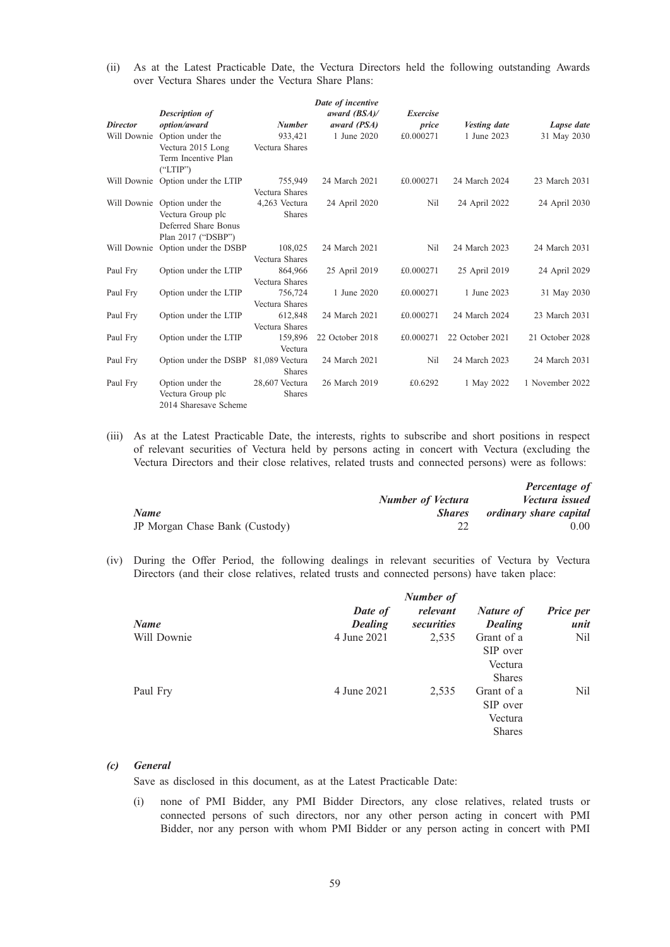(ii) As at the Latest Practicable Date, the Vectura Directors held the following outstanding Awards over Vectura Shares under the Vectura Share Plans:

|                 |                                                                                                 |                                 | Date of incentive |           |                     |                 |
|-----------------|-------------------------------------------------------------------------------------------------|---------------------------------|-------------------|-----------|---------------------|-----------------|
|                 | Description of                                                                                  |                                 | award $(BSA)$ /   | Exercise  |                     |                 |
| <b>Director</b> | option/award                                                                                    | <b>Number</b>                   | award (PSA)       | price     | <b>Vesting</b> date | Lapse date      |
| Will Downie     | Option under the                                                                                | 933,421                         | 1 June 2020       | £0.000271 | 1 June 2023         | 31 May 2030     |
|                 | Vectura 2015 Long<br>Term Incentive Plan<br>("LTIP")                                            | Vectura Shares                  |                   |           |                     |                 |
| Will Downie     | Option under the LTIP                                                                           | 755,949<br>Vectura Shares       | 24 March 2021     | £0.000271 | 24 March 2024       | 23 March 2031   |
|                 | Will Downie Option under the<br>Vectura Group plc<br>Deferred Share Bonus<br>Plan 2017 ("DSBP") | 4,263 Vectura<br><b>Shares</b>  | 24 April 2020     | Nil       | 24 April 2022       | 24 April 2030   |
| Will Downie     | Option under the DSBP                                                                           | 108,025                         | 24 March 2021     | Nil       | 24 March 2023       | 24 March 2031   |
|                 |                                                                                                 | Vectura Shares                  |                   |           |                     |                 |
| Paul Fry        | Option under the LTIP                                                                           | 864,966<br>Vectura Shares       | 25 April 2019     | £0.000271 | 25 April 2019       | 24 April 2029   |
| Paul Fry        | Option under the LTIP                                                                           | 756,724<br>Vectura Shares       | 1 June 2020       | £0.000271 | 1 June 2023         | 31 May 2030     |
| Paul Fry        | Option under the LTIP                                                                           | 612,848<br>Vectura Shares       | 24 March 2021     | £0.000271 | 24 March 2024       | 23 March 2031   |
| Paul Fry        | Option under the LTIP                                                                           | 159,896<br>Vectura              | 22 October 2018   | £0.000271 | 22 October 2021     | 21 October 2028 |
| Paul Fry        | Option under the DSBP                                                                           | 81,089 Vectura<br><b>Shares</b> | 24 March 2021     | Nil       | 24 March 2023       | 24 March 2031   |
| Paul Fry        | Option under the<br>Vectura Group plc<br>2014 Sharesave Scheme                                  | 28,607 Vectura<br><b>Shares</b> | 26 March 2019     | £0.6292   | 1 May 2022          | 1 November 2022 |

(iii) As at the Latest Practicable Date, the interests, rights to subscribe and short positions in respect of relevant securities of Vectura held by persons acting in concert with Vectura (excluding the Vectura Directors and their close relatives, related trusts and connected persons) were as follows:

|                                |                          | Percentage of          |
|--------------------------------|--------------------------|------------------------|
|                                | <b>Number of Vectura</b> | Vectura issued         |
| <b>Name</b>                    | <i>Shares</i>            | ordinary share capital |
| JP Morgan Chase Bank (Custody) |                          | 0.00                   |

(iv) During the Offer Period, the following dealings in relevant securities of Vectura by Vectura Directors (and their close relatives, related trusts and connected persons) have taken place:

|             |                    | Number of              |                                                    |                   |
|-------------|--------------------|------------------------|----------------------------------------------------|-------------------|
| Name        | Date of<br>Dealing | relevant<br>securities | Nature of<br><b>Dealing</b>                        | Price per<br>unit |
| Will Downie | 4 June 2021        | 2,535                  | Grant of a<br>SIP over<br>Vectura<br><b>Shares</b> | Nil               |
| Paul Fry    | 4 June 2021        | 2,535                  | Grant of a<br>SIP over<br>Vectura<br><b>Shares</b> | Nil               |

# (c) General

Save as disclosed in this document, as at the Latest Practicable Date:

(i) none of PMI Bidder, any PMI Bidder Directors, any close relatives, related trusts or connected persons of such directors, nor any other person acting in concert with PMI Bidder, nor any person with whom PMI Bidder or any person acting in concert with PMI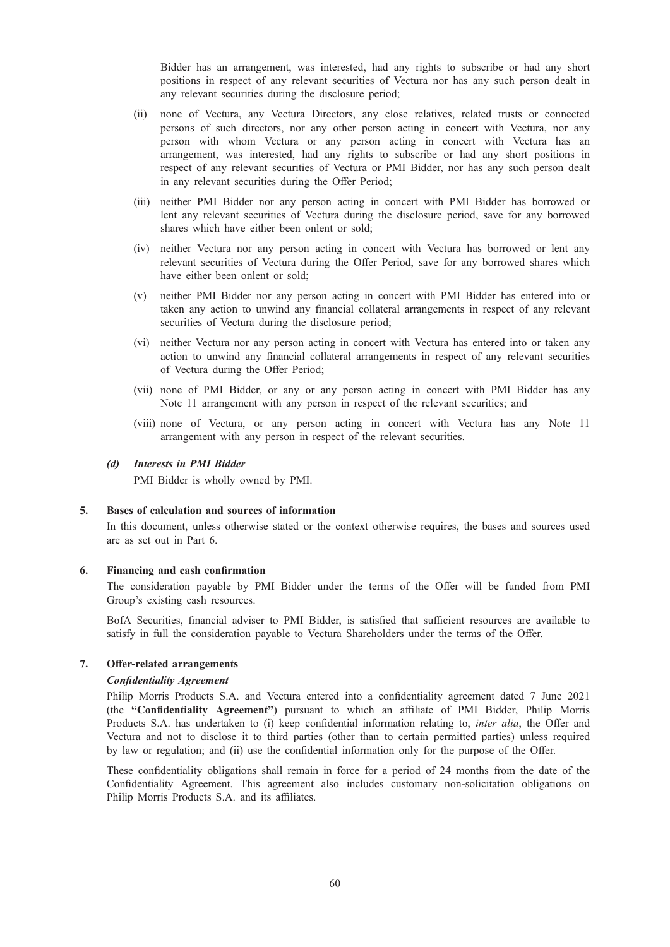Bidder has an arrangement, was interested, had any rights to subscribe or had any short positions in respect of any relevant securities of Vectura nor has any such person dealt in any relevant securities during the disclosure period;

- (ii) none of Vectura, any Vectura Directors, any close relatives, related trusts or connected persons of such directors, nor any other person acting in concert with Vectura, nor any person with whom Vectura or any person acting in concert with Vectura has an arrangement, was interested, had any rights to subscribe or had any short positions in respect of any relevant securities of Vectura or PMI Bidder, nor has any such person dealt in any relevant securities during the Offer Period;
- (iii) neither PMI Bidder nor any person acting in concert with PMI Bidder has borrowed or lent any relevant securities of Vectura during the disclosure period, save for any borrowed shares which have either been onlent or sold;
- (iv) neither Vectura nor any person acting in concert with Vectura has borrowed or lent any relevant securities of Vectura during the Offer Period, save for any borrowed shares which have either been onlent or sold;
- (v) neither PMI Bidder nor any person acting in concert with PMI Bidder has entered into or taken any action to unwind any financial collateral arrangements in respect of any relevant securities of Vectura during the disclosure period;
- (vi) neither Vectura nor any person acting in concert with Vectura has entered into or taken any action to unwind any financial collateral arrangements in respect of any relevant securities of Vectura during the Offer Period;
- (vii) none of PMI Bidder, or any or any person acting in concert with PMI Bidder has any Note 11 arrangement with any person in respect of the relevant securities; and
- (viii) none of Vectura, or any person acting in concert with Vectura has any Note 11 arrangement with any person in respect of the relevant securities.

#### (d) Interests in PMI Bidder

PMI Bidder is wholly owned by PMI.

#### 5. Bases of calculation and sources of information

In this document, unless otherwise stated or the context otherwise requires, the bases and sources used are as set out in Part 6.

#### 6. Financing and cash confirmation

The consideration payable by PMI Bidder under the terms of the Offer will be funded from PMI Group's existing cash resources.

BofA Securities, financial adviser to PMI Bidder, is satisfied that sufficient resources are available to satisfy in full the consideration payable to Vectura Shareholders under the terms of the Offer.

#### 7. Offer-related arrangements

#### Confidentiality Agreement

Philip Morris Products S.A. and Vectura entered into a confidentiality agreement dated 7 June 2021 (the "Confidentiality Agreement") pursuant to which an affiliate of PMI Bidder, Philip Morris Products S.A. has undertaken to (i) keep confidential information relating to, inter alia, the Offer and Vectura and not to disclose it to third parties (other than to certain permitted parties) unless required by law or regulation; and (ii) use the confidential information only for the purpose of the Offer.

These confidentiality obligations shall remain in force for a period of 24 months from the date of the Confidentiality Agreement. This agreement also includes customary non-solicitation obligations on Philip Morris Products S.A. and its affiliates.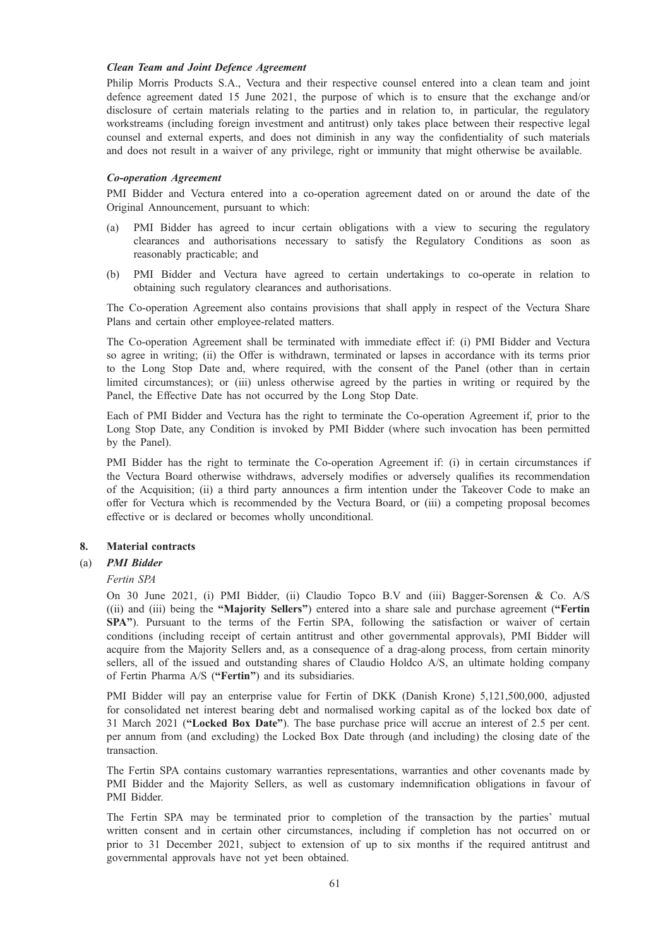### Clean Team and Joint Defence Agreement

Philip Morris Products S.A., Vectura and their respective counsel entered into a clean team and joint defence agreement dated 15 June 2021, the purpose of which is to ensure that the exchange and/or disclosure of certain materials relating to the parties and in relation to, in particular, the regulatory workstreams (including foreign investment and antitrust) only takes place between their respective legal counsel and external experts, and does not diminish in any way the confidentiality of such materials and does not result in a waiver of any privilege, right or immunity that might otherwise be available.

# Co-operation Agreement

PMI Bidder and Vectura entered into a co-operation agreement dated on or around the date of the Original Announcement, pursuant to which:

- (a) PMI Bidder has agreed to incur certain obligations with a view to securing the regulatory clearances and authorisations necessary to satisfy the Regulatory Conditions as soon as reasonably practicable; and
- (b) PMI Bidder and Vectura have agreed to certain undertakings to co-operate in relation to obtaining such regulatory clearances and authorisations.

The Co-operation Agreement also contains provisions that shall apply in respect of the Vectura Share Plans and certain other employee-related matters.

The Co-operation Agreement shall be terminated with immediate effect if: (i) PMI Bidder and Vectura so agree in writing; (ii) the Offer is withdrawn, terminated or lapses in accordance with its terms prior to the Long Stop Date and, where required, with the consent of the Panel (other than in certain limited circumstances); or (iii) unless otherwise agreed by the parties in writing or required by the Panel, the Effective Date has not occurred by the Long Stop Date.

Each of PMI Bidder and Vectura has the right to terminate the Co-operation Agreement if, prior to the Long Stop Date, any Condition is invoked by PMI Bidder (where such invocation has been permitted by the Panel).

PMI Bidder has the right to terminate the Co-operation Agreement if: (i) in certain circumstances if the Vectura Board otherwise withdraws, adversely modifies or adversely qualifies its recommendation of the Acquisition; (ii) a third party announces a firm intention under the Takeover Code to make an offer for Vectura which is recommended by the Vectura Board, or (iii) a competing proposal becomes effective or is declared or becomes wholly unconditional.

# 8. Material contracts

# (a) PMI Bidder

# Fertin SPA

On 30 June 2021, (i) PMI Bidder, (ii) Claudio Topco B.V and (iii) Bagger-Sorensen & Co. A/S ((ii) and (iii) being the "Majority Sellers") entered into a share sale and purchase agreement ("Fertin SPA"). Pursuant to the terms of the Fertin SPA, following the satisfaction or waiver of certain conditions (including receipt of certain antitrust and other governmental approvals), PMI Bidder will acquire from the Majority Sellers and, as a consequence of a drag-along process, from certain minority sellers, all of the issued and outstanding shares of Claudio Holdco A/S, an ultimate holding company of Fertin Pharma A/S ("Fertin") and its subsidiaries.

PMI Bidder will pay an enterprise value for Fertin of DKK (Danish Krone) 5,121,500,000, adjusted for consolidated net interest bearing debt and normalised working capital as of the locked box date of 31 March 2021 ("Locked Box Date"). The base purchase price will accrue an interest of 2.5 per cent. per annum from (and excluding) the Locked Box Date through (and including) the closing date of the transaction.

The Fertin SPA contains customary warranties representations, warranties and other covenants made by PMI Bidder and the Majority Sellers, as well as customary indemnification obligations in favour of PMI Bidder.

The Fertin SPA may be terminated prior to completion of the transaction by the parties' mutual written consent and in certain other circumstances, including if completion has not occurred on or prior to 31 December 2021, subject to extension of up to six months if the required antitrust and governmental approvals have not yet been obtained.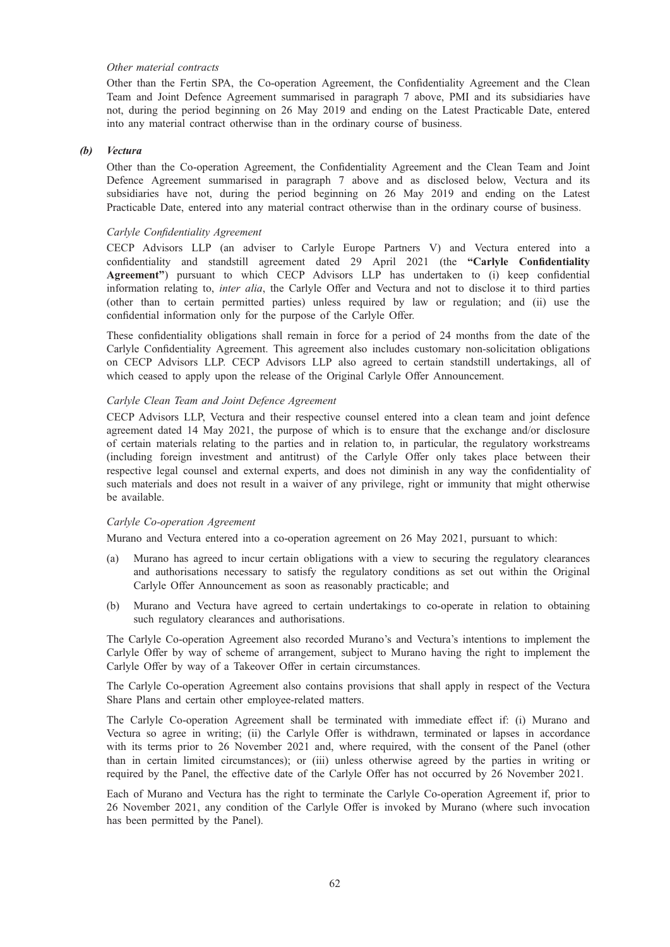# Other material contracts

Other than the Fertin SPA, the Co-operation Agreement, the Confidentiality Agreement and the Clean Team and Joint Defence Agreement summarised in paragraph 7 above, PMI and its subsidiaries have not, during the period beginning on 26 May 2019 and ending on the Latest Practicable Date, entered into any material contract otherwise than in the ordinary course of business.

#### (b) Vectura

Other than the Co-operation Agreement, the Confidentiality Agreement and the Clean Team and Joint Defence Agreement summarised in paragraph 7 above and as disclosed below, Vectura and its subsidiaries have not, during the period beginning on 26 May 2019 and ending on the Latest Practicable Date, entered into any material contract otherwise than in the ordinary course of business.

#### Carlyle Confidentiality Agreement

CECP Advisors LLP (an adviser to Carlyle Europe Partners V) and Vectura entered into a confidentiality and standstill agreement dated 29 April 2021 (the "Carlyle Confidentiality Agreement") pursuant to which CECP Advisors LLP has undertaken to (i) keep confidential information relating to, inter alia, the Carlyle Offer and Vectura and not to disclose it to third parties (other than to certain permitted parties) unless required by law or regulation; and (ii) use the confidential information only for the purpose of the Carlyle Offer.

These confidentiality obligations shall remain in force for a period of 24 months from the date of the Carlyle Confidentiality Agreement. This agreement also includes customary non-solicitation obligations on CECP Advisors LLP. CECP Advisors LLP also agreed to certain standstill undertakings, all of which ceased to apply upon the release of the Original Carlyle Offer Announcement.

#### Carlyle Clean Team and Joint Defence Agreement

CECP Advisors LLP, Vectura and their respective counsel entered into a clean team and joint defence agreement dated 14 May 2021, the purpose of which is to ensure that the exchange and/or disclosure of certain materials relating to the parties and in relation to, in particular, the regulatory workstreams (including foreign investment and antitrust) of the Carlyle Offer only takes place between their respective legal counsel and external experts, and does not diminish in any way the confidentiality of such materials and does not result in a waiver of any privilege, right or immunity that might otherwise be available.

#### Carlyle Co-operation Agreement

Murano and Vectura entered into a co-operation agreement on 26 May 2021, pursuant to which:

- (a) Murano has agreed to incur certain obligations with a view to securing the regulatory clearances and authorisations necessary to satisfy the regulatory conditions as set out within the Original Carlyle Offer Announcement as soon as reasonably practicable; and
- (b) Murano and Vectura have agreed to certain undertakings to co-operate in relation to obtaining such regulatory clearances and authorisations.

The Carlyle Co-operation Agreement also recorded Murano's and Vectura's intentions to implement the Carlyle Offer by way of scheme of arrangement, subject to Murano having the right to implement the Carlyle Offer by way of a Takeover Offer in certain circumstances.

The Carlyle Co-operation Agreement also contains provisions that shall apply in respect of the Vectura Share Plans and certain other employee-related matters.

The Carlyle Co-operation Agreement shall be terminated with immediate effect if: (i) Murano and Vectura so agree in writing; (ii) the Carlyle Offer is withdrawn, terminated or lapses in accordance with its terms prior to 26 November 2021 and, where required, with the consent of the Panel (other than in certain limited circumstances); or (iii) unless otherwise agreed by the parties in writing or required by the Panel, the effective date of the Carlyle Offer has not occurred by 26 November 2021.

Each of Murano and Vectura has the right to terminate the Carlyle Co-operation Agreement if, prior to 26 November 2021, any condition of the Carlyle Offer is invoked by Murano (where such invocation has been permitted by the Panel).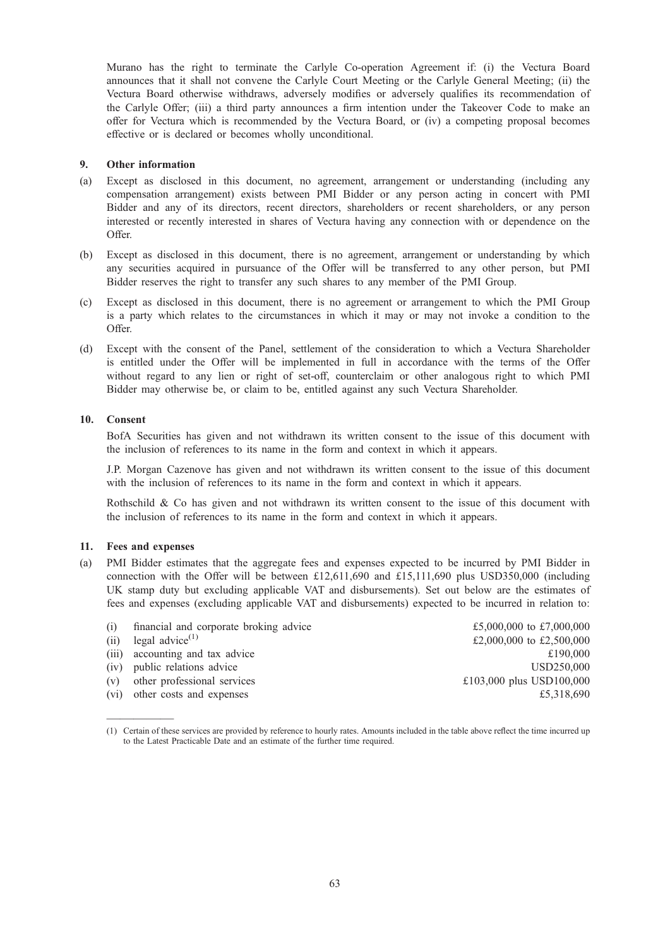Murano has the right to terminate the Carlyle Co-operation Agreement if: (i) the Vectura Board announces that it shall not convene the Carlyle Court Meeting or the Carlyle General Meeting; (ii) the Vectura Board otherwise withdraws, adversely modifies or adversely qualifies its recommendation of the Carlyle Offer; (iii) a third party announces a firm intention under the Takeover Code to make an offer for Vectura which is recommended by the Vectura Board, or (iv) a competing proposal becomes effective or is declared or becomes wholly unconditional.

#### 9. Other information

- (a) Except as disclosed in this document, no agreement, arrangement or understanding (including any compensation arrangement) exists between PMI Bidder or any person acting in concert with PMI Bidder and any of its directors, recent directors, shareholders or recent shareholders, or any person interested or recently interested in shares of Vectura having any connection with or dependence on the Offer.
- (b) Except as disclosed in this document, there is no agreement, arrangement or understanding by which any securities acquired in pursuance of the Offer will be transferred to any other person, but PMI Bidder reserves the right to transfer any such shares to any member of the PMI Group.
- (c) Except as disclosed in this document, there is no agreement or arrangement to which the PMI Group is a party which relates to the circumstances in which it may or may not invoke a condition to the Offer.
- (d) Except with the consent of the Panel, settlement of the consideration to which a Vectura Shareholder is entitled under the Offer will be implemented in full in accordance with the terms of the Offer without regard to any lien or right of set-off, counterclaim or other analogous right to which PMI Bidder may otherwise be, or claim to be, entitled against any such Vectura Shareholder.

#### 10. Consent

BofA Securities has given and not withdrawn its written consent to the issue of this document with the inclusion of references to its name in the form and context in which it appears.

J.P. Morgan Cazenove has given and not withdrawn its written consent to the issue of this document with the inclusion of references to its name in the form and context in which it appears.

Rothschild  $\&$  Co has given and not withdrawn its written consent to the issue of this document with the inclusion of references to its name in the form and context in which it appears.

# 11. Fees and expenses

—————

(a) PMI Bidder estimates that the aggregate fees and expenses expected to be incurred by PMI Bidder in connection with the Offer will be between £12,611,690 and £15,111,690 plus USD350,000 (including UK stamp duty but excluding applicable VAT and disbursements). Set out below are the estimates of fees and expenses (excluding applicable VAT and disbursements) expected to be incurred in relation to:

| (i)   | financial and corporate broking advice | £5,000,000 to £7,000,000 |
|-------|----------------------------------------|--------------------------|
| (ii)  | legal advice $(1)$                     | £2,000,000 to £2,500,000 |
| (iii) | accounting and tax advice              | £190,000                 |
|       | (iv) public relations advice           | USD250,000               |
| (v)   | other professional services            | £103,000 plus USD100,000 |
|       | (vi) other costs and expenses          | £5,318,690               |
|       |                                        |                          |

<sup>(1)</sup> Certain of these services are provided by reference to hourly rates. Amounts included in the table above reflect the time incurred up to the Latest Practicable Date and an estimate of the further time required.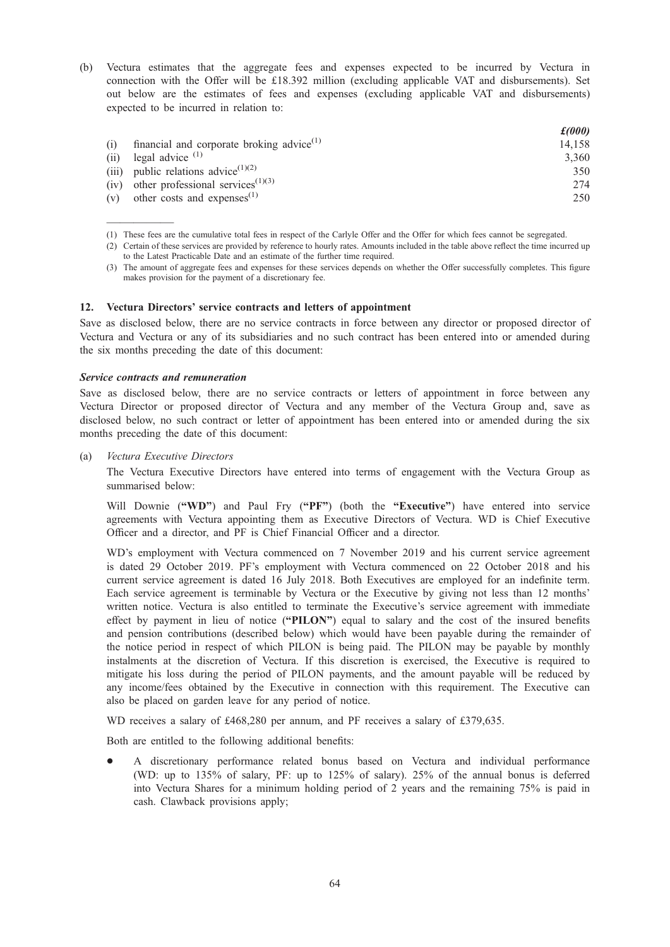(b) Vectura estimates that the aggregate fees and expenses expected to be incurred by Vectura in connection with the Offer will be £18.392 million (excluding applicable VAT and disbursements). Set out below are the estimates of fees and expenses (excluding applicable VAT and disbursements) expected to be incurred in relation to:

|     |                                                                 | $\pounds(000)$ |
|-----|-----------------------------------------------------------------|----------------|
| (i) | financial and corporate broking advice <sup>(1)</sup>           | 14.158         |
|     | (ii) legal advice $(1)$                                         | 3.360          |
|     | (iii) public relations advice <sup>(1)(2)</sup>                 | 350            |
|     | (iv) other professional services <sup><math>(1)(3)</math></sup> | 2.74           |
|     | (v) other costs and expenses <sup>(1)</sup>                     | 250            |

<sup>(1)</sup> These fees are the cumulative total fees in respect of the Carlyle Offer and the Offer for which fees cannot be segregated.

(3) The amount of aggregate fees and expenses for these services depends on whether the Offer successfully completes. This figure makes provision for the payment of a discretionary fee.

#### 12. Vectura Directors' service contracts and letters of appointment

Save as disclosed below, there are no service contracts in force between any director or proposed director of Vectura and Vectura or any of its subsidiaries and no such contract has been entered into or amended during the six months preceding the date of this document:

#### Service contracts and remuneration

—————

Save as disclosed below, there are no service contracts or letters of appointment in force between any Vectura Director or proposed director of Vectura and any member of the Vectura Group and, save as disclosed below, no such contract or letter of appointment has been entered into or amended during the six months preceding the date of this document:

(a) Vectura Executive Directors

The Vectura Executive Directors have entered into terms of engagement with the Vectura Group as summarised below:

Will Downie ("WD") and Paul Fry ("PF") (both the "Executive") have entered into service agreements with Vectura appointing them as Executive Directors of Vectura. WD is Chief Executive Officer and a director, and PF is Chief Financial Officer and a director.

WD's employment with Vectura commenced on 7 November 2019 and his current service agreement is dated 29 October 2019. PF's employment with Vectura commenced on 22 October 2018 and his current service agreement is dated 16 July 2018. Both Executives are employed for an indefinite term. Each service agreement is terminable by Vectura or the Executive by giving not less than 12 months' written notice. Vectura is also entitled to terminate the Executive's service agreement with immediate effect by payment in lieu of notice ("PILON") equal to salary and the cost of the insured benefits and pension contributions (described below) which would have been payable during the remainder of the notice period in respect of which PILON is being paid. The PILON may be payable by monthly instalments at the discretion of Vectura. If this discretion is exercised, the Executive is required to mitigate his loss during the period of PILON payments, and the amount payable will be reduced by any income/fees obtained by the Executive in connection with this requirement. The Executive can also be placed on garden leave for any period of notice.

WD receives a salary of £468,280 per annum, and PF receives a salary of £379,635.

Both are entitled to the following additional benefits:

A discretionary performance related bonus based on Vectura and individual performance (WD: up to 135% of salary, PF: up to 125% of salary). 25% of the annual bonus is deferred into Vectura Shares for a minimum holding period of 2 years and the remaining 75% is paid in cash. Clawback provisions apply;

<sup>(2)</sup> Certain of these services are provided by reference to hourly rates. Amounts included in the table above reflect the time incurred up to the Latest Practicable Date and an estimate of the further time required.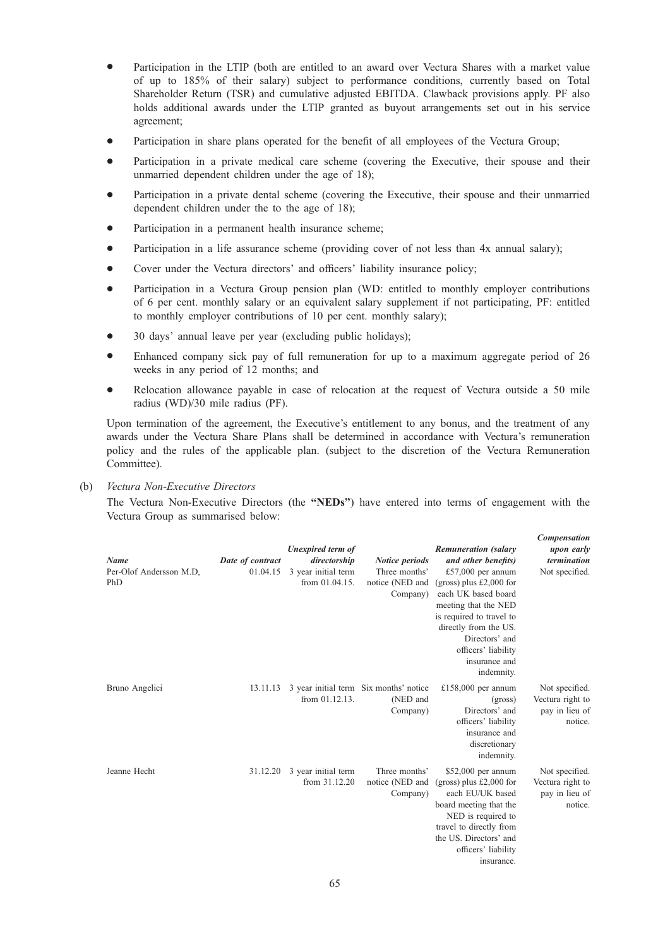- Participation in the LTIP (both are entitled to an award over Vectura Shares with a market value of up to 185% of their salary) subject to performance conditions, currently based on Total Shareholder Return (TSR) and cumulative adjusted EBITDA. Clawback provisions apply. PF also holds additional awards under the LTIP granted as buyout arrangements set out in his service agreement;
- Participation in share plans operated for the benefit of all employees of the Vectura Group;
- Participation in a private medical care scheme (covering the Executive, their spouse and their unmarried dependent children under the age of 18);
- Participation in a private dental scheme (covering the Executive, their spouse and their unmarried dependent children under the to the age of 18);
- Participation in a permanent health insurance scheme;
- Participation in a life assurance scheme (providing cover of not less than 4x annual salary);
- Cover under the Vectura directors' and officers' liability insurance policy;
- Participation in a Vectura Group pension plan (WD: entitled to monthly employer contributions of 6 per cent. monthly salary or an equivalent salary supplement if not participating, PF: entitled to monthly employer contributions of 10 per cent. monthly salary);
- 30 days' annual leave per year (excluding public holidays);
- Enhanced company sick pay of full remuneration for up to a maximum aggregate period of 26 weeks in any period of 12 months; and
- Relocation allowance payable in case of relocation at the request of Vectura outside a 50 mile radius (WD)/30 mile radius (PF).

Upon termination of the agreement, the Executive's entitlement to any bonus, and the treatment of any awards under the Vectura Share Plans shall be determined in accordance with Vectura's remuneration policy and the rules of the applicable plan. (subject to the discretion of the Vectura Remuneration Committee).

(b) Vectura Non-Executive Directors

The Vectura Non-Executive Directors (the "NEDs") have entered into terms of engagement with the Vectura Group as summarised below:

| Name<br>Per-Olof Andersson M.D.<br>PhD | Date of contract<br>01.04.15 | Unexpired term of<br>directorship<br>3 year initial term<br>from $01.04.15$ . | Notice periods<br>Three months'<br>notice (NED and<br>Company) | <b>Remuneration</b> (salary<br>and other benefits)<br>£57,000 per annum<br>(gross) plus $£2,000$ for<br>each UK based board<br>meeting that the NED<br>is required to travel to<br>directly from the US.<br>Directors' and<br>officers' liability<br>insurance and<br>indemnity. | <b>Compensation</b><br>upon early<br>termination<br>Not specified. |
|----------------------------------------|------------------------------|-------------------------------------------------------------------------------|----------------------------------------------------------------|----------------------------------------------------------------------------------------------------------------------------------------------------------------------------------------------------------------------------------------------------------------------------------|--------------------------------------------------------------------|
| Bruno Angelici                         | 13.11.13                     | from 01.12.13.                                                                | 3 year initial term Six months' notice<br>(NED and<br>Company) | £158,000 per annum<br>(gross)<br>Directors' and<br>officers' liability<br>insurance and<br>discretionary<br>indemnity.                                                                                                                                                           | Not specified.<br>Vectura right to<br>pay in lieu of<br>notice.    |
| Jeanne Hecht                           | 31.12.20                     | 3 year initial term<br>from 31.12.20                                          | Three months'<br>notice (NED and<br>Company)                   | $$52,000$ per annum<br>(gross) plus $£2,000$ for<br>each EU/UK based<br>board meeting that the<br>NED is required to<br>travel to directly from<br>the US. Directors' and<br>officers' liability<br>insurance.                                                                   | Not specified.<br>Vectura right to<br>pay in lieu of<br>notice.    |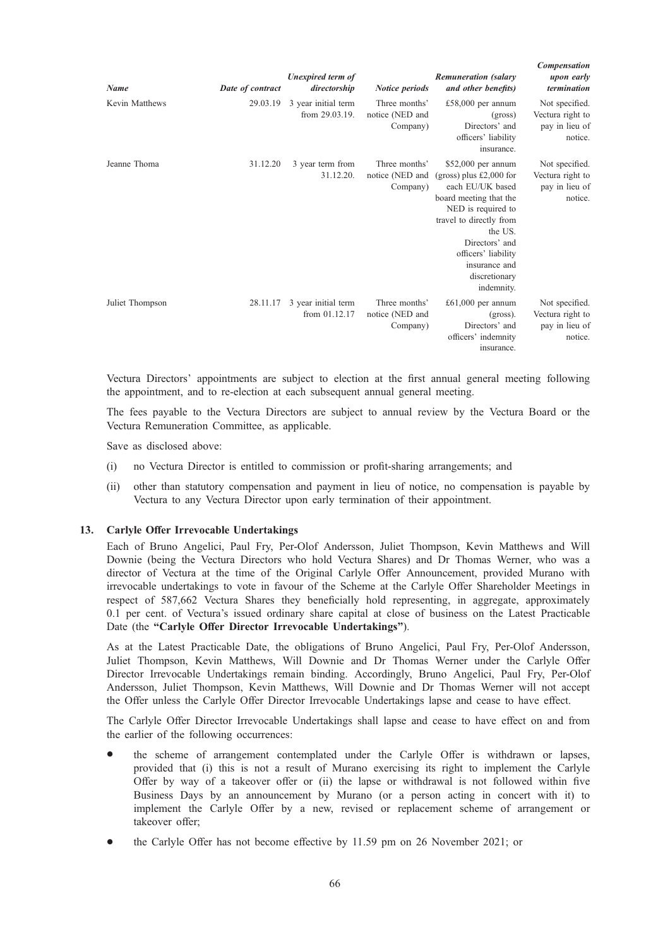| Name            | Date of contract | Unexpired term of<br>directorship     | Notice periods                               | <b>Remuneration</b> (salary<br>and other benefits)                                                                                                                                                                                                 | <b>Compensation</b><br>upon early<br>termination                |
|-----------------|------------------|---------------------------------------|----------------------------------------------|----------------------------------------------------------------------------------------------------------------------------------------------------------------------------------------------------------------------------------------------------|-----------------------------------------------------------------|
| Kevin Matthews  | 29.03.19         | 3 year initial term<br>from 29.03.19. | Three months'<br>notice (NED and<br>Company) | £58,000 per annum<br>(gross)<br>Directors' and<br>officers' liability<br>insurance.                                                                                                                                                                | Not specified.<br>Vectura right to<br>pay in lieu of<br>notice. |
| Jeanne Thoma    | 31.12.20         | 3 year term from<br>31.12.20.         | Three months'<br>notice (NED and<br>Company) | \$52,000 per annum<br>(gross) plus $£2,000$ for<br>each EU/UK based<br>board meeting that the<br>NED is required to<br>travel to directly from<br>the US.<br>Directors' and<br>officers' liability<br>insurance and<br>discretionary<br>indemnity. | Not specified.<br>Vectura right to<br>pay in lieu of<br>notice. |
| Juliet Thompson | 28.11.17         | 3 year initial term<br>from 01.12.17  | Three months'<br>notice (NED and<br>Company) | £61,000 per annum<br>$(gross)$ .<br>Directors' and<br>officers' indemnity<br>insurance.                                                                                                                                                            | Not specified.<br>Vectura right to<br>pay in lieu of<br>notice. |

Vectura Directors' appointments are subject to election at the first annual general meeting following the appointment, and to re-election at each subsequent annual general meeting.

The fees payable to the Vectura Directors are subject to annual review by the Vectura Board or the Vectura Remuneration Committee, as applicable.

Save as disclosed above:

- (i) no Vectura Director is entitled to commission or profit-sharing arrangements; and
- (ii) other than statutory compensation and payment in lieu of notice, no compensation is payable by Vectura to any Vectura Director upon early termination of their appointment.

### 13. Carlyle Offer Irrevocable Undertakings

Each of Bruno Angelici, Paul Fry, Per-Olof Andersson, Juliet Thompson, Kevin Matthews and Will Downie (being the Vectura Directors who hold Vectura Shares) and Dr Thomas Werner, who was a director of Vectura at the time of the Original Carlyle Offer Announcement, provided Murano with irrevocable undertakings to vote in favour of the Scheme at the Carlyle Offer Shareholder Meetings in respect of 587,662 Vectura Shares they beneficially hold representing, in aggregate, approximately 0.1 per cent. of Vectura's issued ordinary share capital at close of business on the Latest Practicable Date (the "Carlyle Offer Director Irrevocable Undertakings").

As at the Latest Practicable Date, the obligations of Bruno Angelici, Paul Fry, Per-Olof Andersson, Juliet Thompson, Kevin Matthews, Will Downie and Dr Thomas Werner under the Carlyle Offer Director Irrevocable Undertakings remain binding. Accordingly, Bruno Angelici, Paul Fry, Per-Olof Andersson, Juliet Thompson, Kevin Matthews, Will Downie and Dr Thomas Werner will not accept the Offer unless the Carlyle Offer Director Irrevocable Undertakings lapse and cease to have effect.

The Carlyle Offer Director Irrevocable Undertakings shall lapse and cease to have effect on and from the earlier of the following occurrences:

- the scheme of arrangement contemplated under the Carlyle Offer is withdrawn or lapses, provided that (i) this is not a result of Murano exercising its right to implement the Carlyle Offer by way of a takeover offer or (ii) the lapse or withdrawal is not followed within five Business Days by an announcement by Murano (or a person acting in concert with it) to implement the Carlyle Offer by a new, revised or replacement scheme of arrangement or takeover offer;
- the Carlyle Offer has not become effective by 11.59 pm on 26 November 2021; or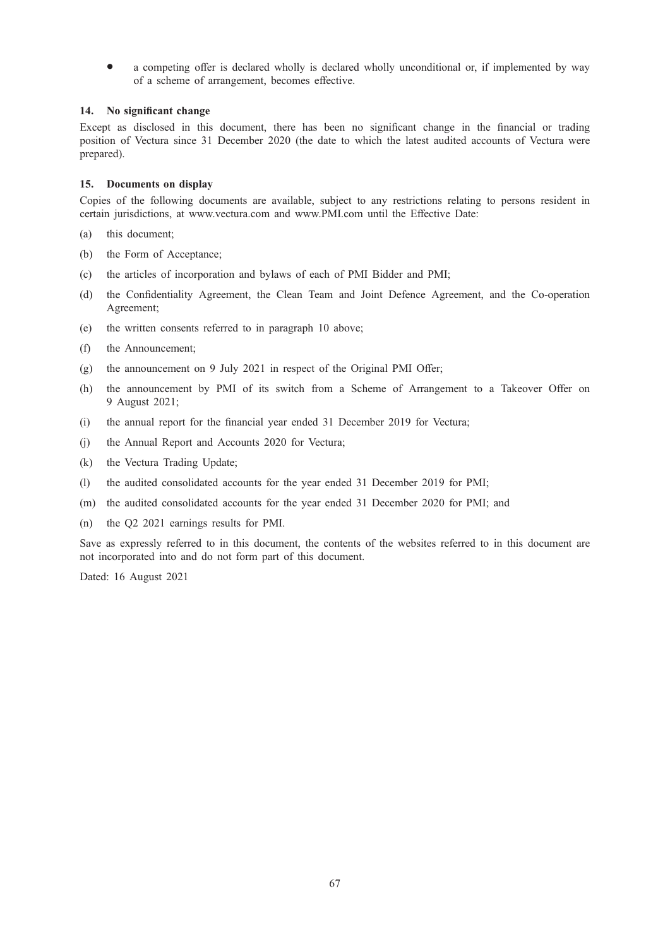a competing offer is declared wholly is declared wholly unconditional or, if implemented by way of a scheme of arrangement, becomes effective.

# 14. No significant change

Except as disclosed in this document, there has been no significant change in the financial or trading position of Vectura since 31 December 2020 (the date to which the latest audited accounts of Vectura were prepared).

### 15. Documents on display

Copies of the following documents are available, subject to any restrictions relating to persons resident in certain jurisdictions, at www.vectura.com and www.PMI.com until the Effective Date:

- (a) this document;
- (b) the Form of Acceptance;
- (c) the articles of incorporation and bylaws of each of PMI Bidder and PMI;
- (d) the Confidentiality Agreement, the Clean Team and Joint Defence Agreement, and the Co-operation Agreement;
- (e) the written consents referred to in paragraph 10 above;
- (f) the Announcement;
- (g) the announcement on 9 July 2021 in respect of the Original PMI Offer;
- (h) the announcement by PMI of its switch from a Scheme of Arrangement to a Takeover Offer on 9 August 2021;
- (i) the annual report for the financial year ended 31 December 2019 for Vectura;
- (j) the Annual Report and Accounts 2020 for Vectura;
- (k) the Vectura Trading Update;
- (l) the audited consolidated accounts for the year ended 31 December 2019 for PMI;
- (m) the audited consolidated accounts for the year ended 31 December 2020 for PMI; and
- (n) the Q2 2021 earnings results for PMI.

Save as expressly referred to in this document, the contents of the websites referred to in this document are not incorporated into and do not form part of this document.

Dated: 16 August 2021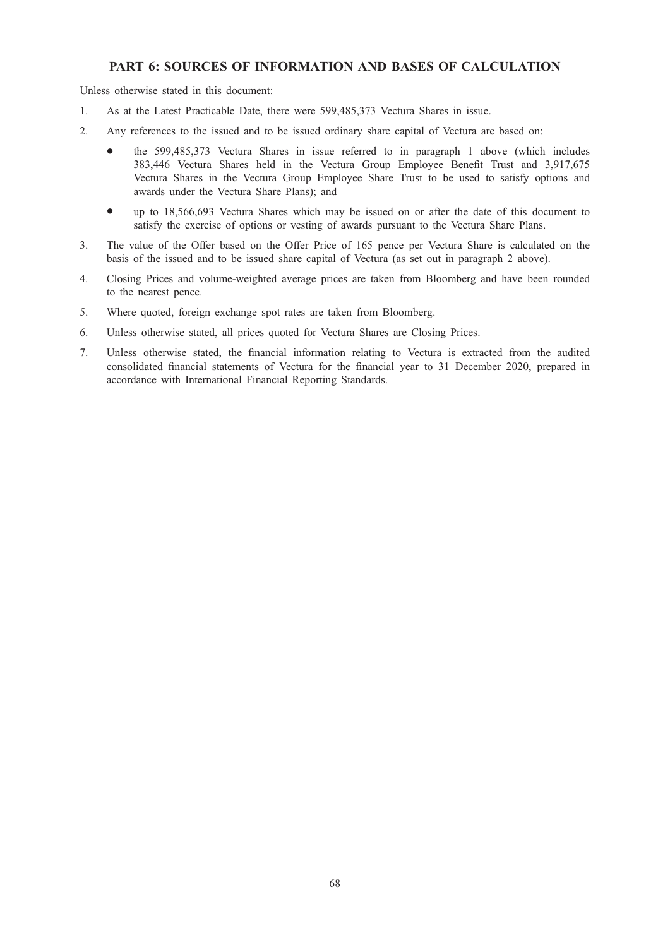# PART 6: SOURCES OF INFORMATION AND BASES OF CALCULATION

Unless otherwise stated in this document:

- 1. As at the Latest Practicable Date, there were 599,485,373 Vectura Shares in issue.
- 2. Any references to the issued and to be issued ordinary share capital of Vectura are based on:
	- the 599,485,373 Vectura Shares in issue referred to in paragraph 1 above (which includes 383,446 Vectura Shares held in the Vectura Group Employee Benefit Trust and 3,917,675 Vectura Shares in the Vectura Group Employee Share Trust to be used to satisfy options and awards under the Vectura Share Plans); and
	- up to 18,566,693 Vectura Shares which may be issued on or after the date of this document to satisfy the exercise of options or vesting of awards pursuant to the Vectura Share Plans.
- 3. The value of the Offer based on the Offer Price of 165 pence per Vectura Share is calculated on the basis of the issued and to be issued share capital of Vectura (as set out in paragraph 2 above).
- 4. Closing Prices and volume-weighted average prices are taken from Bloomberg and have been rounded to the nearest pence.
- 5. Where quoted, foreign exchange spot rates are taken from Bloomberg.
- 6. Unless otherwise stated, all prices quoted for Vectura Shares are Closing Prices.
- 7. Unless otherwise stated, the financial information relating to Vectura is extracted from the audited consolidated financial statements of Vectura for the financial year to 31 December 2020, prepared in accordance with International Financial Reporting Standards.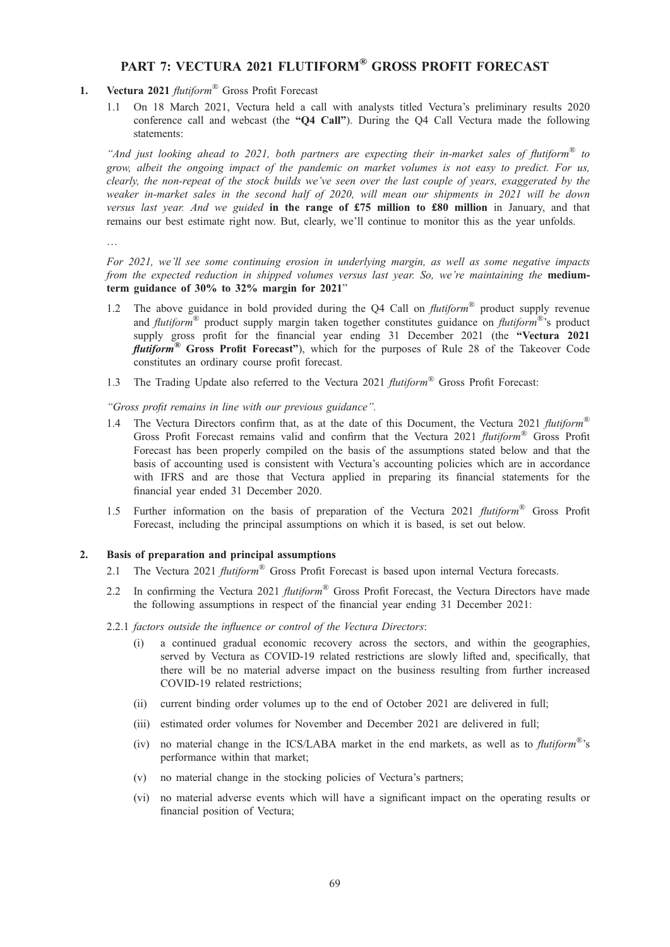# PART 7: VECTURA 2021 FLUTIFORM® GROSS PROFIT FORECAST

- 1. Vectura 2021 flutiform® Gross Profit Forecast
	- 1.1 On 18 March 2021, Vectura held a call with analysts titled Vectura's preliminary results 2020 conference call and webcast (the "Q4 Call"). During the Q4 Call Vectura made the following statements:

"And just looking ahead to 2021, both partners are expecting their in-market sales of flutiform<sup>®</sup> to grow, albeit the ongoing impact of the pandemic on market volumes is not easy to predict. For us, clearly, the non-repeat of the stock builds we've seen over the last couple of years, exaggerated by the weaker in-market sales in the second half of 2020, will mean our shipments in 2021 will be down versus last year. And we guided in the range of  $£75$  million to £80 million in January, and that remains our best estimate right now. But, clearly, we'll continue to monitor this as the year unfolds.

…

For 2021, we'll see some continuing erosion in underlying margin, as well as some negative impacts from the expected reduction in shipped volumes versus last year. So, we're maintaining the mediumterm guidance of 30% to 32% margin for 2021"

- 1.2 The above guidance in bold provided during the Q4 Call on *flutiform*<sup>®</sup> product supply revenue and *flutiform*<sup>®</sup> product supply margin taken together constitutes guidance on *flutiform*<sup>®</sup>'s product supply gross profit for the financial year ending 31 December 2021 (the "Vectura 2021  $f$ *lutiform*<sup>®</sup> Gross Profit Forecast"), which for the purposes of Rule 28 of the Takeover Code constitutes an ordinary course profit forecast.
- 1.3 The Trading Update also referred to the Vectura 2021  $\theta$ *utiform*<sup>®</sup> Gross Profit Forecast:

"Gross profit remains in line with our previous guidance".

- 1.4 The Vectura Directors confirm that, as at the date of this Document, the Vectura 2021 flutiform<sup>®</sup> Gross Profit Forecast remains valid and confirm that the Vectura 2021 flutiform® Gross Profit Forecast has been properly compiled on the basis of the assumptions stated below and that the basis of accounting used is consistent with Vectura's accounting policies which are in accordance with IFRS and are those that Vectura applied in preparing its financial statements for the financial year ended 31 December 2020.
- 1.5 Further information on the basis of preparation of the Vectura 2021 flutiform<sup>®</sup> Gross Profit Forecast, including the principal assumptions on which it is based, is set out below.

# 2. Basis of preparation and principal assumptions

- 2.1 The Vectura 2021 *flutiform*<sup>®</sup> Gross Profit Forecast is based upon internal Vectura forecasts.
- 2.2 In confirming the Vectura 2021 *flutiform*<sup>®</sup> Gross Profit Forecast, the Vectura Directors have made the following assumptions in respect of the financial year ending 31 December 2021:
- 2.2.1 factors outside the influence or control of the Vectura Directors:
	- (i) a continued gradual economic recovery across the sectors, and within the geographies, served by Vectura as COVID-19 related restrictions are slowly lifted and, specifically, that there will be no material adverse impact on the business resulting from further increased COVID-19 related restrictions;
	- (ii) current binding order volumes up to the end of October 2021 are delivered in full;
	- (iii) estimated order volumes for November and December 2021 are delivered in full;
	- (iv) no material change in the ICS/LABA market in the end markets, as well as to *flutiform*<sup>®</sup>'s performance within that market;
	- (v) no material change in the stocking policies of Vectura's partners;
	- (vi) no material adverse events which will have a significant impact on the operating results or financial position of Vectura;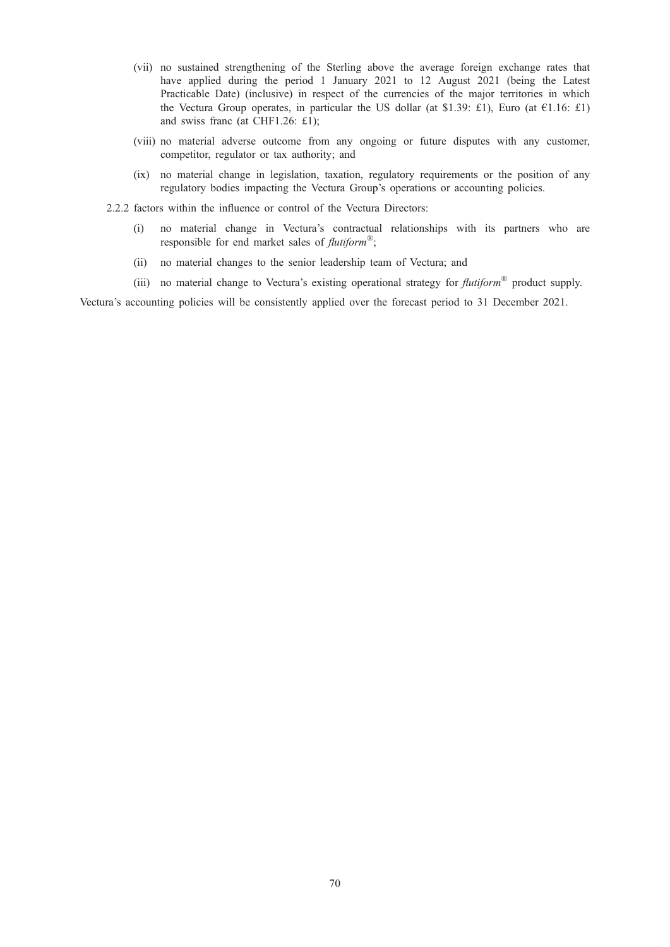- (vii) no sustained strengthening of the Sterling above the average foreign exchange rates that have applied during the period 1 January 2021 to 12 August 2021 (being the Latest Practicable Date) (inclusive) in respect of the currencies of the major territories in which the Vectura Group operates, in particular the US dollar (at \$1.39: £1), Euro (at  $\epsilon$ 1.16: £1) and swiss franc (at CHF1.26: £1);
- (viii) no material adverse outcome from any ongoing or future disputes with any customer, competitor, regulator or tax authority; and
- (ix) no material change in legislation, taxation, regulatory requirements or the position of any regulatory bodies impacting the Vectura Group's operations or accounting policies.
- 2.2.2 factors within the influence or control of the Vectura Directors:
	- (i) no material change in Vectura's contractual relationships with its partners who are responsible for end market sales of  $\text{fluitform}^{\circledR}$ ;
	- (ii) no material changes to the senior leadership team of Vectura; and
	- (iii) no material change to Vectura's existing operational strategy for  $\text{flutiform}^{\circledR}$  product supply.

Vectura's accounting policies will be consistently applied over the forecast period to 31 December 2021.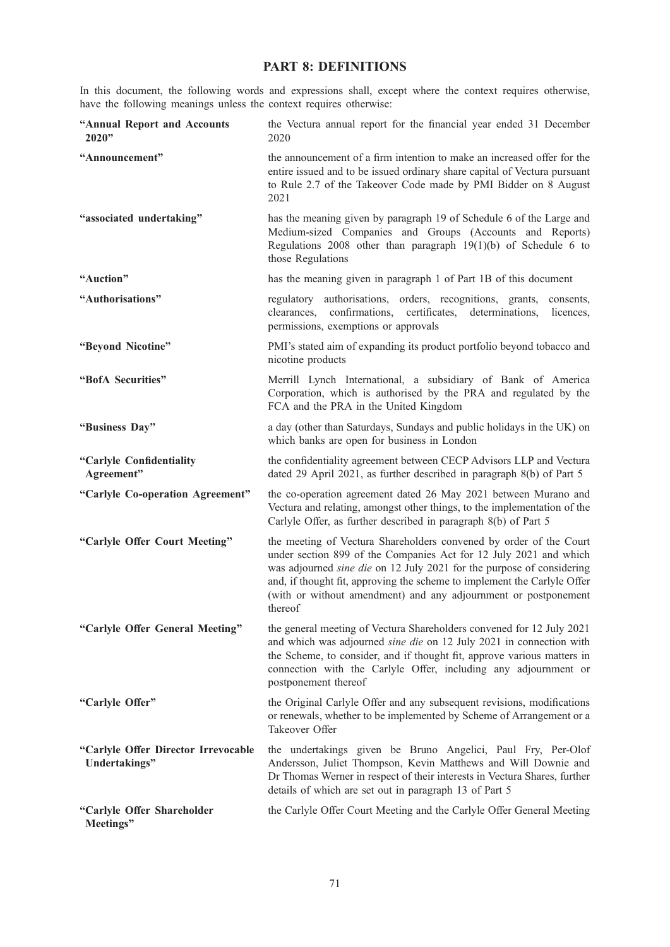# PART 8: DEFINITIONS

In this document, the following words and expressions shall, except where the context requires otherwise, have the following meanings unless the context requires otherwise:

| "Annual Report and Accounts<br>2020"                 | the Vectura annual report for the financial year ended 31 December<br>2020                                                                                                                                                                                                                                                                                                        |
|------------------------------------------------------|-----------------------------------------------------------------------------------------------------------------------------------------------------------------------------------------------------------------------------------------------------------------------------------------------------------------------------------------------------------------------------------|
| "Announcement"                                       | the announcement of a firm intention to make an increased offer for the<br>entire issued and to be issued ordinary share capital of Vectura pursuant<br>to Rule 2.7 of the Takeover Code made by PMI Bidder on 8 August<br>2021                                                                                                                                                   |
| "associated undertaking"                             | has the meaning given by paragraph 19 of Schedule 6 of the Large and<br>Medium-sized Companies and Groups (Accounts and Reports)<br>Regulations 2008 other than paragraph $19(1)(b)$ of Schedule 6 to<br>those Regulations                                                                                                                                                        |
| "Auction"                                            | has the meaning given in paragraph 1 of Part 1B of this document                                                                                                                                                                                                                                                                                                                  |
| "Authorisations"                                     | regulatory authorisations, orders, recognitions, grants,<br>consents,<br>clearances, confirmations, certificates,<br>determinations,<br>licences,<br>permissions, exemptions or approvals                                                                                                                                                                                         |
| "Beyond Nicotine"                                    | PMI's stated aim of expanding its product portfolio beyond tobacco and<br>nicotine products                                                                                                                                                                                                                                                                                       |
| "BofA Securities"                                    | Merrill Lynch International, a subsidiary of Bank of America<br>Corporation, which is authorised by the PRA and regulated by the<br>FCA and the PRA in the United Kingdom                                                                                                                                                                                                         |
| "Business Day"                                       | a day (other than Saturdays, Sundays and public holidays in the UK) on<br>which banks are open for business in London                                                                                                                                                                                                                                                             |
| "Carlyle Confidentiality<br>Agreement"               | the confidentiality agreement between CECP Advisors LLP and Vectura<br>dated 29 April 2021, as further described in paragraph 8(b) of Part 5                                                                                                                                                                                                                                      |
| "Carlyle Co-operation Agreement"                     | the co-operation agreement dated 26 May 2021 between Murano and<br>Vectura and relating, amongst other things, to the implementation of the<br>Carlyle Offer, as further described in paragraph 8(b) of Part 5                                                                                                                                                                    |
| "Carlyle Offer Court Meeting"                        | the meeting of Vectura Shareholders convened by order of the Court<br>under section 899 of the Companies Act for 12 July 2021 and which<br>was adjourned <i>sine die</i> on 12 July 2021 for the purpose of considering<br>and, if thought fit, approving the scheme to implement the Carlyle Offer<br>(with or without amendment) and any adjournment or postponement<br>thereof |
| "Carlyle Offer General Meeting"                      | the general meeting of Vectura Shareholders convened for 12 July 2021<br>and which was adjourned sine die on 12 July 2021 in connection with<br>the Scheme, to consider, and if thought fit, approve various matters in<br>connection with the Carlyle Offer, including any adjournment or<br>postponement thereof                                                                |
| "Carlyle Offer"                                      | the Original Carlyle Offer and any subsequent revisions, modifications<br>or renewals, whether to be implemented by Scheme of Arrangement or a<br>Takeover Offer                                                                                                                                                                                                                  |
| "Carlyle Offer Director Irrevocable<br>Undertakings" | the undertakings given be Bruno Angelici, Paul Fry, Per-Olof<br>Andersson, Juliet Thompson, Kevin Matthews and Will Downie and<br>Dr Thomas Werner in respect of their interests in Vectura Shares, further<br>details of which are set out in paragraph 13 of Part 5                                                                                                             |
| "Carlyle Offer Shareholder<br>Meetings"              | the Carlyle Offer Court Meeting and the Carlyle Offer General Meeting                                                                                                                                                                                                                                                                                                             |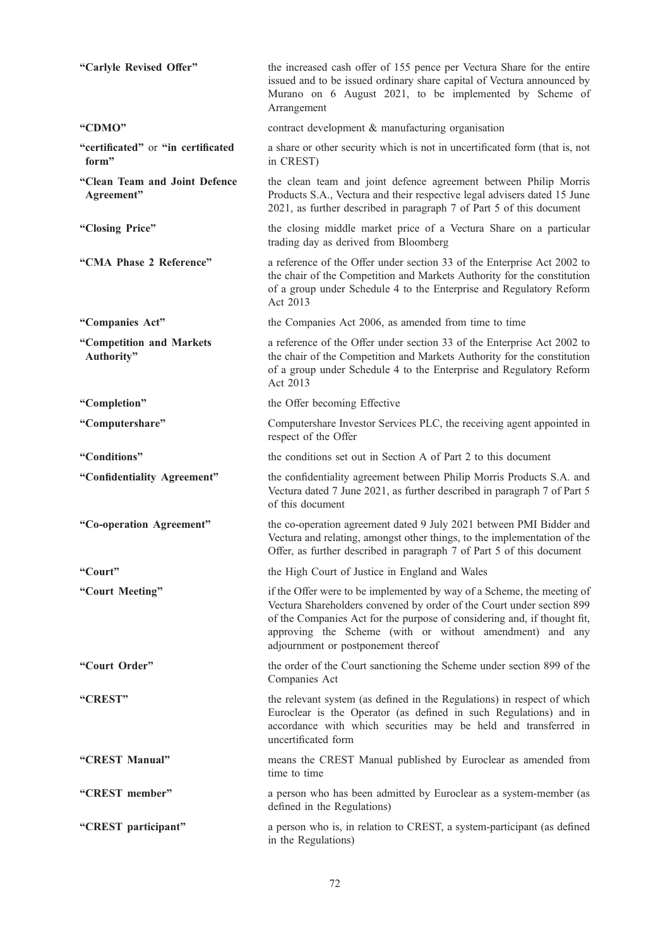| "Carlyle Revised Offer"                     | the increased cash offer of 155 pence per Vectura Share for the entire<br>issued and to be issued ordinary share capital of Vectura announced by<br>Murano on 6 August 2021, to be implemented by Scheme of<br>Arrangement                                                                                                     |
|---------------------------------------------|--------------------------------------------------------------------------------------------------------------------------------------------------------------------------------------------------------------------------------------------------------------------------------------------------------------------------------|
| "CDMO"                                      | contract development & manufacturing organisation                                                                                                                                                                                                                                                                              |
| "certificated" or "in certificated<br>form" | a share or other security which is not in uncertificated form (that is, not<br>in CREST)                                                                                                                                                                                                                                       |
| "Clean Team and Joint Defence<br>Agreement" | the clean team and joint defence agreement between Philip Morris<br>Products S.A., Vectura and their respective legal advisers dated 15 June<br>2021, as further described in paragraph 7 of Part 5 of this document                                                                                                           |
| "Closing Price"                             | the closing middle market price of a Vectura Share on a particular<br>trading day as derived from Bloomberg                                                                                                                                                                                                                    |
| "CMA Phase 2 Reference"                     | a reference of the Offer under section 33 of the Enterprise Act 2002 to<br>the chair of the Competition and Markets Authority for the constitution<br>of a group under Schedule 4 to the Enterprise and Regulatory Reform<br>Act 2013                                                                                          |
| "Companies Act"                             | the Companies Act 2006, as amended from time to time                                                                                                                                                                                                                                                                           |
| "Competition and Markets<br>Authority"      | a reference of the Offer under section 33 of the Enterprise Act 2002 to<br>the chair of the Competition and Markets Authority for the constitution<br>of a group under Schedule 4 to the Enterprise and Regulatory Reform<br>Act 2013                                                                                          |
| "Completion"                                | the Offer becoming Effective                                                                                                                                                                                                                                                                                                   |
| "Computershare"                             | Computershare Investor Services PLC, the receiving agent appointed in<br>respect of the Offer                                                                                                                                                                                                                                  |
| "Conditions"                                | the conditions set out in Section A of Part 2 to this document                                                                                                                                                                                                                                                                 |
| "Confidentiality Agreement"                 | the confidentiality agreement between Philip Morris Products S.A. and<br>Vectura dated 7 June 2021, as further described in paragraph 7 of Part 5<br>of this document                                                                                                                                                          |
| "Co-operation Agreement"                    | the co-operation agreement dated 9 July 2021 between PMI Bidder and<br>Vectura and relating, amongst other things, to the implementation of the<br>Offer, as further described in paragraph 7 of Part 5 of this document                                                                                                       |
| "Court"                                     | the High Court of Justice in England and Wales                                                                                                                                                                                                                                                                                 |
| "Court Meeting"                             | if the Offer were to be implemented by way of a Scheme, the meeting of<br>Vectura Shareholders convened by order of the Court under section 899<br>of the Companies Act for the purpose of considering and, if thought fit,<br>approving the Scheme (with or without amendment) and any<br>adjournment or postponement thereof |
| "Court Order"                               | the order of the Court sanctioning the Scheme under section 899 of the<br>Companies Act                                                                                                                                                                                                                                        |
| "CREST"                                     | the relevant system (as defined in the Regulations) in respect of which<br>Euroclear is the Operator (as defined in such Regulations) and in<br>accordance with which securities may be held and transferred in<br>uncertificated form                                                                                         |
| "CREST Manual"                              | means the CREST Manual published by Euroclear as amended from<br>time to time                                                                                                                                                                                                                                                  |
| "CREST member"                              | a person who has been admitted by Euroclear as a system-member (as<br>defined in the Regulations)                                                                                                                                                                                                                              |
| "CREST participant"                         | a person who is, in relation to CREST, a system-participant (as defined<br>in the Regulations)                                                                                                                                                                                                                                 |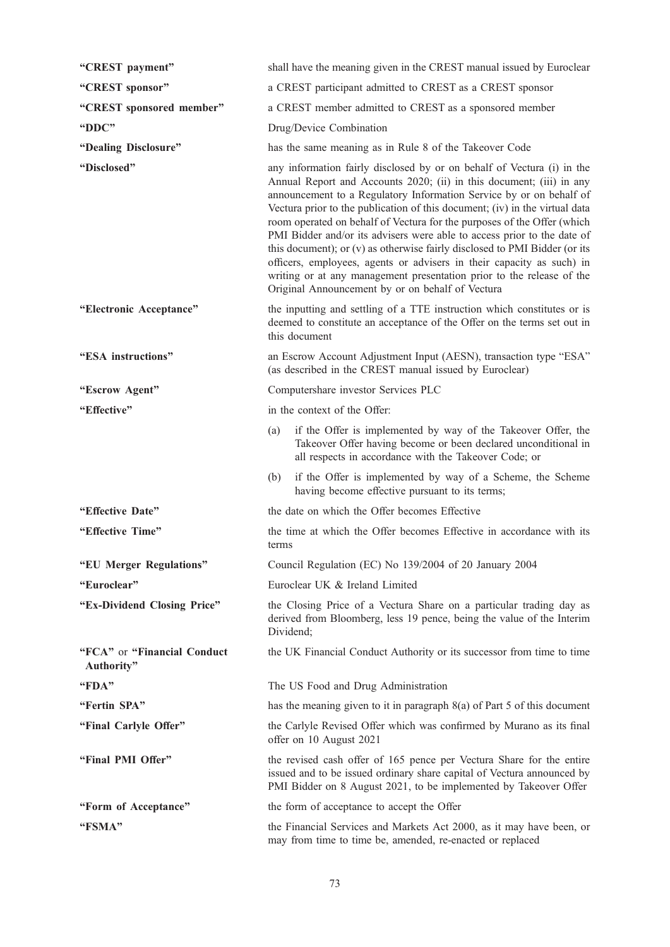| "CREST payment"                           | shall have the meaning given in the CREST manual issued by Euroclear                                                                                                                                                                                                                                                                                                                                                                                                                                                                                                                                                                                                                                                                           |  |
|-------------------------------------------|------------------------------------------------------------------------------------------------------------------------------------------------------------------------------------------------------------------------------------------------------------------------------------------------------------------------------------------------------------------------------------------------------------------------------------------------------------------------------------------------------------------------------------------------------------------------------------------------------------------------------------------------------------------------------------------------------------------------------------------------|--|
| "CREST sponsor"                           | a CREST participant admitted to CREST as a CREST sponsor                                                                                                                                                                                                                                                                                                                                                                                                                                                                                                                                                                                                                                                                                       |  |
| "CREST sponsored member"                  | a CREST member admitted to CREST as a sponsored member                                                                                                                                                                                                                                                                                                                                                                                                                                                                                                                                                                                                                                                                                         |  |
| "DDC"                                     | Drug/Device Combination                                                                                                                                                                                                                                                                                                                                                                                                                                                                                                                                                                                                                                                                                                                        |  |
| "Dealing Disclosure"                      | has the same meaning as in Rule 8 of the Takeover Code                                                                                                                                                                                                                                                                                                                                                                                                                                                                                                                                                                                                                                                                                         |  |
| "Disclosed"                               | any information fairly disclosed by or on behalf of Vectura (i) in the<br>Annual Report and Accounts 2020; (ii) in this document; (iii) in any<br>announcement to a Regulatory Information Service by or on behalf of<br>Vectura prior to the publication of this document; (iv) in the virtual data<br>room operated on behalf of Vectura for the purposes of the Offer (which<br>PMI Bidder and/or its advisers were able to access prior to the date of<br>this document); or (v) as otherwise fairly disclosed to PMI Bidder (or its<br>officers, employees, agents or advisers in their capacity as such) in<br>writing or at any management presentation prior to the release of the<br>Original Announcement by or on behalf of Vectura |  |
| "Electronic Acceptance"                   | the inputting and settling of a TTE instruction which constitutes or is<br>deemed to constitute an acceptance of the Offer on the terms set out in<br>this document                                                                                                                                                                                                                                                                                                                                                                                                                                                                                                                                                                            |  |
| "ESA instructions"                        | an Escrow Account Adjustment Input (AESN), transaction type "ESA"<br>(as described in the CREST manual issued by Euroclear)                                                                                                                                                                                                                                                                                                                                                                                                                                                                                                                                                                                                                    |  |
| "Escrow Agent"                            | Computershare investor Services PLC                                                                                                                                                                                                                                                                                                                                                                                                                                                                                                                                                                                                                                                                                                            |  |
| "Effective"                               | in the context of the Offer:                                                                                                                                                                                                                                                                                                                                                                                                                                                                                                                                                                                                                                                                                                                   |  |
|                                           | if the Offer is implemented by way of the Takeover Offer, the<br>(a)<br>Takeover Offer having become or been declared unconditional in<br>all respects in accordance with the Takeover Code; or                                                                                                                                                                                                                                                                                                                                                                                                                                                                                                                                                |  |
|                                           | if the Offer is implemented by way of a Scheme, the Scheme<br>(b)<br>having become effective pursuant to its terms;                                                                                                                                                                                                                                                                                                                                                                                                                                                                                                                                                                                                                            |  |
| "Effective Date"                          | the date on which the Offer becomes Effective                                                                                                                                                                                                                                                                                                                                                                                                                                                                                                                                                                                                                                                                                                  |  |
| "Effective Time"                          | the time at which the Offer becomes Effective in accordance with its<br>terms                                                                                                                                                                                                                                                                                                                                                                                                                                                                                                                                                                                                                                                                  |  |
| "EU Merger Regulations"                   | Council Regulation (EC) No 139/2004 of 20 January 2004                                                                                                                                                                                                                                                                                                                                                                                                                                                                                                                                                                                                                                                                                         |  |
| "Euroclear"                               | Euroclear UK & Ireland Limited                                                                                                                                                                                                                                                                                                                                                                                                                                                                                                                                                                                                                                                                                                                 |  |
| "Ex-Dividend Closing Price"               | the Closing Price of a Vectura Share on a particular trading day as<br>derived from Bloomberg, less 19 pence, being the value of the Interim<br>Dividend;                                                                                                                                                                                                                                                                                                                                                                                                                                                                                                                                                                                      |  |
| "FCA" or "Financial Conduct<br>Authority" | the UK Financial Conduct Authority or its successor from time to time                                                                                                                                                                                                                                                                                                                                                                                                                                                                                                                                                                                                                                                                          |  |
| "FDA"                                     | The US Food and Drug Administration                                                                                                                                                                                                                                                                                                                                                                                                                                                                                                                                                                                                                                                                                                            |  |
| "Fertin SPA"                              | has the meaning given to it in paragraph $8(a)$ of Part 5 of this document                                                                                                                                                                                                                                                                                                                                                                                                                                                                                                                                                                                                                                                                     |  |
| "Final Carlyle Offer"                     | the Carlyle Revised Offer which was confirmed by Murano as its final<br>offer on 10 August 2021                                                                                                                                                                                                                                                                                                                                                                                                                                                                                                                                                                                                                                                |  |
| "Final PMI Offer"                         | the revised cash offer of 165 pence per Vectura Share for the entire<br>issued and to be issued ordinary share capital of Vectura announced by<br>PMI Bidder on 8 August 2021, to be implemented by Takeover Offer                                                                                                                                                                                                                                                                                                                                                                                                                                                                                                                             |  |
| "Form of Acceptance"                      | the form of acceptance to accept the Offer                                                                                                                                                                                                                                                                                                                                                                                                                                                                                                                                                                                                                                                                                                     |  |
| "FSMA"                                    | the Financial Services and Markets Act 2000, as it may have been, or<br>may from time to time be, amended, re-enacted or replaced                                                                                                                                                                                                                                                                                                                                                                                                                                                                                                                                                                                                              |  |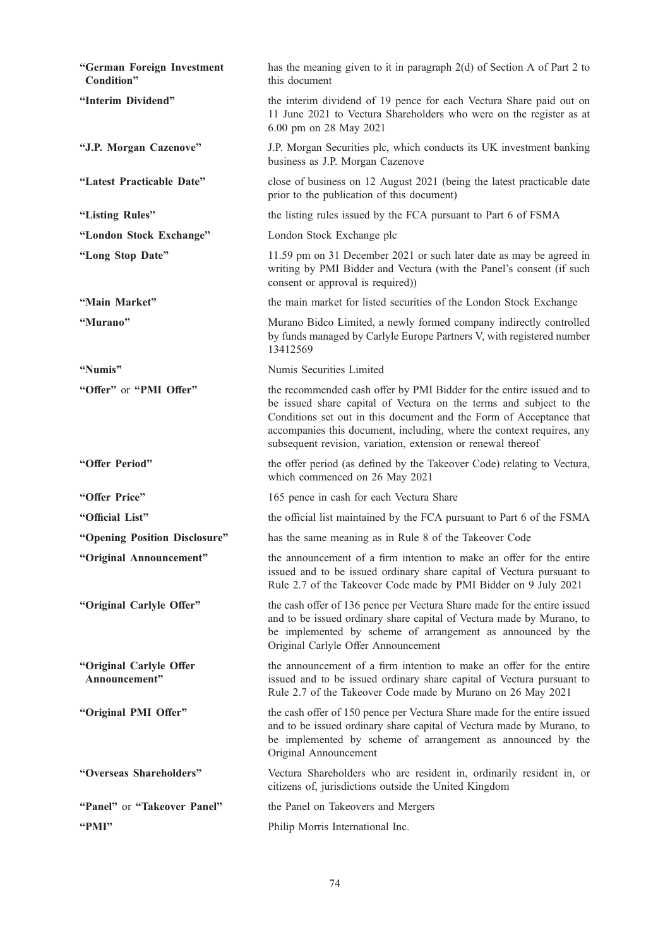| "German Foreign Investment<br>Condition" | has the meaning given to it in paragraph 2(d) of Section A of Part 2 to<br>this document                                                                                                                                                                                                                                                                    |
|------------------------------------------|-------------------------------------------------------------------------------------------------------------------------------------------------------------------------------------------------------------------------------------------------------------------------------------------------------------------------------------------------------------|
| "Interim Dividend"                       | the interim dividend of 19 pence for each Vectura Share paid out on<br>11 June 2021 to Vectura Shareholders who were on the register as at<br>6.00 pm on 28 May 2021                                                                                                                                                                                        |
| "J.P. Morgan Cazenove"                   | J.P. Morgan Securities plc, which conducts its UK investment banking<br>business as J.P. Morgan Cazenove                                                                                                                                                                                                                                                    |
| "Latest Practicable Date"                | close of business on 12 August 2021 (being the latest practicable date<br>prior to the publication of this document)                                                                                                                                                                                                                                        |
| "Listing Rules"                          | the listing rules issued by the FCA pursuant to Part 6 of FSMA                                                                                                                                                                                                                                                                                              |
| "London Stock Exchange"                  | London Stock Exchange plc                                                                                                                                                                                                                                                                                                                                   |
| "Long Stop Date"                         | 11.59 pm on 31 December 2021 or such later date as may be agreed in<br>writing by PMI Bidder and Vectura (with the Panel's consent (if such<br>consent or approval is required))                                                                                                                                                                            |
| "Main Market"                            | the main market for listed securities of the London Stock Exchange                                                                                                                                                                                                                                                                                          |
| "Murano"                                 | Murano Bidco Limited, a newly formed company indirectly controlled<br>by funds managed by Carlyle Europe Partners V, with registered number<br>13412569                                                                                                                                                                                                     |
| "Numis"                                  | Numis Securities Limited                                                                                                                                                                                                                                                                                                                                    |
| "Offer" or "PMI Offer"                   | the recommended cash offer by PMI Bidder for the entire issued and to<br>be issued share capital of Vectura on the terms and subject to the<br>Conditions set out in this document and the Form of Acceptance that<br>accompanies this document, including, where the context requires, any<br>subsequent revision, variation, extension or renewal thereof |
| "Offer Period"                           | the offer period (as defined by the Takeover Code) relating to Vectura,<br>which commenced on 26 May 2021                                                                                                                                                                                                                                                   |
| "Offer Price"                            | 165 pence in cash for each Vectura Share                                                                                                                                                                                                                                                                                                                    |
| "Official List"                          | the official list maintained by the FCA pursuant to Part 6 of the FSMA                                                                                                                                                                                                                                                                                      |
| "Opening Position Disclosure"            | has the same meaning as in Rule 8 of the Takeover Code                                                                                                                                                                                                                                                                                                      |
| "Original Announcement"                  | the announcement of a firm intention to make an offer for the entire<br>issued and to be issued ordinary share capital of Vectura pursuant to<br>Rule 2.7 of the Takeover Code made by PMI Bidder on 9 July 2021                                                                                                                                            |
| "Original Carlyle Offer"                 | the cash offer of 136 pence per Vectura Share made for the entire issued<br>and to be issued ordinary share capital of Vectura made by Murano, to<br>be implemented by scheme of arrangement as announced by the<br>Original Carlyle Offer Announcement                                                                                                     |
| "Original Carlyle Offer<br>Announcement" | the announcement of a firm intention to make an offer for the entire<br>issued and to be issued ordinary share capital of Vectura pursuant to<br>Rule 2.7 of the Takeover Code made by Murano on 26 May 2021                                                                                                                                                |
| "Original PMI Offer"                     | the cash offer of 150 pence per Vectura Share made for the entire issued<br>and to be issued ordinary share capital of Vectura made by Murano, to<br>be implemented by scheme of arrangement as announced by the<br>Original Announcement                                                                                                                   |
| "Overseas Shareholders"                  | Vectura Shareholders who are resident in, ordinarily resident in, or<br>citizens of, jurisdictions outside the United Kingdom                                                                                                                                                                                                                               |
| "Panel" or "Takeover Panel"              | the Panel on Takeovers and Mergers                                                                                                                                                                                                                                                                                                                          |
| "PMI"                                    | Philip Morris International Inc.                                                                                                                                                                                                                                                                                                                            |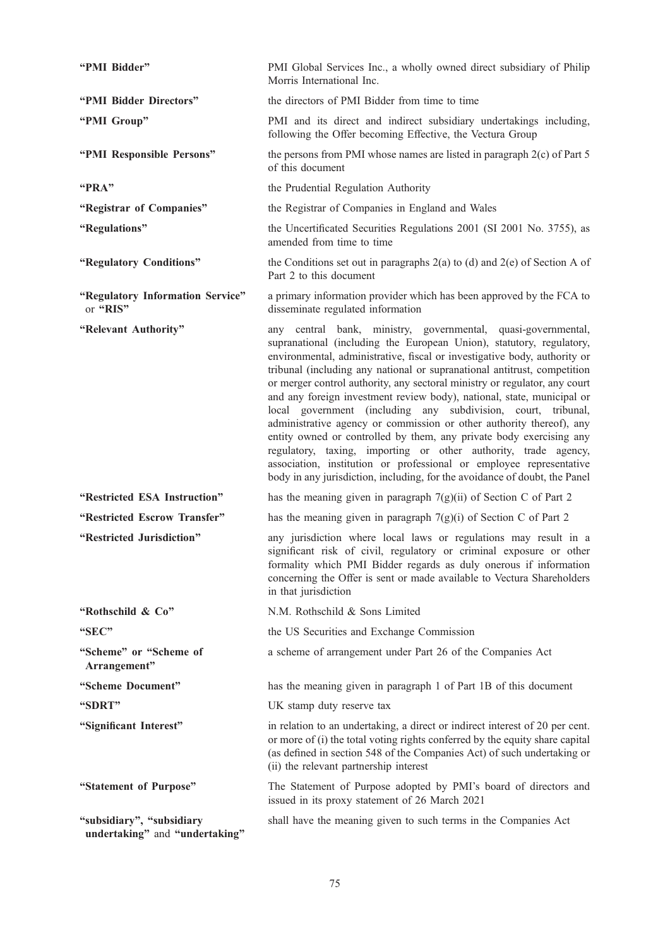| "PMI Bidder"                                                | PMI Global Services Inc., a wholly owned direct subsidiary of Philip<br>Morris International Inc.                                                                                                                                                                                                                                                                                                                                                                                                                                                                                                                                                                                                                                                                                                                                                                                              |  |
|-------------------------------------------------------------|------------------------------------------------------------------------------------------------------------------------------------------------------------------------------------------------------------------------------------------------------------------------------------------------------------------------------------------------------------------------------------------------------------------------------------------------------------------------------------------------------------------------------------------------------------------------------------------------------------------------------------------------------------------------------------------------------------------------------------------------------------------------------------------------------------------------------------------------------------------------------------------------|--|
| "PMI Bidder Directors"                                      | the directors of PMI Bidder from time to time                                                                                                                                                                                                                                                                                                                                                                                                                                                                                                                                                                                                                                                                                                                                                                                                                                                  |  |
| "PMI Group"                                                 | PMI and its direct and indirect subsidiary undertakings including,<br>following the Offer becoming Effective, the Vectura Group                                                                                                                                                                                                                                                                                                                                                                                                                                                                                                                                                                                                                                                                                                                                                                |  |
| "PMI Responsible Persons"                                   | the persons from PMI whose names are listed in paragraph 2(c) of Part 5<br>of this document                                                                                                                                                                                                                                                                                                                                                                                                                                                                                                                                                                                                                                                                                                                                                                                                    |  |
| " $PRA"$                                                    | the Prudential Regulation Authority                                                                                                                                                                                                                                                                                                                                                                                                                                                                                                                                                                                                                                                                                                                                                                                                                                                            |  |
| "Registrar of Companies"                                    | the Registrar of Companies in England and Wales                                                                                                                                                                                                                                                                                                                                                                                                                                                                                                                                                                                                                                                                                                                                                                                                                                                |  |
| "Regulations"                                               | the Uncertificated Securities Regulations 2001 (SI 2001 No. 3755), as<br>amended from time to time                                                                                                                                                                                                                                                                                                                                                                                                                                                                                                                                                                                                                                                                                                                                                                                             |  |
| "Regulatory Conditions"                                     | the Conditions set out in paragraphs $2(a)$ to (d) and $2(e)$ of Section A of<br>Part 2 to this document                                                                                                                                                                                                                                                                                                                                                                                                                                                                                                                                                                                                                                                                                                                                                                                       |  |
| "Regulatory Information Service"<br>or "RIS"                | a primary information provider which has been approved by the FCA to<br>disseminate regulated information                                                                                                                                                                                                                                                                                                                                                                                                                                                                                                                                                                                                                                                                                                                                                                                      |  |
| "Relevant Authority"                                        | any central bank, ministry, governmental, quasi-governmental,<br>supranational (including the European Union), statutory, regulatory,<br>environmental, administrative, fiscal or investigative body, authority or<br>tribunal (including any national or supranational antitrust, competition<br>or merger control authority, any sectoral ministry or regulator, any court<br>and any foreign investment review body), national, state, municipal or<br>local government (including any subdivision, court, tribunal,<br>administrative agency or commission or other authority thereof), any<br>entity owned or controlled by them, any private body exercising any<br>regulatory, taxing, importing or other authority, trade agency,<br>association, institution or professional or employee representative<br>body in any jurisdiction, including, for the avoidance of doubt, the Panel |  |
| "Restricted ESA Instruction"                                | has the meaning given in paragraph $7(g)(ii)$ of Section C of Part 2                                                                                                                                                                                                                                                                                                                                                                                                                                                                                                                                                                                                                                                                                                                                                                                                                           |  |
| "Restricted Escrow Transfer"                                | has the meaning given in paragraph $7(g)(i)$ of Section C of Part 2                                                                                                                                                                                                                                                                                                                                                                                                                                                                                                                                                                                                                                                                                                                                                                                                                            |  |
| "Restricted Jurisdiction"                                   | any jurisdiction where local laws or regulations may result in a<br>significant risk of civil, regulatory or criminal exposure or other<br>formality which PMI Bidder regards as duly onerous if information<br>concerning the Offer is sent or made available to Vectura Shareholders<br>in that jurisdiction                                                                                                                                                                                                                                                                                                                                                                                                                                                                                                                                                                                 |  |
| "Rothschild & Co"                                           | N.M. Rothschild & Sons Limited                                                                                                                                                                                                                                                                                                                                                                                                                                                                                                                                                                                                                                                                                                                                                                                                                                                                 |  |
| "SEC"                                                       | the US Securities and Exchange Commission                                                                                                                                                                                                                                                                                                                                                                                                                                                                                                                                                                                                                                                                                                                                                                                                                                                      |  |
| "Scheme" or "Scheme of<br>Arrangement"                      | a scheme of arrangement under Part 26 of the Companies Act                                                                                                                                                                                                                                                                                                                                                                                                                                                                                                                                                                                                                                                                                                                                                                                                                                     |  |
| "Scheme Document"                                           | has the meaning given in paragraph 1 of Part 1B of this document                                                                                                                                                                                                                                                                                                                                                                                                                                                                                                                                                                                                                                                                                                                                                                                                                               |  |
| "SDRT"                                                      | UK stamp duty reserve tax                                                                                                                                                                                                                                                                                                                                                                                                                                                                                                                                                                                                                                                                                                                                                                                                                                                                      |  |
| "Significant Interest"                                      | in relation to an undertaking, a direct or indirect interest of 20 per cent.<br>or more of (i) the total voting rights conferred by the equity share capital<br>(as defined in section 548 of the Companies Act) of such undertaking or<br>(ii) the relevant partnership interest                                                                                                                                                                                                                                                                                                                                                                                                                                                                                                                                                                                                              |  |
| "Statement of Purpose"                                      | The Statement of Purpose adopted by PMI's board of directors and<br>issued in its proxy statement of 26 March 2021                                                                                                                                                                                                                                                                                                                                                                                                                                                                                                                                                                                                                                                                                                                                                                             |  |
| "subsidiary", "subsidiary<br>undertaking" and "undertaking" | shall have the meaning given to such terms in the Companies Act                                                                                                                                                                                                                                                                                                                                                                                                                                                                                                                                                                                                                                                                                                                                                                                                                                |  |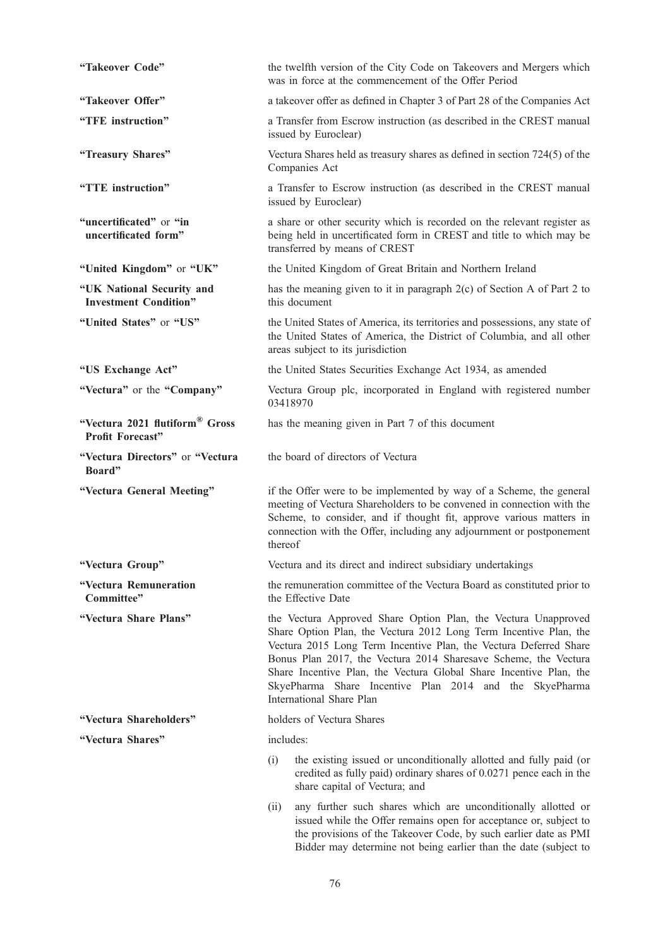| "Takeover Code"                                                       | the twelfth version of the City Code on Takeovers and Mergers which<br>was in force at the commencement of the Offer Period                                                                                                                                                                                                                                                                                                              |                                                                                                                                                                                                                                                                            |  |
|-----------------------------------------------------------------------|------------------------------------------------------------------------------------------------------------------------------------------------------------------------------------------------------------------------------------------------------------------------------------------------------------------------------------------------------------------------------------------------------------------------------------------|----------------------------------------------------------------------------------------------------------------------------------------------------------------------------------------------------------------------------------------------------------------------------|--|
| "Takeover Offer"                                                      |                                                                                                                                                                                                                                                                                                                                                                                                                                          | a takeover offer as defined in Chapter 3 of Part 28 of the Companies Act                                                                                                                                                                                                   |  |
| "TFE instruction"                                                     | a Transfer from Escrow instruction (as described in the CREST manual<br>issued by Euroclear)                                                                                                                                                                                                                                                                                                                                             |                                                                                                                                                                                                                                                                            |  |
| "Treasury Shares"                                                     | Vectura Shares held as treasury shares as defined in section 724(5) of the<br>Companies Act                                                                                                                                                                                                                                                                                                                                              |                                                                                                                                                                                                                                                                            |  |
| "TTE instruction"                                                     | a Transfer to Escrow instruction (as described in the CREST manual<br>issued by Euroclear)                                                                                                                                                                                                                                                                                                                                               |                                                                                                                                                                                                                                                                            |  |
| "uncertificated" or "in<br>uncertificated form"                       | a share or other security which is recorded on the relevant register as<br>being held in uncertificated form in CREST and title to which may be<br>transferred by means of CREST                                                                                                                                                                                                                                                         |                                                                                                                                                                                                                                                                            |  |
| "United Kingdom" or "UK"                                              |                                                                                                                                                                                                                                                                                                                                                                                                                                          | the United Kingdom of Great Britain and Northern Ireland                                                                                                                                                                                                                   |  |
| "UK National Security and<br><b>Investment Condition"</b>             | has the meaning given to it in paragraph $2(c)$ of Section A of Part 2 to<br>this document                                                                                                                                                                                                                                                                                                                                               |                                                                                                                                                                                                                                                                            |  |
| "United States" or "US"                                               |                                                                                                                                                                                                                                                                                                                                                                                                                                          | the United States of America, its territories and possessions, any state of<br>the United States of America, the District of Columbia, and all other<br>areas subject to its jurisdiction                                                                                  |  |
| "US Exchange Act"                                                     |                                                                                                                                                                                                                                                                                                                                                                                                                                          | the United States Securities Exchange Act 1934, as amended                                                                                                                                                                                                                 |  |
| "Vectura" or the "Company"                                            |                                                                                                                                                                                                                                                                                                                                                                                                                                          | Vectura Group plc, incorporated in England with registered number<br>03418970                                                                                                                                                                                              |  |
| "Vectura 2021 flutiform <sup>®</sup> Gross<br><b>Profit Forecast"</b> | has the meaning given in Part 7 of this document                                                                                                                                                                                                                                                                                                                                                                                         |                                                                                                                                                                                                                                                                            |  |
| "Vectura Directors" or "Vectura<br>Board"                             | the board of directors of Vectura                                                                                                                                                                                                                                                                                                                                                                                                        |                                                                                                                                                                                                                                                                            |  |
| "Vectura General Meeting"                                             | if the Offer were to be implemented by way of a Scheme, the general<br>meeting of Vectura Shareholders to be convened in connection with the<br>Scheme, to consider, and if thought fit, approve various matters in<br>connection with the Offer, including any adjournment or postponement<br>thereof                                                                                                                                   |                                                                                                                                                                                                                                                                            |  |
| "Vectura Group"                                                       |                                                                                                                                                                                                                                                                                                                                                                                                                                          | Vectura and its direct and indirect subsidiary undertakings                                                                                                                                                                                                                |  |
| "Vectura Remuneration<br>Committee"                                   | the remuneration committee of the Vectura Board as constituted prior to<br>the Effective Date                                                                                                                                                                                                                                                                                                                                            |                                                                                                                                                                                                                                                                            |  |
| "Vectura Share Plans"                                                 | the Vectura Approved Share Option Plan, the Vectura Unapproved<br>Share Option Plan, the Vectura 2012 Long Term Incentive Plan, the<br>Vectura 2015 Long Term Incentive Plan, the Vectura Deferred Share<br>Bonus Plan 2017, the Vectura 2014 Sharesave Scheme, the Vectura<br>Share Incentive Plan, the Vectura Global Share Incentive Plan, the<br>SkyePharma Share Incentive Plan 2014 and the SkyePharma<br>International Share Plan |                                                                                                                                                                                                                                                                            |  |
| "Vectura Shareholders"                                                |                                                                                                                                                                                                                                                                                                                                                                                                                                          | holders of Vectura Shares                                                                                                                                                                                                                                                  |  |
| "Vectura Shares"                                                      | includes:                                                                                                                                                                                                                                                                                                                                                                                                                                |                                                                                                                                                                                                                                                                            |  |
|                                                                       | (i)                                                                                                                                                                                                                                                                                                                                                                                                                                      | the existing issued or unconditionally allotted and fully paid (or<br>credited as fully paid) ordinary shares of 0.0271 pence each in the<br>share capital of Vectura; and                                                                                                 |  |
|                                                                       | (ii)                                                                                                                                                                                                                                                                                                                                                                                                                                     | any further such shares which are unconditionally allotted or<br>issued while the Offer remains open for acceptance or, subject to<br>the provisions of the Takeover Code, by such earlier date as PMI<br>Bidder may determine not being earlier than the date (subject to |  |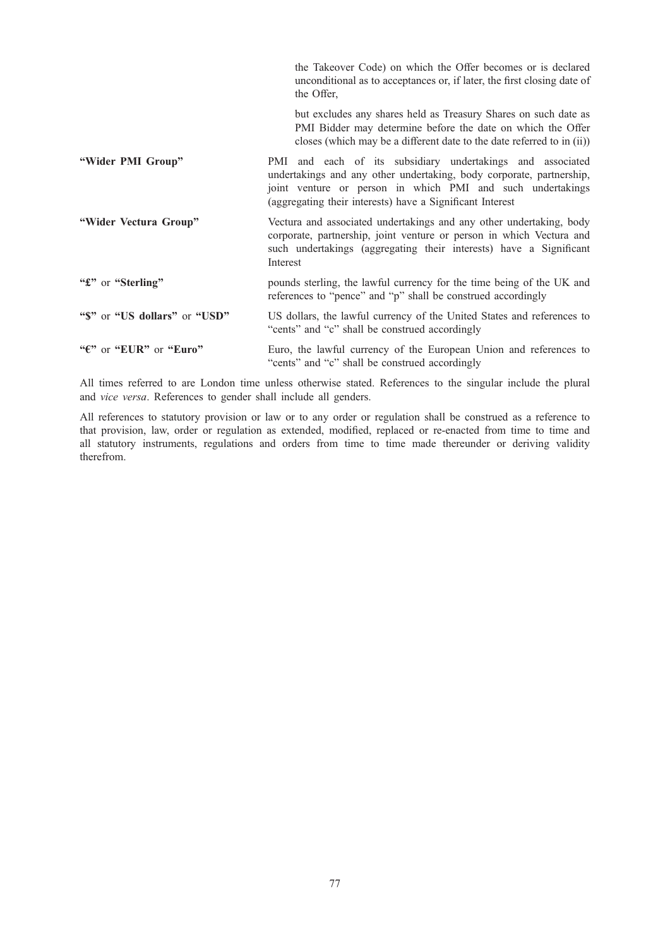|                               | the Takeover Code) on which the Offer becomes or is declared<br>unconditional as to acceptances or, if later, the first closing date of<br>the Offer,                                                                                                         |
|-------------------------------|---------------------------------------------------------------------------------------------------------------------------------------------------------------------------------------------------------------------------------------------------------------|
|                               | but excludes any shares held as Treasury Shares on such date as<br>PMI Bidder may determine before the date on which the Offer<br>closes (which may be a different date to the date referred to in (ii))                                                      |
| "Wider PMI Group"             | PMI and each of its subsidiary undertakings and associated<br>undertakings and any other undertaking, body corporate, partnership,<br>joint venture or person in which PMI and such undertakings<br>(aggregating their interests) have a Significant Interest |
| "Wider Vectura Group"         | Vectura and associated undertakings and any other undertaking, body<br>corporate, partnership, joint venture or person in which Vectura and<br>such undertakings (aggregating their interests) have a Significant<br>Interest                                 |
| "f" or "Sterling"             | pounds sterling, the lawful currency for the time being of the UK and<br>references to "pence" and "p" shall be construed accordingly                                                                                                                         |
| "\$" or "US dollars" or "USD" | US dollars, the lawful currency of the United States and references to<br>"cents" and "c" shall be construed accordingly                                                                                                                                      |
| "E" or "EUR" or "Euro"        | Euro, the lawful currency of the European Union and references to<br>"cents" and "c" shall be construed accordingly                                                                                                                                           |

All times referred to are London time unless otherwise stated. References to the singular include the plural and vice versa. References to gender shall include all genders.

All references to statutory provision or law or to any order or regulation shall be construed as a reference to that provision, law, order or regulation as extended, modified, replaced or re-enacted from time to time and all statutory instruments, regulations and orders from time to time made thereunder or deriving validity therefrom.